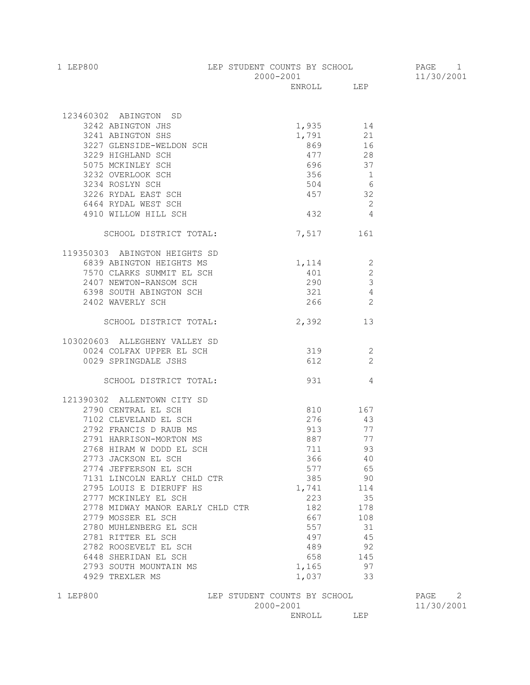| 1 LEP800 | LEP STUDENT COUNTS BY SCHOOL | PAGE       |
|----------|------------------------------|------------|
|          | 2000-2001                    | 11/30/2001 |
|          | LEP<br>ENROLL.               |            |

| 123460302 ABINGTON SD<br>1,935<br>14<br>3227 GLENSIDE-WELDON SCH<br>3229 HIGHLAND SCH<br>5075 MCKINLEY SCH<br>3232 OVERLOOK SCH<br>3234 ROST VICE |                              |                          |      |   |
|---------------------------------------------------------------------------------------------------------------------------------------------------|------------------------------|--------------------------|------|---|
|                                                                                                                                                   |                              |                          |      |   |
|                                                                                                                                                   |                              |                          |      |   |
|                                                                                                                                                   |                              |                          |      |   |
|                                                                                                                                                   |                              |                          |      |   |
|                                                                                                                                                   |                              |                          |      |   |
|                                                                                                                                                   |                              |                          |      |   |
|                                                                                                                                                   | 504 6                        |                          |      |   |
|                                                                                                                                                   | 457 32                       |                          |      |   |
|                                                                                                                                                   |                              | $\overline{\phantom{a}}$ |      |   |
| 3232 OVERLOOK SCH<br>3234 ROSLYN SCH<br>3234 ROSLYN SCH<br>3226 RYDAL EAST SCH<br>6464 RYDAL WEST SCH<br>4910 WILLOW HILL SCH                     | $432$ $4$                    |                          |      |   |
| SCHOOL DISTRICT TOTAL:                                                                                                                            |                              | 7,517 161                |      |   |
| 119350303 ABINGTON HEIGHTS SD                                                                                                                     |                              |                          |      |   |
| 6839 ABINGTON HEIGHTS MS                                                                                                                          | $1,114$ 2                    |                          |      |   |
| 7570 CLARKS SUMMIT EL SCH                                                                                                                         |                              | 401 2                    |      |   |
| 2407 NEWTON-RANSOM SCH                                                                                                                            | $290$ 3                      |                          |      |   |
| 6398 SOUTH ABINGTON SCH                                                                                                                           | $321$ 4                      |                          |      |   |
| 2402 WAVERLY SCH                                                                                                                                  |                              | 266 2                    |      |   |
| SCHOOL DISTRICT TOTAL: 2,392 13                                                                                                                   |                              |                          |      |   |
| 103020603 ALLEGHENY VALLEY SD                                                                                                                     |                              |                          |      |   |
| 0024 COLFAX UPPER EL SCH                                                                                                                          | 319 2                        |                          |      |   |
| 0029 SPRINGDALE JSHS                                                                                                                              |                              | 612 2                    |      |   |
| SCHOOL DISTRICT TOTAL:                                                                                                                            | 931 4                        |                          |      |   |
| 121390302 ALLENTOWN CITY SD                                                                                                                       |                              |                          |      |   |
| 2790 CENTRAL EL SCH                                                                                                                               |                              | 810 167                  |      |   |
| 7102 CLEVELAND EL SCH                                                                                                                             | 276                          | 43                       |      |   |
| 2792 FRANCIS D RAUB MS                                                                                                                            |                              | 913 77                   |      |   |
|                                                                                                                                                   | 887 77                       |                          |      |   |
| 2791 HARRISON-MORTON MS<br>2768 HIRAM W DODD EL SCH                                                                                               | 711 93                       |                          |      |   |
| 2773 JACKSON EL SCH                                                                                                                               | 366 40                       |                          |      |   |
| 2774 JEFFERSON EL SCH                                                                                                                             | 577 65                       |                          |      |   |
| 7131 LINCOLN EARLY CHLD CTR                                                                                                                       |                              | 385 90                   |      |   |
| 2795 LOUIS E DIERUFF HS                                                                                                                           |                              | 1,741 114                |      |   |
| 2777 MCKINLEY EL SCH                                                                                                                              | 223                          | 35                       |      |   |
| 2778 MIDWAY MANOR EARLY CHLD CTR                                                                                                                  | 182                          | 178                      |      |   |
| 2779 MOSSER EL SCH                                                                                                                                | 667                          | 108                      |      |   |
| 2780 MUHLENBERG EL SCH                                                                                                                            | 557                          | 31                       |      |   |
| 2781 RITTER EL SCH                                                                                                                                | 497                          | 45                       |      |   |
| 2782 ROOSEVELT EL SCH                                                                                                                             | 489                          | 92                       |      |   |
| 6448 SHERIDAN EL SCH                                                                                                                              | 658                          | 145                      |      |   |
| 2793 SOUTH MOUNTAIN MS                                                                                                                            | 1,165                        | 97                       |      |   |
| 4929 TREXLER MS                                                                                                                                   | 1,037                        | 33                       |      |   |
| 1 LEP800                                                                                                                                          | LEP STUDENT COUNTS BY SCHOOL |                          | PAGE | 2 |

 $2000-2001$   $11/30/2001$ 

ENROLL LEP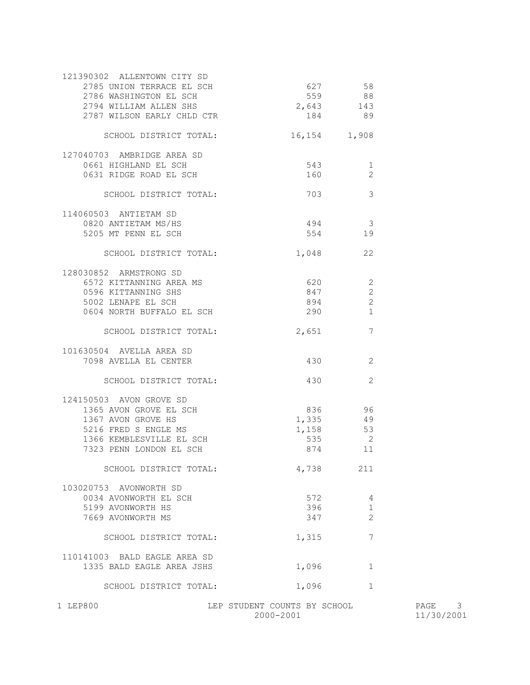| 572<br>396<br>347<br>1,315<br>1,096<br>1,096 | 4<br>$\mathbf 1$<br>$\overline{2}$<br>$\overline{7}$<br>1<br>$\mathbf{1}$ |                                                                                                                                                                                                |  |
|----------------------------------------------|---------------------------------------------------------------------------|------------------------------------------------------------------------------------------------------------------------------------------------------------------------------------------------|--|
|                                              |                                                                           |                                                                                                                                                                                                |  |
|                                              |                                                                           |                                                                                                                                                                                                |  |
|                                              |                                                                           |                                                                                                                                                                                                |  |
|                                              |                                                                           |                                                                                                                                                                                                |  |
|                                              |                                                                           |                                                                                                                                                                                                |  |
|                                              |                                                                           |                                                                                                                                                                                                |  |
|                                              |                                                                           |                                                                                                                                                                                                |  |
|                                              |                                                                           |                                                                                                                                                                                                |  |
|                                              | 211                                                                       |                                                                                                                                                                                                |  |
| 874                                          | 11                                                                        |                                                                                                                                                                                                |  |
| 535                                          | $\overline{\phantom{0}}$                                                  |                                                                                                                                                                                                |  |
| 1,158                                        | 53                                                                        |                                                                                                                                                                                                |  |
|                                              | 49                                                                        |                                                                                                                                                                                                |  |
|                                              | 96                                                                        |                                                                                                                                                                                                |  |
|                                              |                                                                           |                                                                                                                                                                                                |  |
| 430                                          | 2                                                                         |                                                                                                                                                                                                |  |
| 430                                          | 2                                                                         |                                                                                                                                                                                                |  |
|                                              |                                                                           |                                                                                                                                                                                                |  |
| 2,651                                        | 7                                                                         |                                                                                                                                                                                                |  |
|                                              |                                                                           |                                                                                                                                                                                                |  |
|                                              | 2                                                                         |                                                                                                                                                                                                |  |
|                                              | 2                                                                         |                                                                                                                                                                                                |  |
|                                              |                                                                           |                                                                                                                                                                                                |  |
|                                              |                                                                           |                                                                                                                                                                                                |  |
|                                              | 22                                                                        |                                                                                                                                                                                                |  |
|                                              | 19                                                                        |                                                                                                                                                                                                |  |
|                                              |                                                                           |                                                                                                                                                                                                |  |
|                                              |                                                                           |                                                                                                                                                                                                |  |
| 703                                          |                                                                           |                                                                                                                                                                                                |  |
| 160                                          | 2                                                                         |                                                                                                                                                                                                |  |
| 543                                          |                                                                           |                                                                                                                                                                                                |  |
|                                              |                                                                           |                                                                                                                                                                                                |  |
|                                              |                                                                           |                                                                                                                                                                                                |  |
|                                              |                                                                           |                                                                                                                                                                                                |  |
|                                              |                                                                           |                                                                                                                                                                                                |  |
|                                              |                                                                           |                                                                                                                                                                                                |  |
|                                              |                                                                           |                                                                                                                                                                                                |  |
|                                              |                                                                           | 627 58<br>559 88<br>2,643 143<br>184 89<br>16,154 1,908<br>$\overline{1}$<br>$\sim$ 3<br>494 3<br>554<br>1,048<br>6572 KITTANNING AREA MS 620 620<br>894 894<br>290 1<br>836<br>1,335<br>4,738 |  |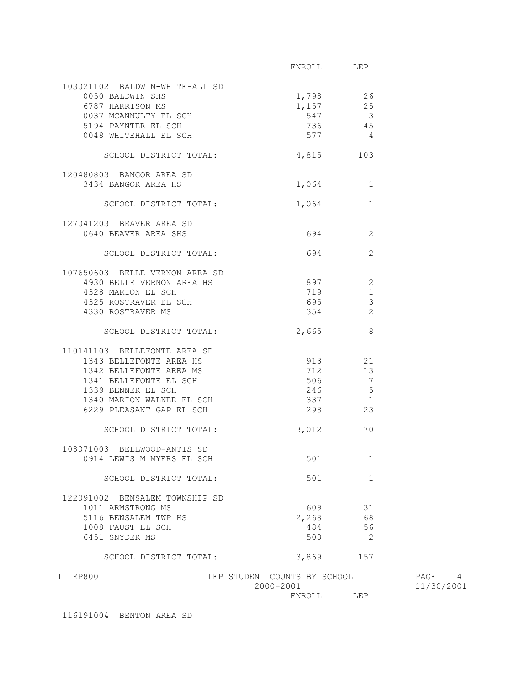|                                                                      | ENROLL LEP                   |                            |            |
|----------------------------------------------------------------------|------------------------------|----------------------------|------------|
|                                                                      |                              |                            |            |
| 103021102 BALDWIN-WHITEHALL SD                                       |                              |                            |            |
| 0050 BALDWIN SHS                                                     |                              | 1,798 26                   |            |
|                                                                      | $1,157$ 25                   |                            |            |
|                                                                      | 547                          | $\overline{\phantom{a}}$   |            |
|                                                                      | 736                          | 45                         |            |
|                                                                      | 577                          | $\overline{4}$             |            |
| SCHOOL DISTRICT TOTAL: 4,815 103                                     |                              |                            |            |
| 120480803 BANGOR AREA SD                                             |                              |                            |            |
| 3434 BANGOR AREA HS                                                  |                              | 1,064 1                    |            |
| SCHOOL DISTRICT TOTAL:                                               |                              | 1,064 1                    |            |
| 127041203 BEAVER AREA SD                                             |                              |                            |            |
| 0640 BEAVER AREA SHS                                                 |                              | 694 8<br>2                 |            |
| SCHOOL DISTRICT TOTAL:                                               | 694                          | 2                          |            |
|                                                                      |                              |                            |            |
| 107650603 BELLE VERNON AREA SD                                       |                              | 897 2                      |            |
| 4930 BELLE VERNON AREA HS                                            | 719                          | $\mathbf{1}$               |            |
| 4328 MARION EL SCH<br>4325 ROSTRAVER EL SCH<br>4325 ROSTRAVER EL SCH |                              |                            |            |
|                                                                      | 695                          | $\mathcal{E}$              |            |
| 4330 ROSTRAVER MS                                                    | 354                          | $\overline{\phantom{0}}$ 2 |            |
| SCHOOL DISTRICT TOTAL:                                               | 2,665                        |                            |            |
| 110141103 BELLEFONTE AREA SD                                         |                              |                            |            |
| 1343 BELLEFONTE AREA HS                                              |                              | 913 21                     |            |
| 1342 BELLEFONTE AREA MS                                              |                              | 712 13                     |            |
| 1341 BELLEFONTE EL SCH                                               | 506                          | $\overline{7}$             |            |
| 1339 BENNER EL SCH                                                   | 246                          | $-5$                       |            |
| 1340 MARION-WALKER EL SCH                                            | 337                          | $\overline{1}$             |            |
| 6229 PLEASANT GAP EL SCH                                             | 298                          | 23                         |            |
| SCHOOL DISTRICT TOTAL:                                               | 3,012                        | 70                         |            |
| 108071003 BELLWOOD-ANTIS SD                                          |                              |                            |            |
| 0914 LEWIS M MYERS EL SCH                                            | 501                          | 1                          |            |
| SCHOOL DISTRICT TOTAL:                                               | 501                          | $\mathbf 1$                |            |
|                                                                      |                              |                            |            |
| 122091002 BENSALEM TOWNSHIP SD                                       |                              |                            |            |
| 1011 ARMSTRONG MS                                                    | 609                          | 31                         |            |
| 5116 BENSALEM TWP HS                                                 | 2,268                        | 68                         |            |
| 1008 FAUST EL SCH                                                    | 484                          | 56                         |            |
| 6451 SNYDER MS                                                       | 508                          | 2                          |            |
| SCHOOL DISTRICT TOTAL:                                               | 3,869                        | 157                        |            |
| 1 LEP800                                                             | LEP STUDENT COUNTS BY SCHOOL |                            | PAGE 4     |
|                                                                      | 2000-2001                    |                            | 11/30/2001 |
|                                                                      | ENROLL                       | LEP                        |            |

116191004 BENTON AREA SD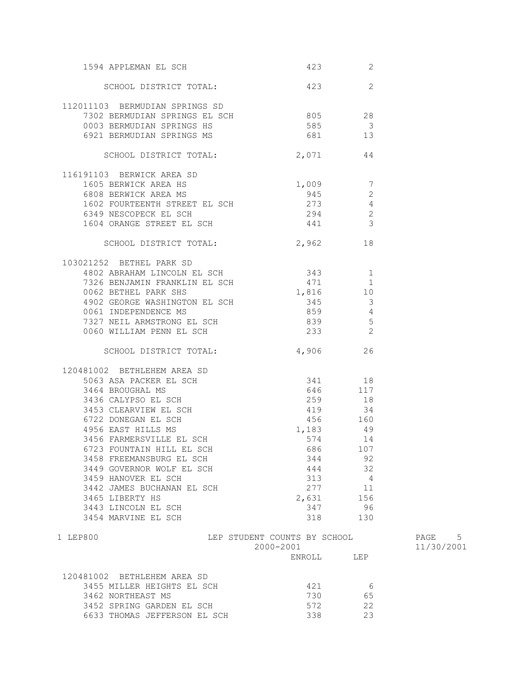| 1594 APPLEMAN EL SCH                                                                                                                                                                                                                                                        | 423                                       | 2              |                      |
|-----------------------------------------------------------------------------------------------------------------------------------------------------------------------------------------------------------------------------------------------------------------------------|-------------------------------------------|----------------|----------------------|
| SCHOOL DISTRICT TOTAL: 423 423                                                                                                                                                                                                                                              |                                           |                |                      |
| 112011103 BERMUDIAN SPRINGS SD                                                                                                                                                                                                                                              |                                           |                |                      |
| 7302 BERMUDIAN SPRINGS EL SCH 805 28                                                                                                                                                                                                                                        |                                           |                |                      |
| 0003 BERMUDIAN SPRINGS HS                                                                                                                                                                                                                                                   | 585 3                                     |                |                      |
| 6921 BERMUDIAN SPRINGS MS                                                                                                                                                                                                                                                   | 681 13                                    |                |                      |
| SCHOOL DISTRICT TOTAL:                                                                                                                                                                                                                                                      | 2,071                                     | 44             |                      |
| 116191103 BERWICK AREA SD                                                                                                                                                                                                                                                   |                                           |                |                      |
| 1605 BERWICK AREA HS                                                                                                                                                                                                                                                        | $1,009$ 7<br>945 2                        |                |                      |
| 6808 BERWICK AREA MS                                                                                                                                                                                                                                                        |                                           |                |                      |
| 1602 FOURTEENTH STREET EL SCH 273 4                                                                                                                                                                                                                                         |                                           |                |                      |
| 6349 NESCOPECK EL SCH                                                                                                                                                                                                                                                       |                                           |                |                      |
| $\begin{tabular}{lllllllllllll} 6349 & \text{NESCOPECK} & \text{EL} & \text{SCH} & & & & 294 & & 2 \\ 1604 & \text{ORANGE} & \text{STREET} & \text{EL} & \text{SCH} & & & 441 & & 3 \\ \end{tabular}$                                                                       |                                           |                |                      |
| SCHOOL DISTRICT TOTAL: 2,962 18                                                                                                                                                                                                                                             |                                           |                |                      |
| 103021252 BETHEL PARK SD                                                                                                                                                                                                                                                    |                                           |                |                      |
| 4802 ABRAHAM LINCOLN EL SCH 343 1                                                                                                                                                                                                                                           |                                           |                |                      |
|                                                                                                                                                                                                                                                                             | 471 1                                     |                |                      |
| 7326 BENJAMIN FRANKLIN EL SCH<br>0062 BETHEL PARK SHS                                                                                                                                                                                                                       | 1,816 10                                  |                |                      |
| 4902 GEORGE WASHINGTON EL SCH 345 345                                                                                                                                                                                                                                       |                                           |                |                      |
|                                                                                                                                                                                                                                                                             |                                           |                |                      |
|                                                                                                                                                                                                                                                                             |                                           |                |                      |
| 0061 INDEPENDENCE MS<br>7327 NEIL ARMSTRONG EL SCH 839 5<br>0060 WILLIAM PENN EL SCH 233 2                                                                                                                                                                                  |                                           |                |                      |
|                                                                                                                                                                                                                                                                             |                                           |                |                      |
| SCHOOL DISTRICT TOTAL: 4,906                                                                                                                                                                                                                                                |                                           | 26             |                      |
| 120481002 BETHLEHEM AREA SD<br>481002 BETHLEHEM AREA SD<br>5063 ASA PACKER EL SCH<br>3464 BROUGHAL MS<br>3436 CALYPSO EL SCH<br>3436 CALYPSO EL SCH<br>3453 CLEARVIEW EL SCH<br>6722 DONEGAN EL SCH<br>4956 EAST HILLS MS<br>4956 EAST HILLS MS<br>4956 EAST HILLS MS<br>49 |                                           |                |                      |
|                                                                                                                                                                                                                                                                             |                                           |                |                      |
|                                                                                                                                                                                                                                                                             |                                           |                |                      |
|                                                                                                                                                                                                                                                                             |                                           |                |                      |
|                                                                                                                                                                                                                                                                             |                                           |                |                      |
|                                                                                                                                                                                                                                                                             |                                           |                |                      |
| 4956 EAST HILLS MS                                                                                                                                                                                                                                                          | $1,183$ 49                                |                |                      |
| 3456 FARMERSVILLE EL SCH                                                                                                                                                                                                                                                    | 574                                       | 14             |                      |
| 6723 FOUNTAIN HILL EL SCH                                                                                                                                                                                                                                                   | 686 107                                   |                |                      |
| 3458 FREEMANSBURG EL SCH                                                                                                                                                                                                                                                    | 344                                       | 92             |                      |
| 3449 GOVERNOR WOLF EL SCH                                                                                                                                                                                                                                                   | 444                                       | 32             |                      |
| 3459 HANOVER EL SCH                                                                                                                                                                                                                                                         | 313                                       | $\overline{4}$ |                      |
| 3442 JAMES BUCHANAN EL SCH                                                                                                                                                                                                                                                  | 277                                       | 11             |                      |
| 3465 LIBERTY HS                                                                                                                                                                                                                                                             | 2,631 156                                 |                |                      |
| 3443 LINCOLN EL SCH                                                                                                                                                                                                                                                         | 347                                       | 96             |                      |
| 3454 MARVINE EL SCH                                                                                                                                                                                                                                                         | 318                                       | 130            |                      |
| 1 LEP800                                                                                                                                                                                                                                                                    | LEP STUDENT COUNTS BY SCHOOL<br>2000-2001 |                | PAGE 5<br>11/30/2001 |
|                                                                                                                                                                                                                                                                             | ENROLL                                    | LEP            |                      |
| 120481002 BETHLEHEM AREA SD                                                                                                                                                                                                                                                 |                                           |                |                      |
| 3455 MILLER HEIGHTS EL SCH                                                                                                                                                                                                                                                  | 421                                       | - 6            |                      |
| 3462 NORTHEAST MS                                                                                                                                                                                                                                                           | 730                                       | 65             |                      |
| 3452 SPRING GARDEN EL SCH                                                                                                                                                                                                                                                   | 572                                       | 22             |                      |
| 6633 THOMAS JEFFERSON EL SCH                                                                                                                                                                                                                                                | 338                                       | 23             |                      |
|                                                                                                                                                                                                                                                                             |                                           |                |                      |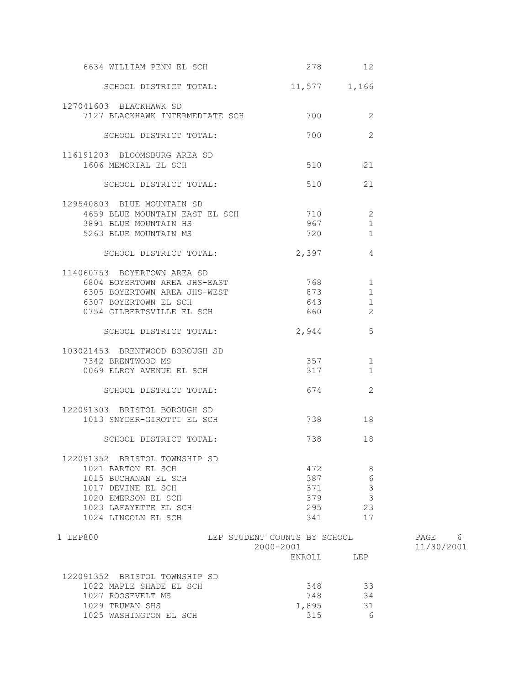| 6634 WILLIAM PENN EL SCH             | 278                                       | 12             |                         |
|--------------------------------------|-------------------------------------------|----------------|-------------------------|
| SCHOOL DISTRICT TOTAL:               | 11,577 1,166                              |                |                         |
| 127041603 BLACKHAWK SD               |                                           |                |                         |
| 7127 BLACKHAWK INTERMEDIATE SCH      | 700                                       | 2              |                         |
| SCHOOL DISTRICT TOTAL:               | 700                                       | $\overline{2}$ |                         |
| 116191203 BLOOMSBURG AREA SD         |                                           |                |                         |
| 1606 MEMORIAL EL SCH                 | 510                                       | 21             |                         |
| SCHOOL DISTRICT TOTAL:               | 510                                       | 21             |                         |
| 129540803 BLUE MOUNTAIN SD           |                                           |                |                         |
| 4659 BLUE MOUNTAIN EAST EL SCH 710 2 |                                           |                |                         |
| 3891 BLUE MOUNTAIN HS                | 967 — 100                                 | 1              |                         |
| 5263 BLUE MOUNTAIN MS                | 720                                       | 1              |                         |
| SCHOOL DISTRICT TOTAL:               | 2,397                                     | 4              |                         |
|                                      |                                           |                |                         |
| 114060753 BOYERTOWN AREA SD          |                                           |                |                         |
| 6804 BOYERTOWN AREA JHS-EAST 768     |                                           | 1              |                         |
| 6305 BOYERTOWN AREA JHS-WEST         | 873                                       | $\mathbf 1$    |                         |
| 6307 BOYERTOWN EL SCH                | 643                                       | 1              |                         |
| 0754 GILBERTSVILLE EL SCH            | 660                                       | 2              |                         |
| SCHOOL DISTRICT TOTAL:               | 2,944                                     | 5              |                         |
| 103021453 BRENTWOOD BOROUGH SD       |                                           |                |                         |
| 7342 BRENTWOOD MS                    | 357                                       | $\mathbf{1}$   |                         |
| 0069 ELROY AVENUE EL SCH             | 317                                       | 1              |                         |
| SCHOOL DISTRICT TOTAL:               | 674                                       | 2              |                         |
| 122091303 BRISTOL BOROUGH SD         |                                           |                |                         |
| 1013 SNYDER-GIROTTI EL SCH           | 738 — 138                                 | 18             |                         |
|                                      |                                           |                |                         |
| SCHOOL DISTRICT TOTAL:               | 738                                       | 18             |                         |
| 122091352 BRISTOL TOWNSHIP SD        |                                           |                |                         |
| 1021 BARTON EL SCH                   | 472                                       | 8              |                         |
| 1015 BUCHANAN EL SCH                 | 387                                       | 6              |                         |
| 1017 DEVINE EL SCH                   | 371                                       | 3              |                         |
| 1020 EMERSON EL SCH                  | 379                                       | 3              |                         |
| 1023 LAFAYETTE EL SCH                | 295                                       | 23             |                         |
| 1024 LINCOLN EL SCH                  | 341                                       | 17             |                         |
| 1 LEP800                             | LEP STUDENT COUNTS BY SCHOOL<br>2000-2001 |                | PAGE<br>6<br>11/30/2001 |
|                                      | ENROLL                                    | LEP            |                         |
| 122091352 BRISTOL TOWNSHIP SD        |                                           |                |                         |
| 1022 MAPLE SHADE EL SCH              | 348                                       | 33             |                         |
| 1027 ROOSEVELT MS                    | 748                                       | 34             |                         |
| 1029 TRUMAN SHS                      | 1,895                                     | 31             |                         |
| 1025 WASHINGTON EL SCH               | 315                                       | 6              |                         |
|                                      |                                           |                |                         |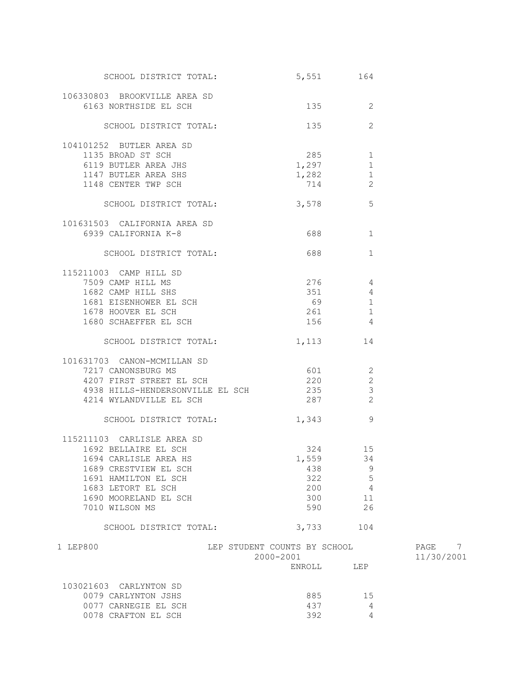| SCHOOL DISTRICT TOTAL:               |                                           | 5,551 164                 |                      |
|--------------------------------------|-------------------------------------------|---------------------------|----------------------|
| 106330803 BROOKVILLE AREA SD         |                                           |                           |                      |
| 6163 NORTHSIDE EL SCH                |                                           | 135<br>2                  |                      |
| SCHOOL DISTRICT TOTAL:               | 135                                       | 2                         |                      |
| 104101252 BUTLER AREA SD             |                                           |                           |                      |
| 1135 BROAD ST SCH                    |                                           | 285 286<br>1              |                      |
| 6119 BUTLER AREA JHS                 | 1,297                                     | 1                         |                      |
| 1147 BUTLER AREA SHS                 | 1,282                                     | $\mathbf{1}$              |                      |
| 1148 CENTER TWP SCH                  | 714                                       | 2                         |                      |
| SCHOOL DISTRICT TOTAL:               |                                           | 3,578<br>$5\phantom{.0}$  |                      |
| 101631503 CALIFORNIA AREA SD         |                                           |                           |                      |
| 6939 CALIFORNIA K-8                  |                                           | 1                         |                      |
| SCHOOL DISTRICT TOTAL:               |                                           | 688 — 100<br>1            |                      |
| 115211003 CAMP HILL SD               |                                           |                           |                      |
| 7509 CAMP HILL MS                    |                                           | 276 4                     |                      |
| 1682 CAMP HILL SHS                   |                                           | 351 000<br>$\overline{4}$ |                      |
| 1681 EISENHOWER EL SCH               | 69 8                                      | 1                         |                      |
| 1678 HOOVER EL SCH                   | 261                                       | 1                         |                      |
| 1680 SCHAEFFER EL SCH                | 156 4                                     |                           |                      |
| SCHOOL DISTRICT TOTAL:               |                                           | 1,113 14                  |                      |
| 101631703 CANON-MCMILLAN SD          |                                           |                           |                      |
| 7217 CANONSBURG MS                   | 601 2                                     |                           |                      |
| 4207 FIRST STREET EL SCH             |                                           | 220 2                     |                      |
| 4938 HILLS-HENDERSONVILLE EL SCH 235 |                                           | $\overline{3}$            |                      |
| 4214 WYLANDVILLE EL SCH              |                                           | 287 2                     |                      |
| SCHOOL DISTRICT TOTAL:               | 1,343                                     | 9                         |                      |
| 115211103 CARLISLE AREA SD           |                                           |                           |                      |
| 1692 BELLAIRE EL SCH                 |                                           | 324<br>15                 |                      |
| 1694 CARLISLE AREA HS                |                                           | 1,559 34                  |                      |
| 1689 CRESTVIEW EL SCH                | 438                                       | 9                         |                      |
| 1691 HAMILTON EL SCH                 | 322                                       | 5                         |                      |
| 1683 LETORT EL SCH                   | 200                                       | $\overline{4}$            |                      |
| 1690 MOORELAND EL SCH                | 300                                       | 11                        |                      |
| 7010 WILSON MS                       | 590                                       | 26                        |                      |
| SCHOOL DISTRICT TOTAL:               |                                           | 3,733 104                 |                      |
| 1 LEP800                             | LEP STUDENT COUNTS BY SCHOOL<br>2000-2001 |                           | PAGE 7<br>11/30/2001 |
|                                      | ENROLL                                    | LEP                       |                      |
| 103021603 CARLYNTON SD               |                                           |                           |                      |
| 0079 CARLYNTON JSHS                  | 885                                       | 15                        |                      |
| 0077 CARNEGIE EL SCH                 | 437                                       | 4                         |                      |
| 0078 CRAFTON EL SCH                  | 392                                       | 4                         |                      |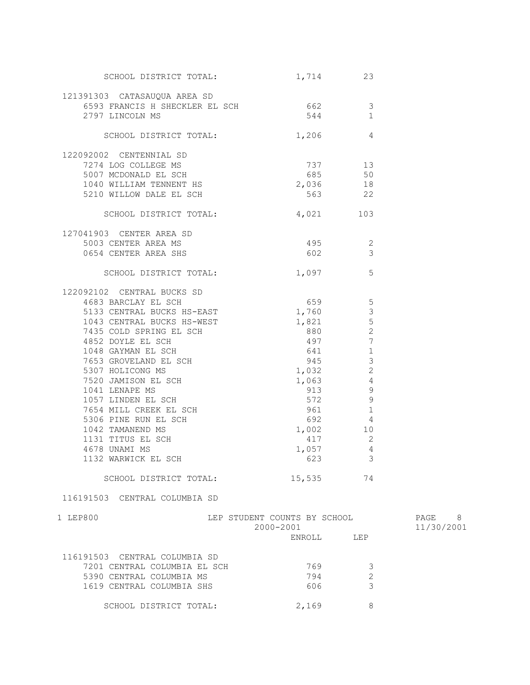| SCHOOL DISTRICT TOTAL:                                                                                                                                                                                                                               | 1,714                        | 23                      |            |
|------------------------------------------------------------------------------------------------------------------------------------------------------------------------------------------------------------------------------------------------------|------------------------------|-------------------------|------------|
| 121391303 CATASAUQUA AREA SD<br>6593 FRANCIS H SHECKLER EL SCH 662 3                                                                                                                                                                                 |                              |                         |            |
| 2797 LINCOLN MS                                                                                                                                                                                                                                      | 544                          | $\overline{1}$          |            |
| SCHOOL DISTRICT TOTAL: 1,206 4                                                                                                                                                                                                                       |                              |                         |            |
| 122092002 CENTENNIAL SD                                                                                                                                                                                                                              |                              |                         |            |
| 7274 LOG COLLEGE MS<br>5007 MCDONALD EL SCH                                                                                                                                                                                                          | 737 13                       |                         |            |
|                                                                                                                                                                                                                                                      | $685$ 50<br>2,036 18         |                         |            |
| 5007 MCDONALD EL SCH<br>1040 WILLIAM TENNENT HS                                                                                                                                                                                                      |                              |                         |            |
| 5210 WILLOW DALE EL SCH                                                                                                                                                                                                                              | 563 22                       |                         |            |
| SCHOOL DISTRICT TOTAL:                                                                                                                                                                                                                               | 4,021 103                    |                         |            |
| 127041903 CENTER AREA SD                                                                                                                                                                                                                             |                              |                         |            |
|                                                                                                                                                                                                                                                      |                              |                         |            |
| 0654 CENTER AREA SHS                                                                                                                                                                                                                                 | $602$ 3                      |                         |            |
| SCHOOL DISTRICT TOTAL: 1,097 5                                                                                                                                                                                                                       |                              |                         |            |
| 122092102 CENTRAL BUCKS SD                                                                                                                                                                                                                           |                              |                         |            |
| 4683 BARCLAY EL SCH 22                                                                                                                                                                                                                               |                              |                         |            |
| 5133 CENTRAL BUCKS HS-EAST                                                                                                                                                                                                                           | $1,760$ 3                    |                         |            |
| 1043 CENTRAL BUCKS HS-WEST 1,821 5                                                                                                                                                                                                                   |                              |                         |            |
|                                                                                                                                                                                                                                                      |                              |                         |            |
|                                                                                                                                                                                                                                                      |                              |                         |            |
| 1043 CENTRAL BUCKS HS-WEST<br>7435 COLD SPRING EL SCH<br>4852 DOYLE EL SCH<br>497 7<br>1048 GAYMAN EL SCH<br>7653 GROVELAND EL SCH<br>7653 GROVELAND EL SCH<br>5307 HOLICONG MS<br>7520 JAMISON EL SCH<br>1041 LENAPE MS<br>1057 LINDEN EL SCH<br>76 |                              |                         |            |
|                                                                                                                                                                                                                                                      |                              |                         |            |
|                                                                                                                                                                                                                                                      |                              |                         |            |
|                                                                                                                                                                                                                                                      |                              |                         |            |
|                                                                                                                                                                                                                                                      |                              |                         |            |
|                                                                                                                                                                                                                                                      |                              |                         |            |
|                                                                                                                                                                                                                                                      |                              |                         |            |
|                                                                                                                                                                                                                                                      | 1,002 10                     |                         |            |
| 1131 TITUS EL SCH                                                                                                                                                                                                                                    | 417 2                        |                         |            |
| 4678 UNAMI MS                                                                                                                                                                                                                                        | 1,057                        | $\overline{4}$          |            |
| 1132 WARWICK EL SCH                                                                                                                                                                                                                                  | 623                          | $\overline{\mathbf{3}}$ |            |
| SCHOOL DISTRICT TOTAL:                                                                                                                                                                                                                               | 15,535                       | 74                      |            |
| 116191503 CENTRAL COLUMBIA SD                                                                                                                                                                                                                        |                              |                         |            |
| 1 LEP800                                                                                                                                                                                                                                             | LEP STUDENT COUNTS BY SCHOOL |                         | PAGE 8     |
|                                                                                                                                                                                                                                                      | 2000-2001                    |                         | 11/30/2001 |
|                                                                                                                                                                                                                                                      | ENROLL LEP                   |                         |            |
| 116191503 CENTRAL COLUMBIA SD                                                                                                                                                                                                                        |                              |                         |            |
| 7201 CENTRAL COLUMBIA EL SCH                                                                                                                                                                                                                         | 769                          | 3                       |            |
| 5390 CENTRAL COLUMBIA MS                                                                                                                                                                                                                             | 794                          | $\mathbf 2$             |            |
| 1619 CENTRAL COLUMBIA SHS                                                                                                                                                                                                                            | 606                          | 3                       |            |
| SCHOOL DISTRICT TOTAL:                                                                                                                                                                                                                               | 2,169                        | 8                       |            |
|                                                                                                                                                                                                                                                      |                              |                         |            |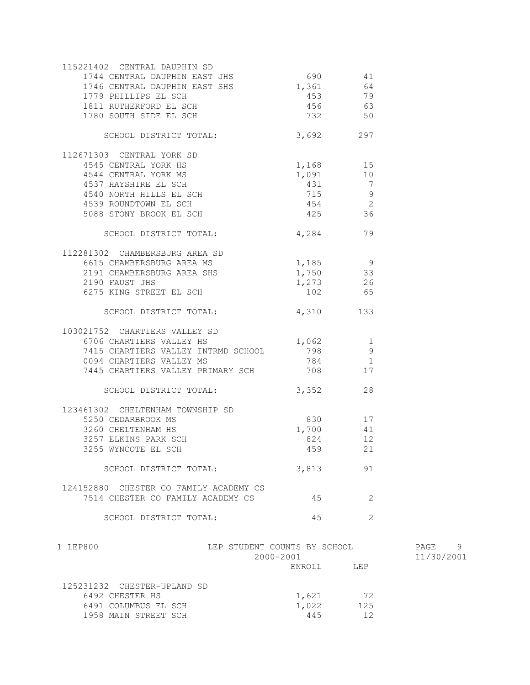| 6491 COLUMBUS EL SCH<br>1958 MAIN STREET SCH                                                                | 1,022<br>445            | 125<br>12                              |                         |
|-------------------------------------------------------------------------------------------------------------|-------------------------|----------------------------------------|-------------------------|
| 125231232 CHESTER-UPLAND SD<br>6492 CHESTER HS                                                              | 1,621                   | 72                                     |                         |
|                                                                                                             |                         |                                        |                         |
| 1 LEP800<br>LEP STUDENT COUNTS BY SCHOOL                                                                    | $2000 - 2001$<br>ENROLL | LEP                                    | PAGE<br>9<br>11/30/2001 |
| SCHOOL DISTRICT TOTAL:                                                                                      | 45                      | $\overline{2}$                         |                         |
| 124152880 CHESTER CO FAMILY ACADEMY CS<br>7514 CHESTER CO FAMILY ACADEMY CS                                 | 45                      | 2                                      |                         |
| SCHOOL DISTRICT TOTAL:                                                                                      | 3,813                   | 91                                     |                         |
| 3255 WYNCOTE EL SCH                                                                                         | 459 21                  |                                        |                         |
| 3257 ELKINS PARK SCH                                                                                        | 824                     | 12                                     |                         |
| 5250 CEDARBROOK MS<br>3260 CHELTENHAM HS                                                                    | 830 17<br>1,700         | 41                                     |                         |
| SCHOOL DISTRICT TOTAL:<br>123461302 CHELTENHAM TOWNSHIP SD                                                  | 3,352                   | 28                                     |                         |
|                                                                                                             |                         |                                        |                         |
| 7415 CHARTIERS VALLEY INTRMD SCHOOL<br>0094 CHARTIERS VALLEY MS<br>7445 CHARTIERS VALLEY PRIMARY SCH 708 17 | 784                     | $\sqrt{1}$                             |                         |
| 103021752 CHARTIERS VALLEY SD<br>6706 CHARTIERS VALLEY HS                                                   | $\frac{1,062}{708}$ 1   |                                        |                         |
| SCHOOL DISTRICT TOTAL:                                                                                      | 4,310 133               |                                        |                         |
| 6275 KING STREET EL SCH                                                                                     | 102 65                  |                                        |                         |
| 2190 FAUST JHS                                                                                              | $1,273$ 26              |                                        |                         |
| 6615 CHAMBERSBURG AREA MS<br>2191 CHAMBERSBURG AREA SHS                                                     | 1,185 9<br>1,750 33     |                                        |                         |
| 112281302 CHAMBERSBURG AREA SD                                                                              |                         |                                        |                         |
| SCHOOL DISTRICT TOTAL: 4,284 79                                                                             |                         |                                        |                         |
| 5088 STONY BROOK EL SCH                                                                                     | 425 36                  |                                        |                         |
| 4539 ROUNDTOWN EL SCH                                                                                       | $454$ 2                 |                                        |                         |
| 4537 HAYSHIRE EL SCH<br>4540 NORTH HILLS EL SCH                                                             | 715 9                   |                                        |                         |
| 4544 CENTRAL YORK MS                                                                                        | $1,091$<br>431          | $\begin{array}{c} 10 \\ 7 \end{array}$ |                         |
| 112671303 CENTRAL YORK SD<br>4545 CENTRAL YORK HS                                                           | $1,168$ 15              |                                        |                         |
| SCHOOL DISTRICT TOTAL: 3,692 297                                                                            |                         |                                        |                         |
| 1780 SOUTH SIDE EL SCH                                                                                      | 732 50                  |                                        |                         |
| 1779 PHILLIPS EL SCH<br>1811 RUTHERFORD EL SCH                                                              | 456 63                  |                                        |                         |
|                                                                                                             | $690$<br>1,361<br>453   | 79                                     |                         |
| 1746 CENTRAL DAUPHIN EAST SHS                                                                               |                         | 41<br>64                               |                         |
| 115221402 CENTRAL DAUPHIN SD<br>1744 CENTRAL DAUPHIN EAST JHS                                               |                         |                                        |                         |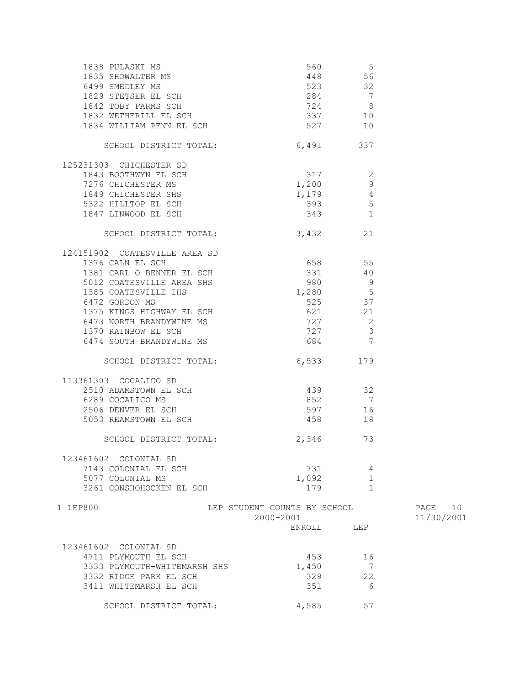| $\begin{tabular}{lllllllllllllllllllllll} \end{tabular} \begin{tabular}{lllllllllll} \multicolumn{4}{c}{\textbf{1838 PULASKI MS}} & \multicolumn{4}{c}{\textbf{560}} & \multicolumn{4}{c}{\textbf{56}} \\ \multicolumn{4}{c}{\textbf{1835 SHOWALTER MS}} & \multicolumn{4}{c}{\textbf{56}} & \multicolumn{4}{c}{\textbf{56}} \\ \multicolumn{4}{c}{\textbf{6499 SMEDLEX MS}} & \multicolumn{4}{c}{\textbf{523}} & \multicolumn{4}{c}{\textbf{523}} & \multicolumn$ |                                           |                         |                          |
|--------------------------------------------------------------------------------------------------------------------------------------------------------------------------------------------------------------------------------------------------------------------------------------------------------------------------------------------------------------------------------------------------------------------------------------------------------------------|-------------------------------------------|-------------------------|--------------------------|
|                                                                                                                                                                                                                                                                                                                                                                                                                                                                    |                                           |                         |                          |
|                                                                                                                                                                                                                                                                                                                                                                                                                                                                    |                                           |                         |                          |
|                                                                                                                                                                                                                                                                                                                                                                                                                                                                    |                                           |                         |                          |
|                                                                                                                                                                                                                                                                                                                                                                                                                                                                    |                                           |                         |                          |
|                                                                                                                                                                                                                                                                                                                                                                                                                                                                    |                                           |                         |                          |
|                                                                                                                                                                                                                                                                                                                                                                                                                                                                    |                                           |                         |                          |
| SCHOOL DISTRICT TOTAL:                                                                                                                                                                                                                                                                                                                                                                                                                                             | 6,491 337                                 |                         |                          |
| 125231303 CHICHESTER SD                                                                                                                                                                                                                                                                                                                                                                                                                                            | $317$ 2<br>1,200 9                        |                         |                          |
| 1843 BOOTHWYN EL SCH                                                                                                                                                                                                                                                                                                                                                                                                                                               |                                           |                         |                          |
| 7276 CHICHESTER MS                                                                                                                                                                                                                                                                                                                                                                                                                                                 |                                           |                         |                          |
| 1849 CHICHESTER SHS                                                                                                                                                                                                                                                                                                                                                                                                                                                |                                           |                         |                          |
| 5322 HILLTOP EL SCH                                                                                                                                                                                                                                                                                                                                                                                                                                                | 393 5                                     |                         |                          |
| 1847 LINWOOD EL SCH                                                                                                                                                                                                                                                                                                                                                                                                                                                | 343 1                                     |                         |                          |
| SCHOOL DISTRICT TOTAL:                                                                                                                                                                                                                                                                                                                                                                                                                                             | 3,432 21                                  |                         |                          |
| 124151902 COATESVILLE AREA SD                                                                                                                                                                                                                                                                                                                                                                                                                                      |                                           |                         |                          |
| 1376 CALN EL SCH                                                                                                                                                                                                                                                                                                                                                                                                                                                   | 658 55                                    |                         |                          |
| 1381 CARL O BENNER EL SCH                                                                                                                                                                                                                                                                                                                                                                                                                                          | 331                                       | 40                      |                          |
| 5012 COATESVILLE AREA SHS                                                                                                                                                                                                                                                                                                                                                                                                                                          | 980 9                                     |                         |                          |
| 1385 COATESVILLE IHS                                                                                                                                                                                                                                                                                                                                                                                                                                               | $1,280$ 5                                 |                         |                          |
| 6472 GORDON MS                                                                                                                                                                                                                                                                                                                                                                                                                                                     | 525 37                                    |                         |                          |
|                                                                                                                                                                                                                                                                                                                                                                                                                                                                    |                                           |                         |                          |
|                                                                                                                                                                                                                                                                                                                                                                                                                                                                    | 621 21                                    |                         |                          |
| 0472 GORDON MS<br>1375 KINGS HIGHWAY EL SCH<br>6473 NORTH BRANDYWINE MS<br>1370 RAINBOW EL SCH<br>6474 SOUTH BRANDYWINE MS                                                                                                                                                                                                                                                                                                                                         | $727$ 2                                   |                         |                          |
|                                                                                                                                                                                                                                                                                                                                                                                                                                                                    | 727                                       | $\overline{\mathbf{3}}$ |                          |
| 6474 SOUTH BRANDYWINE MS                                                                                                                                                                                                                                                                                                                                                                                                                                           | 684                                       | $\overline{7}$          |                          |
| SCHOOL DISTRICT TOTAL: 6,533 179                                                                                                                                                                                                                                                                                                                                                                                                                                   |                                           |                         |                          |
| 113361303 COCALICO SD                                                                                                                                                                                                                                                                                                                                                                                                                                              |                                           |                         |                          |
| 2510 ADAMSTOWN EL SCH<br>6289 COCALICO MS<br>2506 DENVER EL SCH<br>5053 REAMSTOWN EL SCH                                                                                                                                                                                                                                                                                                                                                                           | 439 32                                    |                         |                          |
|                                                                                                                                                                                                                                                                                                                                                                                                                                                                    | 852 7                                     |                         |                          |
|                                                                                                                                                                                                                                                                                                                                                                                                                                                                    |                                           | 597 16                  |                          |
|                                                                                                                                                                                                                                                                                                                                                                                                                                                                    | 458                                       | 18                      |                          |
|                                                                                                                                                                                                                                                                                                                                                                                                                                                                    |                                           |                         |                          |
| SCHOOL DISTRICT TOTAL:                                                                                                                                                                                                                                                                                                                                                                                                                                             | 2,346                                     | 73                      |                          |
| 123461602 COLONIAL SD                                                                                                                                                                                                                                                                                                                                                                                                                                              |                                           |                         |                          |
| 7143 COLONIAL EL SCH                                                                                                                                                                                                                                                                                                                                                                                                                                               | 731                                       | 4                       |                          |
| 5077 COLONIAL MS                                                                                                                                                                                                                                                                                                                                                                                                                                                   | 1,092                                     | 1                       |                          |
| 3261 CONSHOHOCKEN EL SCH                                                                                                                                                                                                                                                                                                                                                                                                                                           | 179                                       | $\mathbf{1}$            |                          |
| 1 LEP800                                                                                                                                                                                                                                                                                                                                                                                                                                                           | LEP STUDENT COUNTS BY SCHOOL<br>2000-2001 |                         | 10<br>PAGE<br>11/30/2001 |
|                                                                                                                                                                                                                                                                                                                                                                                                                                                                    | ENROLL                                    | LEP                     |                          |
| 123461602 COLONIAL SD                                                                                                                                                                                                                                                                                                                                                                                                                                              |                                           |                         |                          |
| 4711 PLYMOUTH EL SCH                                                                                                                                                                                                                                                                                                                                                                                                                                               | 453                                       | 16                      |                          |
| 3333 PLYMOUTH-WHITEMARSH SHS                                                                                                                                                                                                                                                                                                                                                                                                                                       | 1,450                                     | 7                       |                          |
| 3332 RIDGE PARK EL SCH                                                                                                                                                                                                                                                                                                                                                                                                                                             | 329                                       | 22                      |                          |
| 3411 WHITEMARSH EL SCH                                                                                                                                                                                                                                                                                                                                                                                                                                             | 351                                       | - 6                     |                          |
| SCHOOL DISTRICT TOTAL:                                                                                                                                                                                                                                                                                                                                                                                                                                             | 4,585                                     | 57                      |                          |
|                                                                                                                                                                                                                                                                                                                                                                                                                                                                    |                                           |                         |                          |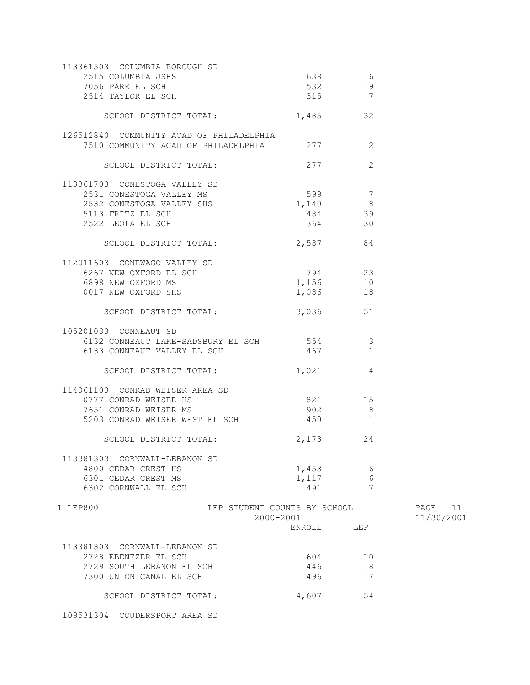| 113361503 COLUMBIA BOROUGH SD                                                        |                              |                |            |
|--------------------------------------------------------------------------------------|------------------------------|----------------|------------|
| 2515 COLUMBIA JSHS                                                                   |                              | 638 6          |            |
| 7056 PARK EL SCH                                                                     | 532 19                       |                |            |
| 2514 TAYLOR EL SCH                                                                   | 315 7                        |                |            |
|                                                                                      |                              |                |            |
| SCHOOL DISTRICT TOTAL: 1,485 32                                                      |                              |                |            |
|                                                                                      |                              |                |            |
| 126512840 COMMUNITY ACAD OF PHILADELPHIA                                             |                              |                |            |
| 7510 COMMUNITY ACAD OF PHILADELPHIA 277 2                                            |                              |                |            |
|                                                                                      |                              |                |            |
| SCHOOL DISTRICT TOTAL:                                                               | 277                          | 2              |            |
|                                                                                      |                              |                |            |
| 113361703 CONESTOGA VALLEY SD                                                        |                              |                |            |
| 2531 CONESTOGA VALLEY MS                                                             | 599 7                        |                |            |
| 2532 CONESTOGA VALLEY SHS 1,140 8                                                    |                              |                |            |
| 5113 FRITZ EL SCH                                                                    | 484 39                       |                |            |
| 2522 LEOLA EL SCH                                                                    | 364                          | 30             |            |
|                                                                                      |                              |                |            |
| SCHOOL DISTRICT TOTAL: 2,587 84                                                      |                              |                |            |
|                                                                                      |                              |                |            |
| 112011603 CONEWAGO VALLEY SD                                                         |                              |                |            |
| 6267 NEW OXFORD EL SCH<br>6898 NEW OXFORD MS 1,156 10<br>0017 NEW OXFORD MS 1,156 10 |                              |                |            |
|                                                                                      |                              |                |            |
| 0017 NEW OXFORD SHS                                                                  | 1,086                        | 18             |            |
|                                                                                      |                              |                |            |
| SCHOOL DISTRICT TOTAL:                                                               | 3,036                        | 51             |            |
|                                                                                      |                              |                |            |
| 105201033 CONNEAUT SD                                                                |                              |                |            |
| 6132 CONNEAUT LAKE-SADSBURY EL SCH 554 554                                           |                              |                |            |
| 6133 CONNEAUT VALLEY EL SCH                                                          | 467 1                        |                |            |
|                                                                                      |                              |                |            |
| SCHOOL DISTRICT TOTAL: 1,021 4                                                       |                              |                |            |
|                                                                                      |                              |                |            |
| 114061103 CONRAD WEISER AREA SD                                                      |                              |                |            |
| 0777 CONRAD WEISER HS                                                                | 821 15                       |                |            |
| 7651 CONRAD WEISER MS                                                                | 902                          | 8              |            |
| 5203 CONRAD WEISER WEST EL SCH                                                       | 450                          | $\overline{1}$ |            |
|                                                                                      |                              |                |            |
| SCHOOL DISTRICT TOTAL:                                                               | 2, 173                       | 24             |            |
|                                                                                      |                              |                |            |
| 113381303 CORNWALL-LEBANON SD                                                        |                              |                |            |
| 4800 CEDAR CREST HS                                                                  | 1,453                        | 6              |            |
| 6301 CEDAR CREST MS                                                                  | 1,117                        | 6              |            |
| 6302 CORNWALL EL SCH                                                                 | 491                          | $\overline{7}$ |            |
|                                                                                      |                              |                |            |
| 1 LEP800                                                                             | LEP STUDENT COUNTS BY SCHOOL |                | 11<br>PAGE |
|                                                                                      | 2000-2001                    |                | 11/30/2001 |
|                                                                                      | ENROLL                       | LEP            |            |
|                                                                                      |                              |                |            |
| 113381303 CORNWALL-LEBANON SD                                                        |                              |                |            |
| 2728 EBENEZER EL SCH                                                                 | 604                          | 10             |            |
| 2729 SOUTH LEBANON EL SCH                                                            | 446                          | 8              |            |
| 7300 UNION CANAL EL SCH                                                              | 496                          | 17             |            |
|                                                                                      |                              |                |            |
| SCHOOL DISTRICT TOTAL:                                                               | 4,607                        | 54             |            |
|                                                                                      |                              |                |            |

109531304 COUDERSPORT AREA SD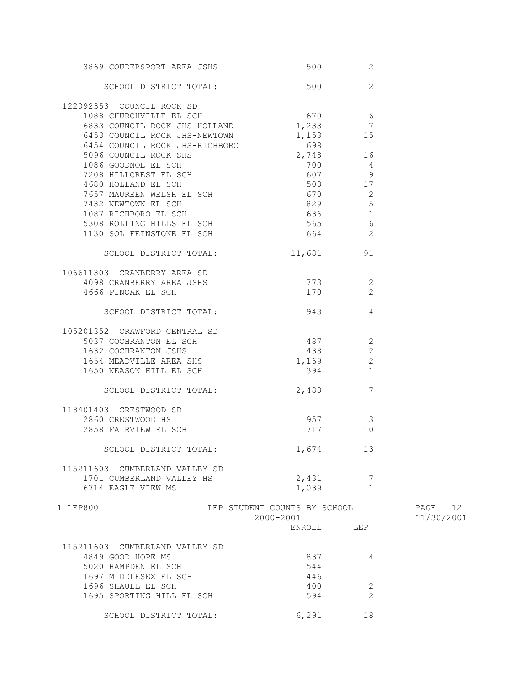| 3869 COUDERSPORT AREA JSHS     | 500                          | 2                       |            |
|--------------------------------|------------------------------|-------------------------|------------|
| SCHOOL DISTRICT TOTAL:         | 500                          | 2                       |            |
| 122092353 COUNCIL ROCK SD      |                              |                         |            |
| 1088 CHURCHVILLE EL SCH        | 670 6                        |                         |            |
| 6833 COUNCIL ROCK JHS-HOLLAND  | $1,233$ 7                    |                         |            |
| 6453 COUNCIL ROCK JHS-NEWTOWN  |                              | $1,153$ 15              |            |
| 6454 COUNCIL ROCK JHS-RICHBORO | 698                          |                         |            |
|                                |                              | $\overline{\mathbf{1}}$ |            |
| 5096 COUNCIL ROCK SHS          | 2,748                        | 16                      |            |
| 1086 GOODNOE EL SCH            | 700                          | 4                       |            |
| 7208 HILLCREST EL SCH          |                              | 607 9                   |            |
| 4680 HOLLAND EL SCH            |                              | 508 17                  |            |
| 7657 MAUREEN WELSH EL SCH      | 670                          | $\sim$ 2                |            |
| 7432 NEWTOWN EL SCH            | 829 32                       | 5                       |            |
| 1087 RICHBORO EL SCH           | 636 8                        | 1                       |            |
| 5308 ROLLING HILLS EL SCH      | 565                          | $6\,$                   |            |
|                                |                              | 2                       |            |
| 1130 SOL FEINSTONE EL SCH      | 664                          |                         |            |
| SCHOOL DISTRICT TOTAL:         |                              | 11,681 91               |            |
| 106611303 CRANBERRY AREA SD    |                              |                         |            |
| 4098 CRANBERRY AREA JSHS       | 773                          | 2                       |            |
| 4666 PINOAK EL SCH             | 170                          | 2                       |            |
|                                |                              |                         |            |
| SCHOOL DISTRICT TOTAL:         | 943                          | 4                       |            |
| 105201352 CRAWFORD CENTRAL SD  |                              |                         |            |
| 5037 COCHRANTON EL SCH         | 487 2                        |                         |            |
|                                |                              |                         |            |
| 1632 COCHRANTON JSHS           |                              | 438 2                   |            |
| 1654 MEADVILLE AREA SHS        | 1,169                        | 2                       |            |
| 1650 NEASON HILL EL SCH        |                              | 394 394<br>$\mathbf{1}$ |            |
| SCHOOL DISTRICT TOTAL:         | 2,488                        | 7                       |            |
| 118401403 CRESTWOOD SD         |                              |                         |            |
| 2860 CRESTWOOD HS              | 957                          | $\mathcal{S}$           |            |
| 2858 FAIRVIEW EL SCH           |                              | 717 10                  |            |
|                                |                              |                         |            |
| SCHOOL DISTRICT TOTAL:         | 1,674                        | -13                     |            |
| 115211603 CUMBERLAND VALLEY SD |                              |                         |            |
|                                |                              | $\overline{7}$          |            |
| 1701 CUMBERLAND VALLEY HS      | 2,431                        |                         |            |
| 6714 EAGLE VIEW MS             | 1,039                        | $\mathbf{1}$            |            |
| 1 LEP800                       | LEP STUDENT COUNTS BY SCHOOL |                         | PAGE 12    |
|                                | 2000-2001                    |                         | 11/30/2001 |
|                                |                              | ENROLL LEP              |            |
|                                |                              |                         |            |
| 115211603 CUMBERLAND VALLEY SD |                              |                         |            |
| 4849 GOOD HOPE MS              | 837                          | 4                       |            |
| 5020 HAMPDEN EL SCH            | 544                          | $\mathbf{1}$            |            |
| 1697 MIDDLESEX EL SCH          | 446                          | $\mathbf{1}$            |            |
|                                |                              | $\mathbf{2}$            |            |
| 1696 SHAULL EL SCH             | 400                          |                         |            |
| 1695 SPORTING HILL EL SCH      | 594                          | $\overline{2}$          |            |
|                                |                              |                         |            |
| SCHOOL DISTRICT TOTAL:         | 6,291                        | 18                      |            |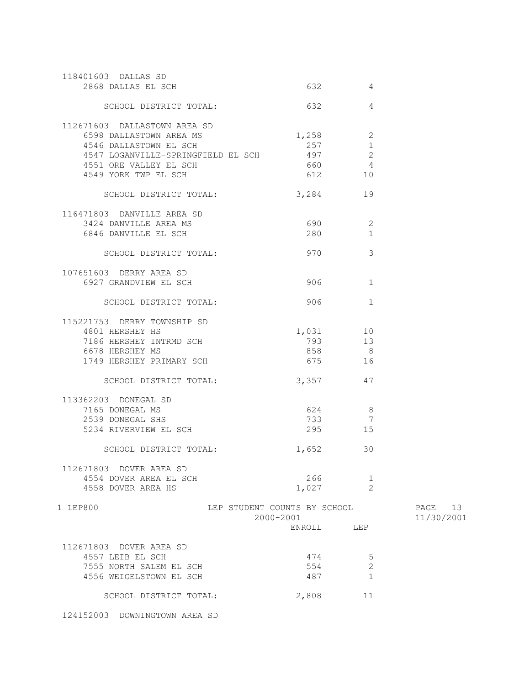| 118401603 DALLAS SD<br>2868 DALLAS EL SCH                                                                                                                                 |                                                     | 4                                                                |                          |
|---------------------------------------------------------------------------------------------------------------------------------------------------------------------------|-----------------------------------------------------|------------------------------------------------------------------|--------------------------|
| SCHOOL DISTRICT TOTAL:                                                                                                                                                    | 632                                                 | 4                                                                |                          |
| 112671603 DALLASTOWN AREA SD<br>6598 DALLASTOWN AREA MS<br>4546 DALLASTOWN EL SCH<br>4547 LOGANVILLE-SPRINGFIELD EL SCH<br>4551 ORE VALLEY EL SCH<br>4549 YORK TWP EL SCH | 1,258<br>257<br>497<br>660                          | 2<br>$\mathbf{1}$<br>$\mathbf{2}$<br>$\overline{4}$<br>612<br>10 |                          |
| SCHOOL DISTRICT TOTAL:                                                                                                                                                    | 3,284                                               | 19                                                               |                          |
| 116471803 DANVILLE AREA SD<br>3424 DANVILLE AREA MS<br>6846 DANVILLE EL SCH                                                                                               | 690 -<br>280                                        | 2<br>$\mathbf{1}$                                                |                          |
| SCHOOL DISTRICT TOTAL:                                                                                                                                                    |                                                     | 3<br>970 — 100                                                   |                          |
| 107651603 DERRY AREA SD<br>6927 GRANDVIEW EL SCH                                                                                                                          |                                                     | 906 — 100<br>1                                                   |                          |
| SCHOOL DISTRICT TOTAL:                                                                                                                                                    | 906                                                 | $\mathbf{1}$                                                     |                          |
| 115221753 DERRY TOWNSHIP SD<br>4801 HERSHEY HS<br>7186 HERSHEY INTRMD SCH<br>6678 HERSHEY MS<br>1749 HERSHEY PRIMARY SCH                                                  |                                                     | 1,031 10<br>793 13<br>858 8<br>675 16                            |                          |
| SCHOOL DISTRICT TOTAL:                                                                                                                                                    |                                                     | 3,357<br>47                                                      |                          |
| 113362203 DONEGAL SD<br>7165 DONEGAL MS<br>2539 DONEGAL SHS<br>5234 RIVERVIEW EL SCH                                                                                      | 624<br>733<br>295                                   | 8 <sup>8</sup><br>7<br>15                                        |                          |
| SCHOOL DISTRICT TOTAL:                                                                                                                                                    | 1,652                                               | 30                                                               |                          |
| 112671803 DOVER AREA SD<br>4554 DOVER AREA EL SCH<br>4558 DOVER AREA HS                                                                                                   | 266<br>1,027                                        | $\mathbf 1$<br>$\overline{2}$                                    |                          |
| 1 LEP800                                                                                                                                                                  | LEP STUDENT COUNTS BY SCHOOL<br>2000-2001<br>ENROLL | LEP                                                              | 13<br>PAGE<br>11/30/2001 |
| 112671803 DOVER AREA SD<br>4557 LEIB EL SCH<br>7555 NORTH SALEM EL SCH<br>4556 WEIGELSTOWN EL SCH<br>SCHOOL DISTRICT TOTAL:                                               | 474<br>554<br>487<br>2,808                          | 5<br>$\mathbf 2$<br>$\mathbf{1}$<br>11                           |                          |
|                                                                                                                                                                           |                                                     |                                                                  |                          |

124152003 DOWNINGTOWN AREA SD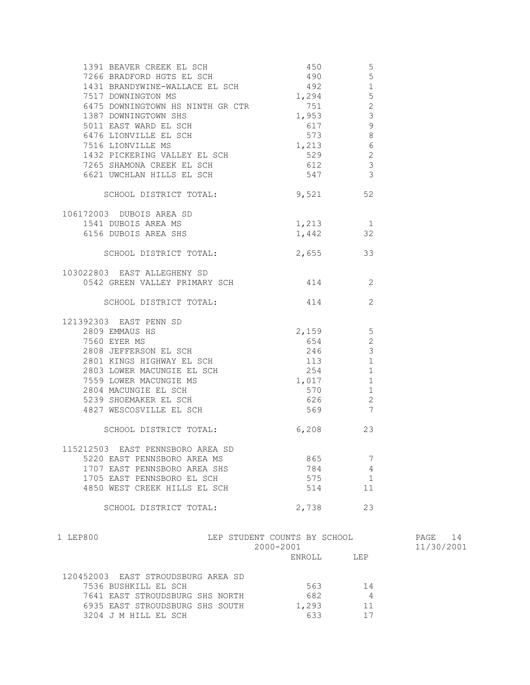| 1391 BEAVER CREEK EL SCH<br>7266 BRADFORD HGTS EL SCH<br>1431 BRANDYWINE-WALLACE EL SCH<br>7517 DOWNINGTON MS                      | 450<br>490<br>492<br>$492$<br>1,294 | 5<br>$5\phantom{.0}$<br>$1\,$<br>$\overline{5}$ |            |
|------------------------------------------------------------------------------------------------------------------------------------|-------------------------------------|-------------------------------------------------|------------|
| 6475 DOWNINGTOWN HS NINTH GR CTR 751                                                                                               | $1,953$ 3                           | 2                                               |            |
| 1387 DOWNINGTOWN SHS<br>5011 EAST WARD EL SCH                                                                                      | 617                                 | 9                                               |            |
| 6476 LIONVILLE EL SCH<br>7516 LIONVILLE MS                                                                                         | 573                                 | 8                                               |            |
| 1432 PICKERING VALLEY EL SCH<br>1432 PICKERING VALLEY EL SCH<br>210                                                                | 1,213                               | 6                                               |            |
|                                                                                                                                    |                                     | 2<br>$\mathcal{S}$                              |            |
| 7265 SHAMONA CREEK EL SCH<br>6621 UWCHLAN HILLS EL SCH                                                                             | 612<br>547                          | $\mathbf{3}$                                    |            |
| SCHOOL DISTRICT TOTAL: 9,521 52                                                                                                    |                                     |                                                 |            |
| 106172003 DUBOIS AREA SD                                                                                                           |                                     |                                                 |            |
|                                                                                                                                    |                                     |                                                 |            |
| EXECUTE AREA SD<br>1541 DUBOIS AREA MS<br>6156 DUBOIS AREA SHS<br>1.442                                                            |                                     |                                                 |            |
| SCHOOL DISTRICT TOTAL: 2,655 33                                                                                                    |                                     |                                                 |            |
| 103022803 EAST ALLEGHENY SD                                                                                                        |                                     |                                                 |            |
| 0542 GREEN VALLEY PRIMARY SCH 414 414                                                                                              |                                     |                                                 |            |
| SCHOOL DISTRICT TOTAL: 414                                                                                                         |                                     | 2                                               |            |
| 121392303 EAST PENN SD                                                                                                             |                                     |                                                 |            |
| 92303 EAST PENN SD<br>2809 EMMAUS HS<br>3560 EMER MC                                                                               | $2,159$ 5                           |                                                 |            |
| 2808 JEFFERSON EL SCH<br>2801 KINGS HIGHWAY EL SCH<br>2803 LOWER MACUNGIE EL SCH<br>7559 LOWER MACUNGIE MS<br>2804 MACUNGIE EL SCH | 654                                 | 2                                               |            |
|                                                                                                                                    | 246                                 | $\mathbf{3}$                                    |            |
|                                                                                                                                    | 113                                 | $\mathbf{1}$                                    |            |
|                                                                                                                                    | 254                                 | 1                                               |            |
|                                                                                                                                    | 1,017                               | 1                                               |            |
|                                                                                                                                    | 570                                 | $\mathbf{1}$                                    |            |
| 5239 SHOEMAKER EL SCH                                                                                                              | 626                                 | 2                                               |            |
| 4827 WESCOSVILLE EL SCH                                                                                                            | 569 7                               |                                                 |            |
| SCHOOL DISTRICT TOTAL:                                                                                                             | 6,208                               | 23                                              |            |
| 115212503 EAST PENNSBORO AREA SD                                                                                                   |                                     |                                                 |            |
| 5220 EAST PENNSBORO AREA MS                                                                                                        | 865                                 | 7                                               |            |
| 1707 EAST PENNSBORO AREA SHS                                                                                                       | 784                                 | 4                                               |            |
| 1705 EAST PENNSBORO EL SCH                                                                                                         | 575                                 | 1                                               |            |
| 4850 WEST CREEK HILLS EL SCH                                                                                                       | 514                                 | 11                                              |            |
| SCHOOL DISTRICT TOTAL:                                                                                                             | 2,738                               | 23                                              |            |
| 1 LEP800                                                                                                                           | LEP STUDENT COUNTS BY SCHOOL        |                                                 | 14<br>PAGE |
|                                                                                                                                    | 2000-2001                           |                                                 | 11/30/2001 |

| PAGE |            | 14 |  |
|------|------------|----|--|
|      | 11/30/2001 |    |  |

| 120452003 EAST STROUDSBURG AREA SD |       |    |
|------------------------------------|-------|----|
| 7536 BUSHKILL EL SCH               | 563   | 14 |
| 7641 EAST STROUDSBURG SHS NORTH    | 682   |    |
| 6935 EAST STROUDSBURG SHS SOUTH    | 1,293 | 11 |
| 3204 J M HILL EL SCH               | 633   | 17 |

ENROLL LEP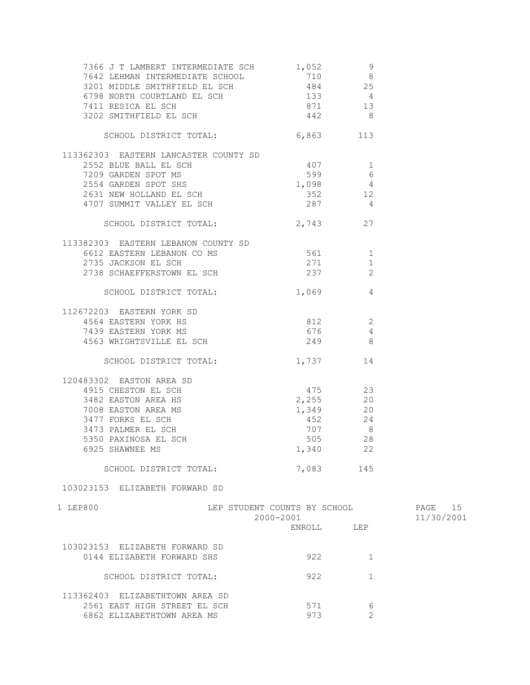| $\begin{tabular}{lllllllllllllllll} \end{tabular} \begin{tabular}{lllllllllll} \multicolumn{4}{c}{\text{\small 7366 J T LAMBERT INTERMEDIATE SCH}} & \multicolumn{4}{c}{\text{\small 1,052}} & \multicolumn{4}{c}{\text{\small 9}} \\ \multicolumn{4}{c}{\text{\small 7642 LEHMAN INTERMEDIATE SCHOOL}} & \multicolumn{4}{c}{\text{\small 710}} & \multicolumn{4}{c}{\text{\small 8}} \\ \multicolumn{4}{c}{\text{\small 3201 MIDDE SMITHFIEDL EL SCH}} & \multicolumn{4}{c}{\text{\small 484$ |                                                                                               |                                            |                       |
|------------------------------------------------------------------------------------------------------------------------------------------------------------------------------------------------------------------------------------------------------------------------------------------------------------------------------------------------------------------------------------------------------------------------------------------------------------------------------------------------|-----------------------------------------------------------------------------------------------|--------------------------------------------|-----------------------|
| SCHOOL DISTRICT TOTAL: 6,863 113                                                                                                                                                                                                                                                                                                                                                                                                                                                               |                                                                                               |                                            |                       |
| 113362303 EASTERN LANCASTER COUNTY SD<br>2552 BLUE BALL EL SCH<br>2552 BLUE BALL EL SCH<br>2631 GARDEN SPOT SHS<br>2631 NEW HOLLAND EL SCH<br>4707 SUMMIT VALLEY EL SCH<br>287<br>4                                                                                                                                                                                                                                                                                                            | 407 1                                                                                         |                                            |                       |
| SCHOOL DISTRICT TOTAL: 2,743 27                                                                                                                                                                                                                                                                                                                                                                                                                                                                |                                                                                               |                                            |                       |
| 113382303 EASTERN LEBANON COUNTY SD<br>6612 EASTERN LEBANON CO MS 561 561 1<br>2735 JACKSON EL SCH 2738 SCHAEFFERSTOWN EL SCH 237 2                                                                                                                                                                                                                                                                                                                                                            |                                                                                               |                                            |                       |
| SCHOOL DISTRICT TOTAL: 1,069 4                                                                                                                                                                                                                                                                                                                                                                                                                                                                 |                                                                                               |                                            |                       |
| 112672203 EASTERN YORK SD<br>572203 EASTERN YORK SD<br>4564 EASTERN YORK HS<br>7439 EASTERN YORK MS 676<br>4563 WRIGHTSVILLE EL SCH 249                                                                                                                                                                                                                                                                                                                                                        | $812$ 2                                                                                       | $\overline{4}$<br>$\overline{\phantom{0}}$ |                       |
| SCHOOL DISTRICT TOTAL: 1,737 14                                                                                                                                                                                                                                                                                                                                                                                                                                                                |                                                                                               |                                            |                       |
| 120483302 EASTON AREA SD<br>4915 CHESTON EL SCH<br>3482 EASTON AREA HS<br>7008 EASTON AREA MS<br>3477 FORKS EL SCH<br>3473 PALMER EL SCH<br>5350 PAXINOSA EL SCH<br>6925 SHAWNEE MS<br>SCHOOL DISTRICT TOTAL:<br>103023153 ELIZABETH FORWARD SD                                                                                                                                                                                                                                                | $-775$ 14<br>$-975$ 23<br>$2,255$ 20<br>$1,349$ 20<br>$452$ 24<br>$707$<br>1,340<br>7,083 145 | 22                                         |                       |
| 1 LEP800                                                                                                                                                                                                                                                                                                                                                                                                                                                                                       | LEP STUDENT COUNTS BY SCHOOL<br>$2000 - 2001$<br>ENROLL LEP                                   |                                            | PAGE 15<br>11/30/2001 |
| 103023153 ELIZABETH FORWARD SD<br>0144 ELIZABETH FORWARD SHS                                                                                                                                                                                                                                                                                                                                                                                                                                   | 922                                                                                           | 1                                          |                       |
| SCHOOL DISTRICT TOTAL:                                                                                                                                                                                                                                                                                                                                                                                                                                                                         | 922                                                                                           | 1                                          |                       |
| 113362403 ELIZABETHTOWN AREA SD<br>2561 EAST HIGH STREET EL SCH<br>6862 ELIZABETHTOWN AREA MS                                                                                                                                                                                                                                                                                                                                                                                                  | 571<br>973                                                                                    | 6<br>$\overline{2}$                        |                       |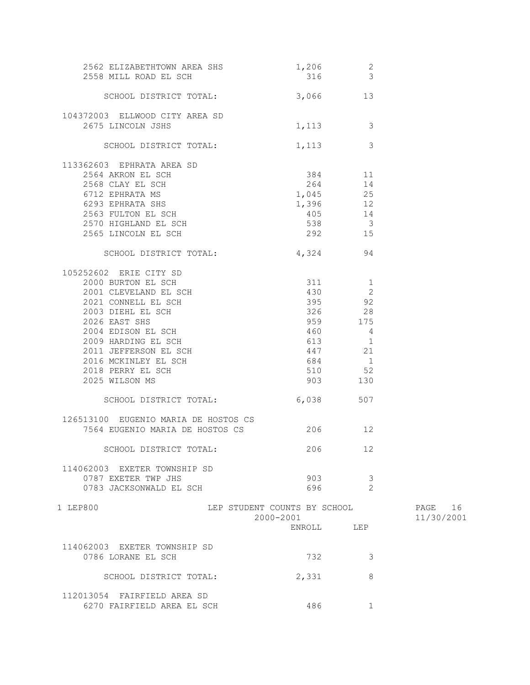| 2562 ELIZABETHTOWN AREA SHS<br>2558 MILL ROAD EL SCH                                                                                                                                                                                                                                              | $1,206$ 2                                 | 316 3                                                                                            |                       |
|---------------------------------------------------------------------------------------------------------------------------------------------------------------------------------------------------------------------------------------------------------------------------------------------------|-------------------------------------------|--------------------------------------------------------------------------------------------------|-----------------------|
| SCHOOL DISTRICT TOTAL:                                                                                                                                                                                                                                                                            | 3,066 13                                  |                                                                                                  |                       |
| 104372003 ELLWOOD CITY AREA SD<br>2675 LINCOLN JSHS                                                                                                                                                                                                                                               |                                           | 1, 113 3                                                                                         |                       |
| SCHOOL DISTRICT TOTAL:                                                                                                                                                                                                                                                                            |                                           | 3<br>1,113                                                                                       |                       |
| 113362603 EPHRATA AREA SD<br>2564 AKRON EL SCH<br>2568 CLAY EL SCH<br>6712 EPHRATA MS<br>6293 EPHRATA SHS<br>2563 FULTON EL SCH<br>2565 LINCOLN EL SCH                                                                                                                                            | 1,045<br>1,396<br>405                     | 384 11<br>264 14<br>25<br>12<br>14<br>538 3<br>292 15                                            |                       |
| SCHOOL DISTRICT TOTAL:                                                                                                                                                                                                                                                                            | 4,324 94                                  |                                                                                                  |                       |
| 105252602 ERIE CITY SD<br>2000 BURTON EL SCH<br>2001 CLEVELAND EL SCH<br>2021 CONNELL EL SCH<br>2003 DIEHL EL SCH<br>2026 EAST SHS<br>2004 EDISON EL SCH<br>2009 HARDING EL SCH<br>2011 JEFFERSON EL SCH<br>2016 MCKINLEY EL SCH<br>2018 PERRY EL SCH<br>2025 WILSON MS<br>SCHOOL DISTRICT TOTAL: | 430<br>$460$ 4<br>510<br>903<br>6,038 507 | $311$ $1$<br>430 2<br>-2<br>395 92<br>326 28<br>959 175<br>613 1<br>447 21<br>684 1<br>52<br>130 |                       |
| 126513100 EUGENIO MARIA DE HOSTOS CS<br>7564 EUGENIO MARIA DE HOSTOS CS                                                                                                                                                                                                                           | 206 12                                    |                                                                                                  |                       |
| SCHOOL DISTRICT TOTAL:                                                                                                                                                                                                                                                                            | 206 12                                    |                                                                                                  |                       |
| 114062003 EXETER TOWNSHIP SD<br>0787 EXETER TWP JHS<br>0783 JACKSONWALD EL SCH                                                                                                                                                                                                                    | 903<br>696                                | 3<br>$\mathcal{L}$                                                                               |                       |
| 1 LEP800                                                                                                                                                                                                                                                                                          | LEP STUDENT COUNTS BY SCHOOL<br>2000-2001 | ENROLL LEP                                                                                       | PAGE 16<br>11/30/2001 |
| 114062003 EXETER TOWNSHIP SD<br>0786 LORANE EL SCH                                                                                                                                                                                                                                                | 732                                       | 3                                                                                                |                       |
| SCHOOL DISTRICT TOTAL:                                                                                                                                                                                                                                                                            | 2,331                                     | 8                                                                                                |                       |
| 112013054 FAIRFIELD AREA SD<br>6270 FAIRFIELD AREA EL SCH                                                                                                                                                                                                                                         | 486                                       | $\mathbf{1}$                                                                                     |                       |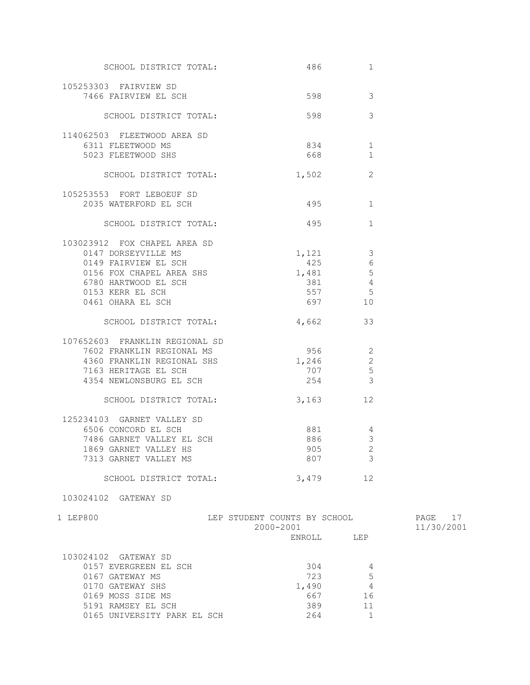| SCHOOL DISTRICT TOTAL:                        |                                                                                                                                                                                                                                          | 1                        |            |
|-----------------------------------------------|------------------------------------------------------------------------------------------------------------------------------------------------------------------------------------------------------------------------------------------|--------------------------|------------|
| 105253303 FAIRVIEW SD<br>7466 FAIRVIEW EL SCH |                                                                                                                                                                                                                                          | 3                        |            |
|                                               |                                                                                                                                                                                                                                          |                          |            |
| SCHOOL DISTRICT TOTAL:                        | 598                                                                                                                                                                                                                                      | 3                        |            |
| 114062503 FLEETWOOD AREA SD                   |                                                                                                                                                                                                                                          |                          |            |
| 6311 FLEETWOOD MS<br>5023 FLEETWOOD SHS       | 834   100   100   100   100   100   100   100   100   100   100   100   100   100   100   100   100   100   100   100   100   100   100   100   100   100   100   100   100   100   100   100   100   100   100   100   100   1<br>668 8 | 1<br>$\mathbf{1}$        |            |
|                                               |                                                                                                                                                                                                                                          |                          |            |
| SCHOOL DISTRICT TOTAL:                        | 1,502                                                                                                                                                                                                                                    | 2                        |            |
| 105253553 FORT LEBOEUF SD                     |                                                                                                                                                                                                                                          |                          |            |
| 2035 WATERFORD EL SCH                         | 495                                                                                                                                                                                                                                      | 1                        |            |
| SCHOOL DISTRICT TOTAL:                        | 495 30                                                                                                                                                                                                                                   | $\mathbf{1}$             |            |
| 103023912 FOX CHAPEL AREA SD                  |                                                                                                                                                                                                                                          |                          |            |
| 0147 DORSEYVILLE MS                           | 1,121                                                                                                                                                                                                                                    | $\mathcal{S}$            |            |
| 0149 FAIRVIEW EL SCH                          | 425                                                                                                                                                                                                                                      | 6                        |            |
| 0156 FOX CHAPEL AREA SHS                      | 1,481                                                                                                                                                                                                                                    | 5                        |            |
| 6780 HARTWOOD EL SCH                          | 381                                                                                                                                                                                                                                      | $\overline{4}$           |            |
| 0153 KERR EL SCH                              | 697 697                                                                                                                                                                                                                                  | 557 5                    |            |
| 0461 OHARA EL SCH                             |                                                                                                                                                                                                                                          | 10                       |            |
| SCHOOL DISTRICT TOTAL:                        | 4,662                                                                                                                                                                                                                                    | 33                       |            |
| 107652603 FRANKLIN REGIONAL SD                |                                                                                                                                                                                                                                          |                          |            |
| 7602 FRANKLIN REGIONAL MS                     | 956 1990                                                                                                                                                                                                                                 | $\overline{2}$           |            |
| 4360 FRANKLIN REGIONAL SHS                    | 1,246                                                                                                                                                                                                                                    | 2                        |            |
| 7163 HERITAGE EL SCH                          | 707                                                                                                                                                                                                                                      | $5\phantom{.0}$          |            |
| 4354 NEWLONSBURG EL SCH                       | 254                                                                                                                                                                                                                                      | $\overline{3}$           |            |
| SCHOOL DISTRICT TOTAL:                        | 3,163                                                                                                                                                                                                                                    | 12                       |            |
| 125234103 GARNET VALLEY SD                    |                                                                                                                                                                                                                                          |                          |            |
| 6506 CONCORD EL SCH                           | 881                                                                                                                                                                                                                                      | 4                        |            |
| 7486 GARNET VALLEY EL SCH                     | 886                                                                                                                                                                                                                                      | $\mathfrak{Z}$           |            |
| 1869 GARNET VALLEY HS                         | 905                                                                                                                                                                                                                                      | $\overline{\phantom{0}}$ |            |
| 7313 GARNET VALLEY MS                         | 807                                                                                                                                                                                                                                      | 3                        |            |
| SCHOOL DISTRICT TOTAL:                        | 3,479                                                                                                                                                                                                                                    | 12                       |            |
| 103024102 GATEWAY SD                          |                                                                                                                                                                                                                                          |                          |            |
| 1 LEP800                                      | LEP STUDENT COUNTS BY SCHOOL                                                                                                                                                                                                             |                          | PAGE 17    |
|                                               | 2000-2001                                                                                                                                                                                                                                |                          | 11/30/2001 |
|                                               | ENROLL                                                                                                                                                                                                                                   | LEP                      |            |
| 103024102 GATEWAY SD                          |                                                                                                                                                                                                                                          |                          |            |
| 0157 EVERGREEN EL SCH                         | 304                                                                                                                                                                                                                                      | 4                        |            |
| 0167 GATEWAY MS                               | 723                                                                                                                                                                                                                                      | 5                        |            |
| 0170 GATEWAY SHS                              | 1,490                                                                                                                                                                                                                                    | 4                        |            |
| 0169 MOSS SIDE MS                             | 667                                                                                                                                                                                                                                      | 16                       |            |
| 5191 RAMSEY EL SCH                            | 389                                                                                                                                                                                                                                      | 11                       |            |
| 0165 UNIVERSITY PARK EL SCH                   | 264                                                                                                                                                                                                                                      | $\mathbf{1}$             |            |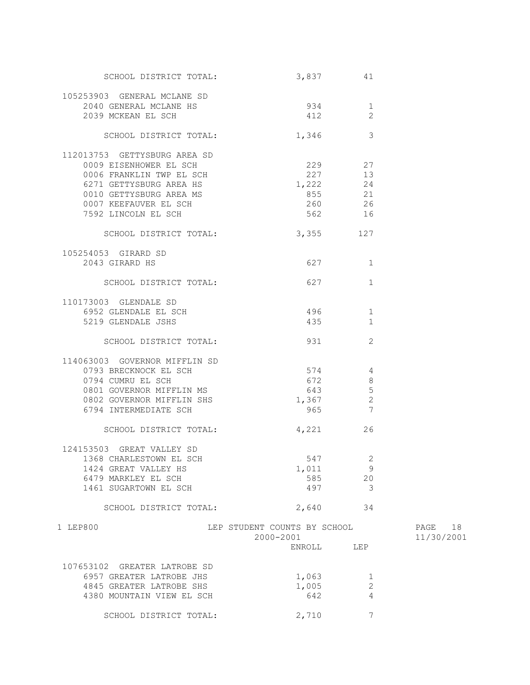| SCHOOL DISTRICT TOTAL:        |                              | 3,837<br>41                |            |
|-------------------------------|------------------------------|----------------------------|------------|
| 105253903 GENERAL MCLANE SD   |                              |                            |            |
| 2040 GENERAL MCLANE HS        | 934                          | 1                          |            |
| 2039 MCKEAN EL SCH            | 412                          | 2                          |            |
|                               |                              |                            |            |
| SCHOOL DISTRICT TOTAL:        | 1,346                        | 3                          |            |
| 112013753 GETTYSBURG AREA SD  |                              |                            |            |
| 0009 EISENHOWER EL SCH        |                              | 229 27                     |            |
| 0006 FRANKLIN TWP EL SCH      |                              | 227 13                     |            |
| 6271 GETTYSBURG AREA HS       |                              | $1,222$ 24                 |            |
| 0010 GETTYSBURG AREA MS       | 855                          | 21                         |            |
|                               |                              |                            |            |
| 0007 KEEFAUVER EL SCH         | 260                          | 26                         |            |
| 7592 LINCOLN EL SCH           | 562                          | 16                         |            |
| SCHOOL DISTRICT TOTAL:        | 3,355 127                    |                            |            |
| 105254053 GIRARD SD           |                              |                            |            |
| 2043 GIRARD HS                |                              | 627 — 100<br>1             |            |
|                               |                              |                            |            |
| SCHOOL DISTRICT TOTAL:        |                              | 627 — 100<br>1             |            |
| 110173003 GLENDALE SD         |                              |                            |            |
|                               |                              |                            |            |
| 6952 GLENDALE EL SCH          | 496                          | 1                          |            |
| 5219 GLENDALE JSHS            | 435                          | $\mathbf{1}$               |            |
| SCHOOL DISTRICT TOTAL:        | 931                          | 2                          |            |
|                               |                              |                            |            |
| 114063003 GOVERNOR MIFFLIN SD |                              |                            |            |
| 0793 BRECKNOCK EL SCH         | 574                          | $\overline{4}$             |            |
| 0794 CUMRU EL SCH             | 672                          | 8                          |            |
| 0801 GOVERNOR MIFFLIN MS      |                              | 643<br>$5\phantom{.0}$     |            |
| 0802 GOVERNOR MIFFLIN SHS     | 1,367                        | $\overline{\phantom{a}}$   |            |
| 6794 INTERMEDIATE SCH         |                              | 965 7                      |            |
|                               |                              |                            |            |
| SCHOOL DISTRICT TOTAL:        |                              | 4,221 26                   |            |
|                               |                              |                            |            |
| 124153503 GREAT VALLEY SD     |                              |                            |            |
| 1368 CHARLESTOWN EL SCH       | 547                          | $\overline{\phantom{0}}^2$ |            |
| 1424 GREAT VALLEY HS          | 1,011                        | 9                          |            |
| 6479 MARKLEY EL SCH           | 585                          | 20                         |            |
| 1461 SUGARTOWN EL SCH         | 497                          | $\overline{\mathbf{3}}$    |            |
| SCHOOL DISTRICT TOTAL:        | 2,640                        | 34                         |            |
|                               |                              |                            |            |
| 1 LEP800                      | LEP STUDENT COUNTS BY SCHOOL |                            | PAGE 18    |
|                               | 2000-2001                    |                            | 11/30/2001 |
|                               |                              | ENROLL LEP                 |            |
| 107653102 GREATER LATROBE SD  |                              |                            |            |
| 6957 GREATER LATROBE JHS      | 1,063                        | 1                          |            |
| 4845 GREATER LATROBE SHS      | 1,005                        | 2                          |            |
|                               |                              |                            |            |
| 4380 MOUNTAIN VIEW EL SCH     | 642                          | 4                          |            |
| SCHOOL DISTRICT TOTAL:        | 2,710                        | 7                          |            |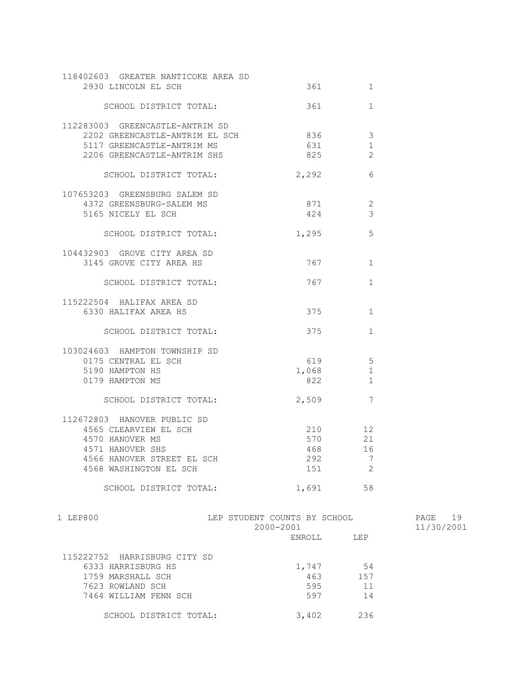| 118402603 GREATER NANTICOKE AREA SD<br>2930 LINCOLN EL SCH |                                                                                                      | 1              |            |
|------------------------------------------------------------|------------------------------------------------------------------------------------------------------|----------------|------------|
| SCHOOL DISTRICT TOTAL:                                     | 361                                                                                                  | $\mathbf{1}$   |            |
| 112283003 GREENCASTLE-ANTRIM SD                            |                                                                                                      |                |            |
| 2202 GREENCASTLE-ANTRIM EL SCH                             | 836 836                                                                                              | $\mathcal{E}$  |            |
| 5117 GREENCASTLE-ANTRIM MS                                 |                                                                                                      | 1              |            |
| 2206 GREENCASTLE-ANTRIM SHS                                | 825 32                                                                                               | 2              |            |
| SCHOOL DISTRICT TOTAL:                                     | 2,292                                                                                                | 6              |            |
| 107653203 GREENSBURG SALEM SD                              |                                                                                                      |                |            |
| 4372 GREENSBURG-SALEM MS                                   | 871                                                                                                  | 2              |            |
| 5165 NICELY EL SCH                                         | 424                                                                                                  | 3              |            |
| SCHOOL DISTRICT TOTAL:                                     | 1,295                                                                                                | 5              |            |
| 104432903 GROVE CITY AREA SD                               |                                                                                                      |                |            |
| 3145 GROVE CITY AREA HS                                    | 767 — 1767 — 1767 — 1767 — 1767 — 1767 — 1767 — 1767 — 1767 — 1767 — 1767 — 1768 — 1768 — 1768 — 176 | $\mathbf{1}$   |            |
| SCHOOL DISTRICT TOTAL:                                     | 767 — 1767 — 1767 — 1767 — 1767 — 1767 — 1767 — 1767 — 1767 — 1767 — 1768 — 1768 — 1768 — 1768 — 176 | $\mathbf{1}$   |            |
| 115222504 HALIFAX AREA SD                                  |                                                                                                      |                |            |
| 6330 HALIFAX AREA HS                                       | 375                                                                                                  | $\mathbf{1}$   |            |
| SCHOOL DISTRICT TOTAL:                                     | 375 — 100                                                                                            | $\mathbf{1}$   |            |
| 103024603 HAMPTON TOWNSHIP SD                              |                                                                                                      |                |            |
| 0175 CENTRAL EL SCH                                        | 619                                                                                                  | 5              |            |
| 5190 HAMPTON HS                                            | 1,068                                                                                                | $\mathbf 1$    |            |
| 0179 HAMPTON MS                                            | 822                                                                                                  | $\mathbf{1}$   |            |
| SCHOOL DISTRICT TOTAL:                                     | 2,509                                                                                                | 7              |            |
| 112672803 HANOVER PUBLIC SD                                |                                                                                                      |                |            |
| 4565 CLEARVIEW EL SCH                                      | 210                                                                                                  | 12             |            |
| 4570 HANOVER MS                                            | 570                                                                                                  | 21             |            |
| 4571 HANOVER SHS                                           | 468                                                                                                  | 16             |            |
| 4566 HANOVER STREET EL SCH                                 | 292                                                                                                  | $\overline{7}$ |            |
| 4568 WASHINGTON EL SCH                                     | 151                                                                                                  | 2              |            |
| SCHOOL DISTRICT TOTAL:                                     | 1,691                                                                                                | 58             |            |
| 1 LEP800                                                   | LEP STUDENT COUNTS BY SCHOOL                                                                         |                | PAGE 19    |
|                                                            | 2000-2001<br>ENROLL LEP                                                                              |                | 11/30/2001 |
|                                                            |                                                                                                      |                |            |
|                                                            |                                                                                                      |                |            |

| 115222752 HARRISBURG CITY SD |       |      |
|------------------------------|-------|------|
| 6333 HARRISBURG HS           | 1,747 | 54   |
| 1759 MARSHALL SCH            | 463   | 1.57 |
| 7623 ROWLAND SCH             | 595   | 11   |
| 7464 WILLIAM PENN SCH        | 597   | 14   |
|                              |       |      |
| SCHOOL DISTRICT TOTAL:       | 3,402 | つろん  |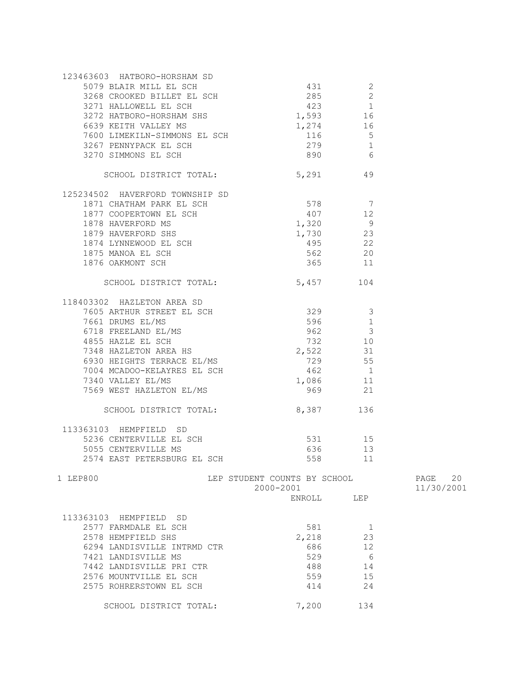| 123463603 HATBORO-HORSHAM SD                                                                                                                                                                                                                           |                              |                 |            |
|--------------------------------------------------------------------------------------------------------------------------------------------------------------------------------------------------------------------------------------------------------|------------------------------|-----------------|------------|
|                                                                                                                                                                                                                                                        |                              |                 |            |
|                                                                                                                                                                                                                                                        |                              |                 |            |
|                                                                                                                                                                                                                                                        |                              |                 |            |
| 3271 HALLOWELL EL SCH 423 1<br>3272 HATBORO-HORSHAM SHS 1,593 16                                                                                                                                                                                       |                              |                 |            |
|                                                                                                                                                                                                                                                        |                              |                 |            |
| 6639 KEITH VALLEY MS                                                                                                                                                                                                                                   | 1,274 16                     |                 |            |
|                                                                                                                                                                                                                                                        |                              | $\overline{5}$  |            |
|                                                                                                                                                                                                                                                        |                              | $\sqrt{1}$      |            |
| 6639 KEITH VALLEY MS<br>7600 LIMEKILN-SIMMONS EL SCH 116<br>3267 PENNYPACK EL SCH 279<br>1267 PENNYPACK EL SCH 279                                                                                                                                     | 890                          | $6\overline{6}$ |            |
|                                                                                                                                                                                                                                                        |                              |                 |            |
| SCHOOL DISTRICT TOTAL: 5,291 49                                                                                                                                                                                                                        |                              |                 |            |
|                                                                                                                                                                                                                                                        |                              |                 |            |
| 125234502 HAVERFORD TOWNSHIP SD                                                                                                                                                                                                                        |                              |                 |            |
| 1871 CHATHAM PARK EL SCH 578 578 7                                                                                                                                                                                                                     |                              |                 |            |
|                                                                                                                                                                                                                                                        |                              |                 |            |
|                                                                                                                                                                                                                                                        |                              |                 |            |
|                                                                                                                                                                                                                                                        |                              |                 |            |
|                                                                                                                                                                                                                                                        |                              |                 |            |
|                                                                                                                                                                                                                                                        |                              |                 |            |
|                                                                                                                                                                                                                                                        |                              |                 |            |
| 1877 COOPERTOWN EL SCH<br>1878 HAVERFORD MS<br>1879 HAVERFORD SHS<br>1874 LYNNEWOOD EL SCH<br>1875 MANOA EL SCH<br>1875 MANOA EL SCH<br>1875 MANOA EL SCH<br>1876 OAKMONT SCH<br>1876 OAKMONT SCH<br>1876 OAKMONT SCH                                  |                              |                 |            |
|                                                                                                                                                                                                                                                        |                              |                 |            |
| SCHOOL DISTRICT TOTAL: 5,457                                                                                                                                                                                                                           |                              | 104             |            |
|                                                                                                                                                                                                                                                        |                              |                 |            |
| 118403302 HAZLETON AREA SD<br>7605 ARTHUR STREET EL SCH<br>7661 DRUMS EL/MS<br>6718 FREELAND EL/MS<br>4855 HAZLE EL SCH<br>7348 HAZLETON AREA HS<br>7348 HAZLETON AREA HS<br>7348 HAZLETON AREA HS<br>7348 HAZLETON AREA HS<br>729<br>729<br>729<br>73 |                              |                 |            |
|                                                                                                                                                                                                                                                        |                              |                 |            |
|                                                                                                                                                                                                                                                        |                              |                 |            |
|                                                                                                                                                                                                                                                        |                              |                 |            |
|                                                                                                                                                                                                                                                        |                              |                 |            |
|                                                                                                                                                                                                                                                        |                              |                 |            |
|                                                                                                                                                                                                                                                        |                              |                 |            |
| 6930 HEIGHTS TERRACE EL/MS                                                                                                                                                                                                                             | 729 55                       |                 |            |
| 7004 MCADOO-KELAYRES EL SCH                                                                                                                                                                                                                            |                              | 462 1           |            |
| 7340 VALLEY EL/MS                                                                                                                                                                                                                                      |                              | 1,086 11        |            |
| 7569 WEST HAZLETON EL/MS                                                                                                                                                                                                                               | 969                          | 21              |            |
|                                                                                                                                                                                                                                                        |                              |                 |            |
| SCHOOL DISTRICT TOTAL: 8,387 136                                                                                                                                                                                                                       |                              |                 |            |
|                                                                                                                                                                                                                                                        |                              |                 |            |
| 113363103 HEMPFIELD SD                                                                                                                                                                                                                                 |                              |                 |            |
|                                                                                                                                                                                                                                                        | 531 15                       |                 |            |
|                                                                                                                                                                                                                                                        |                              |                 |            |
| 5236 CENTERVILLE EL SCH<br>5055 CENTERVILLE MS<br>2574 EAST PETERSBURG EL SCH                                                                                                                                                                          | 636 11                       | 13              |            |
|                                                                                                                                                                                                                                                        | 558 30                       | 11              |            |
|                                                                                                                                                                                                                                                        |                              |                 |            |
| 1 LEP800                                                                                                                                                                                                                                               | LEP STUDENT COUNTS BY SCHOOL |                 | PAGE 20    |
|                                                                                                                                                                                                                                                        | 2000-2001                    |                 | 11/30/2001 |
|                                                                                                                                                                                                                                                        | ENROLL                       | T.EP            |            |
|                                                                                                                                                                                                                                                        |                              |                 |            |
| 113363103 HEMPFIELD<br>SD.                                                                                                                                                                                                                             |                              |                 |            |
| 2577 FARMDALE EL SCH                                                                                                                                                                                                                                   | 581                          | 1               |            |
| 2578 HEMPFIELD SHS                                                                                                                                                                                                                                     | 2,218                        | 23              |            |
| 6294 LANDISVILLE INTRMD CTR                                                                                                                                                                                                                            | 686                          | 12              |            |
| 7421 LANDISVILLE MS                                                                                                                                                                                                                                    | 529                          | 6               |            |
| 7442 LANDISVILLE PRI CTR                                                                                                                                                                                                                               | 488                          | 14              |            |
|                                                                                                                                                                                                                                                        |                              |                 |            |
| 2576 MOUNTVILLE EL SCH                                                                                                                                                                                                                                 | 559                          | 15              |            |
| 2575 ROHRERSTOWN EL SCH                                                                                                                                                                                                                                | 414                          | 24              |            |
|                                                                                                                                                                                                                                                        |                              |                 |            |
| SCHOOL DISTRICT TOTAL:                                                                                                                                                                                                                                 | 7,200                        | 134             |            |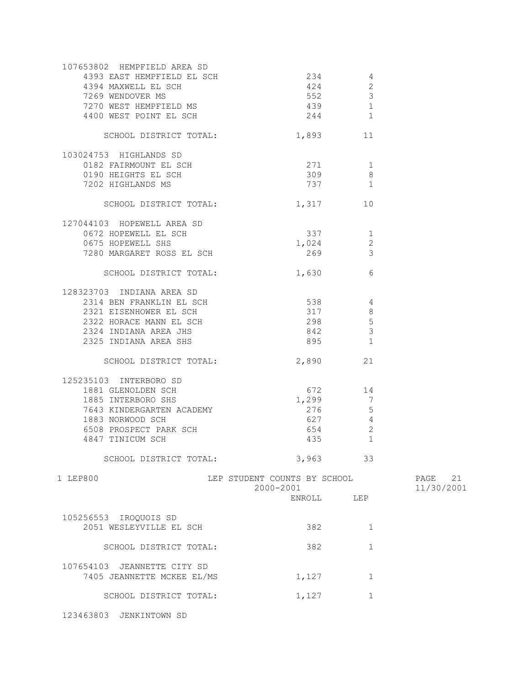| 107653802 HEMPFIELD AREA SD |                                           |                        |                       |
|-----------------------------|-------------------------------------------|------------------------|-----------------------|
| 4393 EAST HEMPFIELD EL SCH  | 234                                       | 4                      |                       |
| 4394 MAXWELL EL SCH         | 424                                       | $\mathbf{2}$           |                       |
| 7269 WENDOVER MS            |                                           | 3<br>552 30            |                       |
| 7270 WEST HEMPFIELD MS      |                                           | $\mathbf{1}$<br>439 30 |                       |
| 4400 WEST POINT EL SCH      |                                           | 244<br>1               |                       |
| SCHOOL DISTRICT TOTAL:      | 1,893                                     | 11                     |                       |
| 103024753 HIGHLANDS SD      |                                           |                        |                       |
| 0182 FAIRMOUNT EL SCH       | 271 1                                     |                        |                       |
| 0190 HEIGHTS EL SCH         |                                           | 309<br>8               |                       |
| 7202 HIGHLANDS MS           |                                           | 737 1                  |                       |
| SCHOOL DISTRICT TOTAL:      |                                           | 1,317 10               |                       |
|                             |                                           |                        |                       |
| 127044103 HOPEWELL AREA SD  |                                           |                        |                       |
| 0672 HOPEWELL EL SCH        | 337                                       | 1                      |                       |
| 0675 HOPEWELL SHS           |                                           | 1,024<br>2             |                       |
| 7280 MARGARET ROSS EL SCH   | 269                                       | 3                      |                       |
| SCHOOL DISTRICT TOTAL:      | 1,630                                     | 6                      |                       |
| 128323703 INDIANA AREA SD   |                                           |                        |                       |
| 2314 BEN FRANKLIN EL SCH    | 538                                       | 4                      |                       |
| 2321 EISENHOWER EL SCH      | 317                                       | 8                      |                       |
| 2322 HORACE MANN EL SCH     |                                           | 298<br>$5\phantom{.0}$ |                       |
| 2324 INDIANA AREA JHS       |                                           | 842<br>$\mathcal{E}$   |                       |
| 2325 INDIANA AREA SHS       |                                           | 895 — 100<br>1         |                       |
| SCHOOL DISTRICT TOTAL:      |                                           | 2,890<br>21            |                       |
|                             |                                           |                        |                       |
| 125235103 INTERBORO SD      |                                           |                        |                       |
| 1881 GLENOLDEN SCH          | 672                                       | 14                     |                       |
| 1885 INTERBORO SHS          | 1,299                                     | 7                      |                       |
| 7643 KINDERGARTEN ACADEMY   | 276                                       | 5                      |                       |
| 1883 NORWOOD SCH            | 627                                       | 4                      |                       |
| 6508 PROSPECT PARK SCH      | 654 654                                   | 2                      |                       |
| 4847 TINICUM SCH            |                                           | $\mathbf{1}$           |                       |
| SCHOOL DISTRICT TOTAL:      |                                           | 3,963<br>33            |                       |
| 1 LEP800                    | LEP STUDENT COUNTS BY SCHOOL<br>2000-2001 |                        | PAGE 21<br>11/30/2001 |
|                             |                                           | ENROLL LEP             |                       |
| 105256553 IROQUOIS SD       |                                           |                        |                       |
| 2051 WESLEYVILLE EL SCH     | 382                                       | 1                      |                       |
|                             |                                           |                        |                       |
| SCHOOL DISTRICT TOTAL:      | 382                                       | $\mathbf{1}$           |                       |
| 107654103 JEANNETTE CITY SD |                                           |                        |                       |
| 7405 JEANNETTE MCKEE EL/MS  | 1,127                                     | $\mathbf{1}$           |                       |
| SCHOOL DISTRICT TOTAL:      | 1,127                                     | 1                      |                       |
|                             |                                           |                        |                       |

123463803 JENKINTOWN SD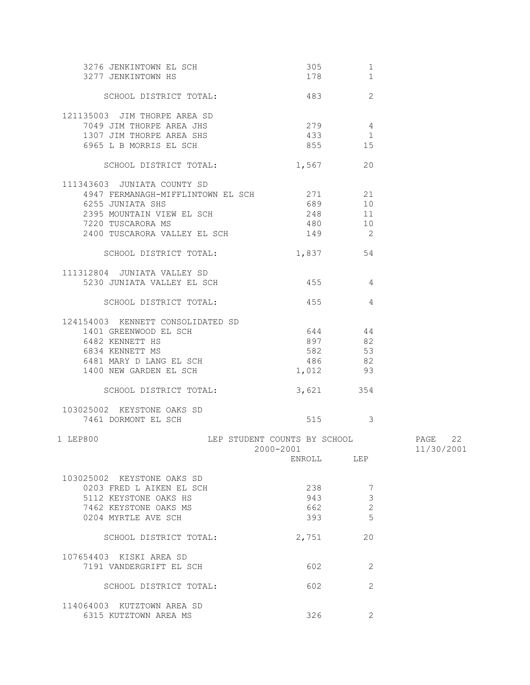| 3276 JENKINTOWN EL SCH<br>3277 JENKINTOWN HS                                         | 305<br>178                                                                                                                                                                                                                                | 1<br>1         |            |
|--------------------------------------------------------------------------------------|-------------------------------------------------------------------------------------------------------------------------------------------------------------------------------------------------------------------------------------------|----------------|------------|
| SCHOOL DISTRICT TOTAL:                                                               | 483                                                                                                                                                                                                                                       | 2              |            |
| 121135003 JIM THORPE AREA SD<br>7049 JIM THORPE AREA JHS<br>1307 JIM THORPE AREA SHS | $279$ 4<br>433 1                                                                                                                                                                                                                          |                |            |
| 6965 L B MORRIS EL SCH                                                               | 855 859                                                                                                                                                                                                                                   | 15             |            |
| SCHOOL DISTRICT TOTAL:                                                               | 1,567 20                                                                                                                                                                                                                                  |                |            |
| 111343603 JUNIATA COUNTY SD<br>4947 FERMANAGH-MIFFLINTOWN EL SCH 271 21              |                                                                                                                                                                                                                                           |                |            |
| 6255 JUNIATA SHS                                                                     | 689 10                                                                                                                                                                                                                                    |                |            |
| 2395 MOUNTAIN VIEW EL SCH                                                            | 248 11                                                                                                                                                                                                                                    |                |            |
| 7220 TUSCARORA MS                                                                    | 480 10                                                                                                                                                                                                                                    |                |            |
| 2400 TUSCARORA VALLEY EL SCH                                                         | $149$ 2                                                                                                                                                                                                                                   |                |            |
| SCHOOL DISTRICT TOTAL:                                                               | 1,837 54                                                                                                                                                                                                                                  |                |            |
| 111312804 JUNIATA VALLEY SD                                                          |                                                                                                                                                                                                                                           |                |            |
| 5230 JUNIATA VALLEY EL SCH                                                           | 455 4                                                                                                                                                                                                                                     |                |            |
| SCHOOL DISTRICT TOTAL:                                                               | 455 4                                                                                                                                                                                                                                     |                |            |
| 124154003 KENNETT CONSOLIDATED SD                                                    |                                                                                                                                                                                                                                           |                |            |
| 1401 GREENWOOD EL SCH                                                                | 644 44                                                                                                                                                                                                                                    |                |            |
| 6482 KENNETT HS                                                                      | 897                                                                                                                                                                                                                                       | 82             |            |
| 6834 KENNETT MS                                                                      | 582                                                                                                                                                                                                                                       | 53             |            |
| 6481 MARY D LANG EL SCH                                                              | 486                                                                                                                                                                                                                                       | 82             |            |
| 1400 NEW GARDEN EL SCH                                                               | 1,012                                                                                                                                                                                                                                     | 93             |            |
| SCHOOL DISTRICT TOTAL:                                                               | 3,621 354                                                                                                                                                                                                                                 |                |            |
| 103025002 KEYSTONE OAKS SD                                                           |                                                                                                                                                                                                                                           |                |            |
| 7461 DORMONT EL SCH                                                                  | 515 3                                                                                                                                                                                                                                     |                |            |
| LEP STUDENT COUNTS BY SCHOOL<br>1 LEP800                                             |                                                                                                                                                                                                                                           |                | PAGE 22    |
|                                                                                      | 2000-2001 2000 2000 2001 2002 2003 2004 2005 2006 2007 2008 2007 2008 2007 2008 2007 2008 2007 2008 2007 2008 2007 2008 2007 2008 2007 2008 2007 2008 2007 2008 2007 2008 2007 2008 2007 2008 2007 2008 2007 2008 2007 2008 200<br>ENROLL | LEP            | 11/30/2001 |
| 103025002 KEYSTONE OAKS SD                                                           |                                                                                                                                                                                                                                           |                |            |
| 0203 FRED L AIKEN EL SCH                                                             | 238                                                                                                                                                                                                                                       | 7              |            |
| 5112 KEYSTONE OAKS HS                                                                | 943                                                                                                                                                                                                                                       | 3              |            |
| 7462 KEYSTONE OAKS MS                                                                | 662                                                                                                                                                                                                                                       | $\overline{c}$ |            |
| 0204 MYRTLE AVE SCH                                                                  | 393                                                                                                                                                                                                                                       | 5              |            |
| SCHOOL DISTRICT TOTAL:                                                               | 2,751                                                                                                                                                                                                                                     | 20             |            |
| 107654403 KISKI AREA SD                                                              |                                                                                                                                                                                                                                           |                |            |
| 7191 VANDERGRIFT EL SCH                                                              | 602                                                                                                                                                                                                                                       | 2              |            |
| SCHOOL DISTRICT TOTAL:                                                               | 602                                                                                                                                                                                                                                       | 2              |            |
| 114064003 KUTZTOWN AREA SD<br>6315 KUTZTOWN AREA MS                                  | 326                                                                                                                                                                                                                                       | 2              |            |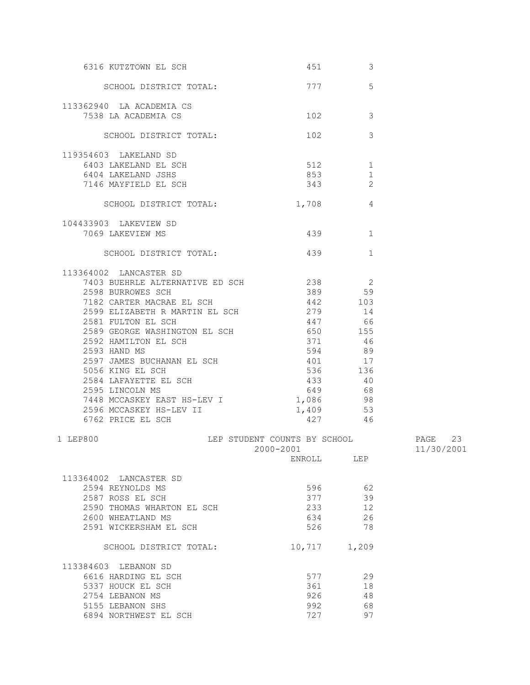| 6316 KUTZTOWN EL SCH                     | 451 and $\sim$       | 3             |         |
|------------------------------------------|----------------------|---------------|---------|
| SCHOOL DISTRICT TOTAL: 777               |                      | 5             |         |
| 113362940 LA ACADEMIA CS                 |                      |               |         |
| 7538 LA ACADEMIA CS                      | 102 200              | 3             |         |
| SCHOOL DISTRICT TOTAL:                   | 102 200              | $\mathcal{S}$ |         |
| 119354603 LAKELAND SD                    |                      |               |         |
| 6403 LAKELAND EL SCH                     | 512                  | $\mathbf{1}$  |         |
| 6404 LAKELAND JSHS                       | 853                  | $\mathbf{1}$  |         |
| 7146 MAYFIELD EL SCH                     | 343                  | 2             |         |
| SCHOOL DISTRICT TOTAL:                   | $1,708$ 4            |               |         |
| 104433903 LAKEVIEW SD                    |                      |               |         |
| 7069 LAKEVIEW MS                         | 439 and $439$        | 1             |         |
| SCHOOL DISTRICT TOTAL:                   | 439                  | $\mathbf 1$   |         |
| 113364002 LANCASTER SD                   |                      |               |         |
| 7403 BUEHRLE ALTERNATIVE ED SCH 238 2    |                      |               |         |
| 2598 BURROWES SCH                        | 389 59               |               |         |
| 7182 CARTER MACRAE EL SCH                | 442 103              |               |         |
| 2599 ELIZABETH R MARTIN EL SCH 279 14    |                      |               |         |
| 2581 FULTON EL SCH                       | 447 66               |               |         |
| 2589 GEORGE WASHINGTON EL SCH            | 650                  | 155           |         |
| 2592 HAMILTON EL SCH<br>2593 HAND MS     | 371                  | 46            |         |
| 2593 HAND MS                             | 594                  | 89            |         |
| 2597 JAMES BUCHANAN EL SCH               | 401                  | 17            |         |
| 5056 KING EL SCH                         | 536 136              |               |         |
| 2584 LAFAYETTE EL SCH<br>2595 LINCOLN MC | 433 40               |               |         |
| 2595 LINCOLN MS                          | 649 68               |               |         |
| 7448 MCCASKEY EAST HS-LEV I 1,086 98     |                      |               |         |
| 2596 MCCASKEY HS-LEV II                  | 1,409 53             |               |         |
| 6762 PRICE EL SCH                        | 427 46               |               |         |
| 1 LEP800<br>LEP STUDENT COUNTS BY SCHOOL | 2000-2001 11/30/2001 |               | PAGE 23 |
|                                          | ENROLL LEP           |               |         |
| 113364002 LANCASTER SD                   |                      |               |         |
| 2594 REYNOLDS MS                         | 596                  | 62            |         |
| 2587 ROSS EL SCH                         | 377                  | 39            |         |
| 2590 THOMAS WHARTON EL SCH               | 233                  | 12            |         |
| 2600 WHEATLAND MS                        | 634                  | 26            |         |
| 2591 WICKERSHAM EL SCH                   | 526                  | 78            |         |
| SCHOOL DISTRICT TOTAL:                   | 10,717               | 1,209         |         |
| 113384603 LEBANON SD                     |                      |               |         |
| 6616 HARDING EL SCH                      | 577                  | 29            |         |
| 5337 HOUCK EL SCH                        | 361                  | 18            |         |
| 2754 LEBANON MS                          | 926                  | 48            |         |
| 5155 LEBANON SHS                         | 992                  | 68            |         |
| 6894 NORTHWEST EL SCH                    | 727                  | 97            |         |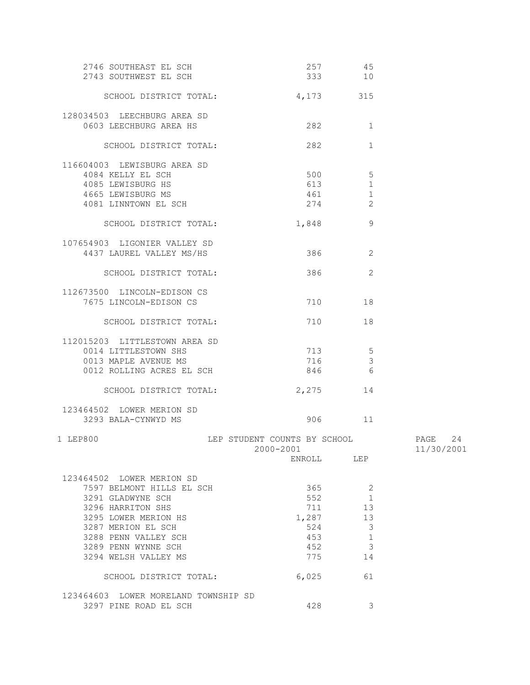| 2746 SOUTHEAST EL SCH                                         | 257 45                                    |               |                       |
|---------------------------------------------------------------|-------------------------------------------|---------------|-----------------------|
| 2743 SOUTHWEST EL SCH                                         | 333 10                                    |               |                       |
| SCHOOL DISTRICT TOTAL:                                        | 4, 173 315                                |               |                       |
|                                                               |                                           |               |                       |
| 128034503 LEECHBURG AREA SD                                   |                                           |               |                       |
| 0603 LEECHBURG AREA HS                                        | 282                                       | $\mathbf{1}$  |                       |
| SCHOOL DISTRICT TOTAL:                                        | 282                                       | $\mathbf{1}$  |                       |
|                                                               |                                           |               |                       |
| 116604003 LEWISBURG AREA SD                                   |                                           |               |                       |
| 4084 KELLY EL SCH                                             | 500                                       | 5             |                       |
| 4085 LEWISBURG HS                                             | 613                                       | $\mathbf{1}$  |                       |
| 4665 LEWISBURG MS                                             | 461                                       | $\mathbf{1}$  |                       |
| 4081 LINNTOWN EL SCH                                          | 274                                       | 2             |                       |
| SCHOOL DISTRICT TOTAL:                                        | 1,848                                     | 9             |                       |
| 107654903 LIGONIER VALLEY SD                                  |                                           |               |                       |
| 4437 LAUREL VALLEY MS/HS                                      | 386 1990                                  | 2             |                       |
|                                                               |                                           |               |                       |
| SCHOOL DISTRICT TOTAL:                                        |                                           | 2             |                       |
| 112673500 LINCOLN-EDISON CS                                   |                                           |               |                       |
| 7675 LINCOLN-EDISON CS                                        | 710 — 200                                 | 18            |                       |
|                                                               |                                           |               |                       |
| SCHOOL DISTRICT TOTAL:                                        | 710                                       | 18            |                       |
| 112015203 LITTLESTOWN AREA SD                                 |                                           |               |                       |
| 0014 LITTLESTOWN SHS                                          | 713                                       | 5             |                       |
| 0013 MAPLE AVENUE MS                                          | 716                                       | $\mathcal{S}$ |                       |
| 0012 ROLLING ACRES EL SCH                                     | 846 —                                     | 6             |                       |
|                                                               |                                           |               |                       |
| SCHOOL DISTRICT TOTAL:                                        | 2,275                                     | 14            |                       |
| 123464502 LOWER MERION SD                                     |                                           |               |                       |
| 3293 BALA-CYNWYD MS                                           |                                           | 906 11        |                       |
|                                                               |                                           |               |                       |
| 1 LEP800                                                      | LEP STUDENT COUNTS BY SCHOOL<br>2000-2001 |               | PAGE 24<br>11/30/2001 |
|                                                               | ENROLL                                    | LEP           |                       |
|                                                               |                                           |               |                       |
| 123464502 LOWER MERION SD                                     |                                           |               |                       |
| 7597 BELMONT HILLS EL SCH                                     | 365                                       | 2             |                       |
| 3291 GLADWYNE SCH                                             | 552                                       | 1             |                       |
| 3296 HARRITON SHS                                             | 711                                       | 13            |                       |
| 3295 LOWER MERION HS                                          | 1,287                                     | 13            |                       |
| 3287 MERION EL SCH                                            | 524                                       | 3             |                       |
| 3288 PENN VALLEY SCH                                          | 453                                       | 1             |                       |
| 3289 PENN WYNNE SCH                                           | 452                                       | 3             |                       |
| 3294 WELSH VALLEY MS                                          | 775                                       | 14            |                       |
| SCHOOL DISTRICT TOTAL:                                        | 6,025                                     | 61            |                       |
|                                                               |                                           |               |                       |
| 123464603 LOWER MORELAND TOWNSHIP SD<br>3297 PINE ROAD EL SCH | 428                                       | 3             |                       |
|                                                               |                                           |               |                       |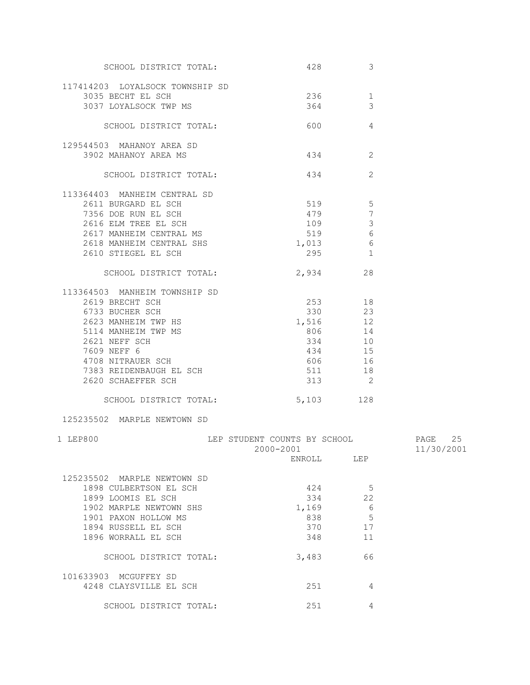| SCHOOL DISTRICT TOTAL:                          |                              | 428 and $\sim$<br>3        |            |
|-------------------------------------------------|------------------------------|----------------------------|------------|
| 117414203 LOYALSOCK TOWNSHIP SD                 |                              |                            |            |
| 3035 BECHT EL SCH                               | 236                          | 1                          |            |
| 3037 LOYALSOCK TWP MS                           | 364                          | 3                          |            |
| SCHOOL DISTRICT TOTAL:                          | 600                          | 4                          |            |
| 129544503 MAHANOY AREA SD                       |                              |                            |            |
| 3902 MAHANOY AREA MS                            |                              | 2                          |            |
|                                                 |                              |                            |            |
| SCHOOL DISTRICT TOTAL:                          | 434                          | 2                          |            |
| 113364403 MANHEIM CENTRAL SD                    |                              |                            |            |
| 2611 BURGARD EL SCH                             | 519 5                        |                            |            |
| 7356 DOE RUN EL SCH                             |                              | 479<br>$7\phantom{.0}$     |            |
| 2616 ELM TREE EL SCH                            | 109                          | $\mathbf{3}$               |            |
| 2617 MANHEIM CENTRAL MS                         |                              | 519 6                      |            |
| 2618 MANHEIM CENTRAL SHS                        | 1,013                        | $6\,$                      |            |
| 2610 STIEGEL EL SCH                             |                              | $295$ 1                    |            |
| SCHOOL DISTRICT TOTAL:                          | 2,934                        | 28                         |            |
| 113364503 MANHEIM TOWNSHIP SD                   |                              |                            |            |
| 2619 BRECHT SCH                                 |                              | 253 18                     |            |
| 6733 BUCHER SCH                                 |                              | 330 23                     |            |
| 2623 MANHEIM TWP HS                             | 1,516 12                     |                            |            |
| 5114 MANHEIM TWP MS                             | 806                          | 14                         |            |
| 2621 NEFF SCH                                   | 334                          | 10                         |            |
| 7609 NEFF 6                                     |                              | 434 15                     |            |
| 4708 NITRAUER SCH                               | 606                          | 16                         |            |
| 7383 REIDENBAUGH EL SCH                         | 511                          | 18                         |            |
| 2620 SCHAEFFER SCH                              | 313                          | $\overline{\phantom{0}}^2$ |            |
| SCHOOL DISTRICT TOTAL:                          | 5,103 128                    |                            |            |
| 125235502 MARPLE NEWTOWN SD                     |                              |                            |            |
| 1 LEP800                                        | LEP STUDENT COUNTS BY SCHOOL |                            | PAGE<br>25 |
|                                                 | 2000-2001                    |                            | 11/30/2001 |
|                                                 | ENROLL                       | LEP                        |            |
| 125235502 MARPLE NEWTOWN SD                     |                              |                            |            |
| 1898 CULBERTSON EL SCH                          | 424                          | -5                         |            |
| 1899 LOOMIS EL SCH                              | 334                          | 22                         |            |
|                                                 |                              |                            |            |
| 1902 MARPLE NEWTOWN SHS<br>1901 PAXON HOLLOW MS | 1,169                        | - 6<br>5                   |            |
|                                                 | 838                          |                            |            |
| 1894 RUSSELL EL SCH<br>1896 WORRALL EL SCH      | 370                          | 17                         |            |
|                                                 | 348                          | 11                         |            |
| SCHOOL DISTRICT TOTAL:                          | 3,483                        | 66                         |            |
| 101633903 MCGUFFEY SD                           |                              |                            |            |
| 4248 CLAYSVILLE EL SCH                          | 251                          | 4                          |            |
| SCHOOL DISTRICT TOTAL:                          | 251                          | 4                          |            |
|                                                 |                              |                            |            |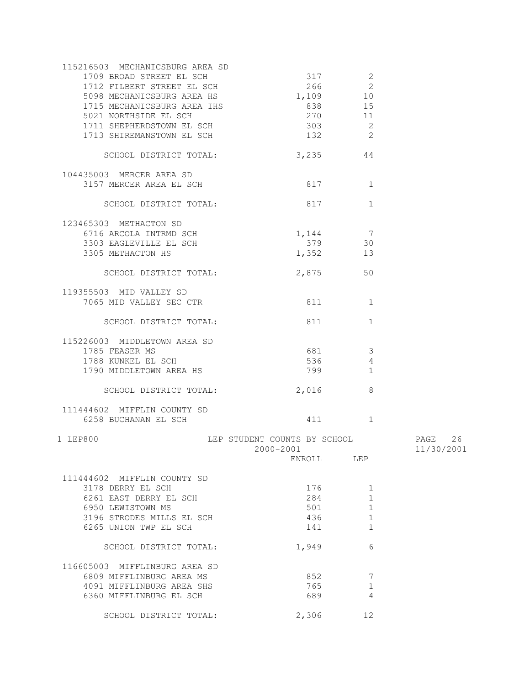| 115216503 MECHANICSBURG AREA SD<br>1709 BROAD STREET EL SCH<br>1712 FILBERT STREET EL SCH<br>5098 MECHANICSBURG AREA HS<br>1715 MECHANICSBURG AREA IHS<br>5021 NORTHSIDE EL SCH<br>1711 SHEPHERDSTOWN EL SCH<br>1713 SHIREMANSTOWN EL SCH | 317<br>1,109<br>838 8<br>270<br>303 30<br>132 | 2<br>2<br>266<br>10<br>15<br>11<br>$\overline{2}$<br>$\overline{\phantom{0}}$ 2 |                          |
|-------------------------------------------------------------------------------------------------------------------------------------------------------------------------------------------------------------------------------------------|-----------------------------------------------|---------------------------------------------------------------------------------|--------------------------|
| SCHOOL DISTRICT TOTAL:                                                                                                                                                                                                                    | 3,235                                         | 44                                                                              |                          |
| 104435003 MERCER AREA SD<br>3157 MERCER AREA EL SCH                                                                                                                                                                                       | 817                                           | 1                                                                               |                          |
| SCHOOL DISTRICT TOTAL:                                                                                                                                                                                                                    | 817                                           | $\mathbf{1}$                                                                    |                          |
| 123465303 METHACTON SD<br>6716 ARCOLA INTRMD SCH<br>3303 EAGLEVILLE EL SCH<br>3305 METHACTON HS<br>SCHOOL DISTRICT TOTAL:<br>119355503 MID VALLEY SD                                                                                      | 1,144<br>379<br>1,352<br>2,875                | $\overline{7}$<br>30<br>13<br>50                                                |                          |
| 7065 MID VALLEY SEC CTR                                                                                                                                                                                                                   |                                               | 811 — 100<br>1                                                                  |                          |
| SCHOOL DISTRICT TOTAL:                                                                                                                                                                                                                    | 811                                           | $\mathbf{1}$                                                                    |                          |
| 115226003 MIDDLETOWN AREA SD<br>1785 FEASER MS<br>1788 KUNKEL EL SCH<br>1790 MIDDLETOWN AREA HS                                                                                                                                           | 681 681<br>536                                | $\overline{\mathbf{3}}$<br>4<br>799 — 799 — 799 — 799 — 799 — 70<br>$\mathbf 1$ |                          |
| SCHOOL DISTRICT TOTAL:                                                                                                                                                                                                                    | 2,016                                         | 8                                                                               |                          |
| 111444602 MIFFLIN COUNTY SD<br>6258 BUCHANAN EL SCH                                                                                                                                                                                       |                                               | 1                                                                               |                          |
| 1 LEP800                                                                                                                                                                                                                                  | LEP STUDENT COUNTS BY SCHOOL<br>2000-2001     |                                                                                 | 26<br>PAGE<br>11/30/2001 |
|                                                                                                                                                                                                                                           | ENROLL                                        | LEP                                                                             |                          |
| 111444602 MIFFLIN COUNTY SD<br>3178 DERRY EL SCH<br>6261 EAST DERRY EL SCH<br>6950 LEWISTOWN MS<br>3196 STRODES MILLS EL SCH<br>6265 UNION TWP EL SCH                                                                                     | 176<br>284<br>501<br>436<br>141               | $\mathbf 1$<br>$\mathbf{1}$<br>$\mathbf{1}$<br>1<br>1                           |                          |
| SCHOOL DISTRICT TOTAL:                                                                                                                                                                                                                    | 1,949                                         | 6                                                                               |                          |
| 116605003 MIFFLINBURG AREA SD<br>6809 MIFFLINBURG AREA MS<br>4091 MIFFLINBURG AREA SHS<br>6360 MIFFLINBURG EL SCH                                                                                                                         | 852<br>765<br>689                             | 7<br>$\mathbf 1$<br>4                                                           |                          |
| SCHOOL DISTRICT TOTAL:                                                                                                                                                                                                                    | 2,306                                         | 12                                                                              |                          |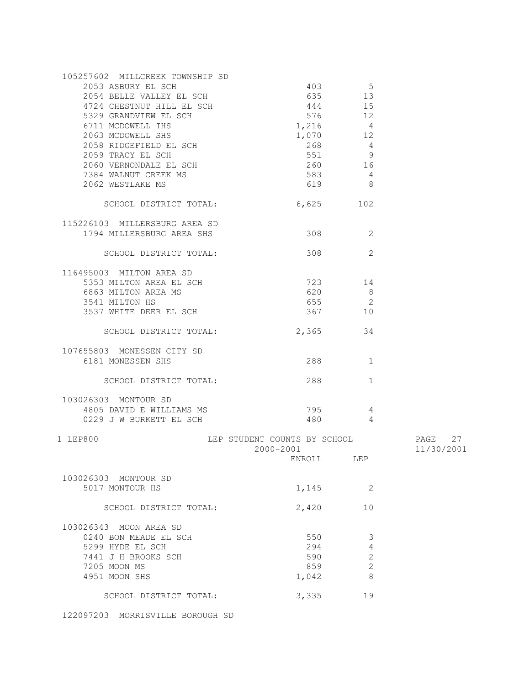| 105257602 MILLCREEK TOWNSHIP SD                                  |                              |                 |            |
|------------------------------------------------------------------|------------------------------|-----------------|------------|
| 2053 ASBURY EL SCH                                               |                              | 403 — 103<br>-5 |            |
| 2054 BELLE VALLEY EL SCH                                         | 635                          | 13              |            |
| 4724 CHESTNUT HILL EL SCH                                        |                              | 444 15          |            |
| 5329 GRANDVIEW EL SCH                                            |                              | 576 12          |            |
| 6711 MCDOWELL IHS                                                | 1,216                        |                 |            |
|                                                                  |                              | $\overline{4}$  |            |
| 2063 MCDOWELL SHS<br>2003 MCDOWELL SHS<br>2058 RIDGEFIELD EL SCH | 1,070                        | 12              |            |
|                                                                  | 268                          | $\overline{4}$  |            |
| 2059 TRACY EL SCH<br>2060 VERNONDALE EL SCH                      | 551                          | $\overline{9}$  |            |
|                                                                  | 260                          | 16              |            |
| 7384 WALNUT CREEK MS                                             | 583                          | 4               |            |
| 2062 WESTLAKE MS                                                 | 619                          | - 8             |            |
|                                                                  |                              |                 |            |
| SCHOOL DISTRICT TOTAL:                                           | 6,625                        | 102             |            |
|                                                                  |                              |                 |            |
| 115226103 MILLERSBURG AREA SD                                    |                              |                 |            |
| 1794 MILLERSBURG AREA SHS                                        | 308                          | 2               |            |
|                                                                  |                              |                 |            |
| SCHOOL DISTRICT TOTAL:                                           | 308                          | 2               |            |
|                                                                  |                              |                 |            |
| 116495003 MILTON AREA SD                                         |                              |                 |            |
| 5353 MILTON AREA EL SCH                                          |                              | 723 — 120<br>14 |            |
| 6863 MILTON AREA MS                                              | 620                          | 8               |            |
| 3541 MILTON HS                                                   | 655                          | $\overline{2}$  |            |
|                                                                  |                              |                 |            |
| 3537 WHITE DEER EL SCH                                           | 367                          | 10              |            |
|                                                                  |                              |                 |            |
| SCHOOL DISTRICT TOTAL:                                           | 2,365                        | 34              |            |
|                                                                  |                              |                 |            |
| 107655803 MONESSEN CITY SD                                       |                              |                 |            |
| 6181 MONESSEN SHS                                                |                              | 1               |            |
|                                                                  |                              |                 |            |
| SCHOOL DISTRICT TOTAL:                                           | 288                          | $\mathbf{1}$    |            |
|                                                                  |                              |                 |            |
| 103026303 MONTOUR SD                                             |                              |                 |            |
| 4805 DAVID E WILLIAMS MS                                         | 795                          | 4               |            |
| 0229 J W BURKETT EL SCH                                          | 480                          | $\overline{4}$  |            |
|                                                                  |                              |                 |            |
| 1 LEP800                                                         | LEP STUDENT COUNTS BY SCHOOL |                 | PAGE 27    |
|                                                                  | $2000 - 2001$                |                 | 11/30/2001 |
|                                                                  |                              | ENROLL LEP      |            |
|                                                                  |                              |                 |            |
| 103026303 MONTOUR SD                                             |                              |                 |            |
| 5017 MONTOUR HS                                                  | 1,145                        | 2               |            |
|                                                                  |                              |                 |            |
| SCHOOL DISTRICT TOTAL:                                           | 2,420                        | 10              |            |
|                                                                  |                              |                 |            |
| 103026343 MOON AREA SD                                           |                              |                 |            |
| 0240 BON MEADE EL SCH                                            | 550                          |                 |            |
|                                                                  |                              | 3               |            |
| 5299 HYDE EL SCH                                                 | 294                          | 4               |            |
| 7441 J H BROOKS SCH                                              | 590                          | $\sqrt{2}$      |            |
| 7205 MOON MS                                                     | 859                          | $\overline{c}$  |            |
| 4951 MOON SHS                                                    | 1,042                        | 8               |            |
|                                                                  |                              |                 |            |
| SCHOOL DISTRICT TOTAL:                                           | 3,335                        | 19              |            |
|                                                                  |                              |                 |            |

122097203 MORRISVILLE BOROUGH SD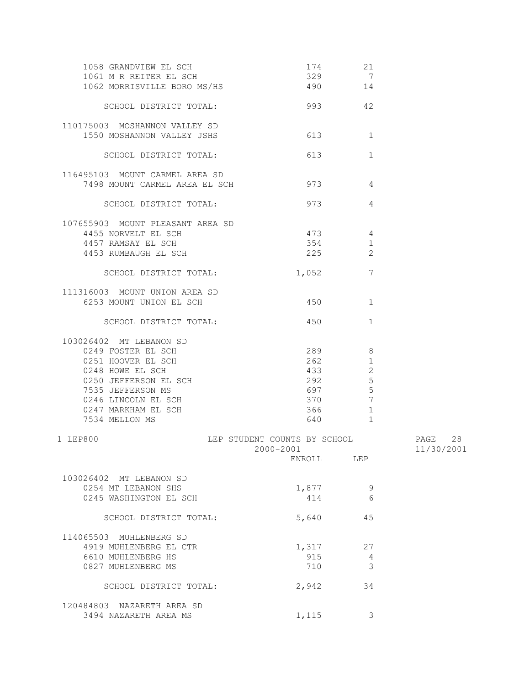| 1058 GRANDVIEW EL SCH<br>1061 M R REITER EL SCH<br>1062 MORRISVILLE BORO MS/HS | 174<br>490 14                             | 21<br>329 7     |                          |
|--------------------------------------------------------------------------------|-------------------------------------------|-----------------|--------------------------|
| SCHOOL DISTRICT TOTAL:                                                         | 993 42                                    |                 |                          |
| 110175003 MOSHANNON VALLEY SD<br>1550 MOSHANNON VALLEY JSHS                    | 613                                       | $\mathbf{1}$    |                          |
| SCHOOL DISTRICT TOTAL:                                                         | 613                                       | $\mathbf 1$     |                          |
| 116495103 MOUNT CARMEL AREA SD<br>7498 MOUNT CARMEL AREA EL SCH                | 973                                       | 4               |                          |
| SCHOOL DISTRICT TOTAL:                                                         | 973                                       | 4               |                          |
| 107655903 MOUNT PLEASANT AREA SD<br>4455 NORVELT EL SCH                        | 473                                       | 4               |                          |
|                                                                                |                                           |                 |                          |
| 4457 RAMSAY EL SCH                                                             | 354                                       | 1               |                          |
| 4453 RUMBAUGH EL SCH                                                           | 225                                       | 2               |                          |
| SCHOOL DISTRICT TOTAL:                                                         | 1,052                                     | 7               |                          |
| 111316003 MOUNT UNION AREA SD                                                  |                                           |                 |                          |
| 6253 MOUNT UNION EL SCH                                                        | 450                                       | 1               |                          |
| SCHOOL DISTRICT TOTAL:                                                         | 450                                       | $\mathbf{1}$    |                          |
| 103026402 MT LEBANON SD                                                        |                                           |                 |                          |
| 0249 FOSTER EL SCH                                                             | 289                                       | 8               |                          |
|                                                                                |                                           |                 |                          |
| 0251 HOOVER EL SCH                                                             | 262                                       | $\mathbf{1}$    |                          |
| 0248 HOWE EL SCH                                                               | 433                                       | 2               |                          |
| 0250 JEFFERSON EL SCH                                                          | 292                                       | 5               |                          |
| 7535 JEFFERSON MS                                                              | 697                                       | 5               |                          |
| 0246 LINCOLN EL SCH                                                            | 370                                       | $7\phantom{.0}$ |                          |
| 0247 MARKHAM EL SCH                                                            | 366                                       | $\mathbf{1}$    |                          |
| 7534 MELLON MS                                                                 | 640                                       | $\mathbf{1}$    |                          |
| 1 LEP800                                                                       | LEP STUDENT COUNTS BY SCHOOL<br>2000-2001 |                 | 28<br>PAGE<br>11/30/2001 |
|                                                                                | ENROLL                                    | LEP             |                          |
| 103026402 MT LEBANON SD                                                        |                                           |                 |                          |
| 0254 MT LEBANON SHS                                                            | 1,877                                     | 9               |                          |
| 0245 WASHINGTON EL SCH                                                         | 414                                       | 6               |                          |
| SCHOOL DISTRICT TOTAL:                                                         | 5,640                                     | 45              |                          |
| 114065503 MUHLENBERG SD                                                        |                                           |                 |                          |
| 4919 MUHLENBERG EL CTR                                                         | 1,317                                     | 27              |                          |
| 6610 MUHLENBERG HS                                                             | 915                                       | 4               |                          |
|                                                                                |                                           |                 |                          |
| 0827 MUHLENBERG MS                                                             | 710                                       | 3               |                          |
| SCHOOL DISTRICT TOTAL:                                                         | 2,942                                     | 34              |                          |
| 120484803 NAZARETH AREA SD                                                     |                                           |                 |                          |
| 3494 NAZARETH AREA MS                                                          | 1,115                                     | 3               |                          |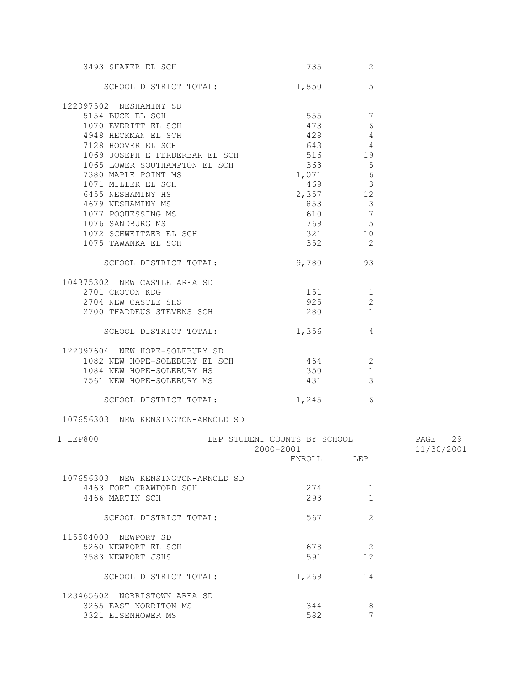| 3493 SHAFER EL SCH                                                                                               |                              | 735 736<br>2               |                      |
|------------------------------------------------------------------------------------------------------------------|------------------------------|----------------------------|----------------------|
| SCHOOL DISTRICT TOTAL: 1,850                                                                                     |                              | 5                          |                      |
| 122097502 NESHAMINY SD                                                                                           |                              |                            |                      |
| 5154 BUCK EL SCH                                                                                                 | 555 7                        |                            |                      |
| 1070 EVERITT EL SCH                                                                                              | 473                          | 6                          |                      |
| 4948 HECKMAN EL SCH                                                                                              | 428                          | $\overline{4}$             |                      |
| 7128 HOOVER EL SCH                                                                                               | 643                          | $\overline{4}$             |                      |
| 1069 JOSEPH E FERDERBAR EL SCH                                                                                   |                              |                            |                      |
|                                                                                                                  |                              | 516 19                     |                      |
| 1065 LOWER SOUTHAMPTON EL SCH                                                                                    | 363<br>1,071                 | $\overline{5}$             |                      |
| 7380 MAPLE POINT MS                                                                                              | 469                          | 6                          |                      |
| 1071 MILLER EL SCH                                                                                               |                              | $\mathbf{3}$               |                      |
|                                                                                                                  | $2,357$ 12                   |                            |                      |
| -<br>6455 NESHAMINY HS<br>4679 NESHAMINY MS                                                                      |                              |                            |                      |
|                                                                                                                  |                              |                            |                      |
|                                                                                                                  |                              |                            |                      |
| 1077 POQUESSING MS<br>1077 POQUESSING MS<br>1076 SANDBURG MS<br>1072 SCHWEITZER FL SCH<br>1072 SCHWEITZER EL SCH | 321 10                       |                            |                      |
| 1075 TAWANKA EL SCH                                                                                              |                              | 352 2                      |                      |
|                                                                                                                  |                              |                            |                      |
| SCHOOL DISTRICT TOTAL:                                                                                           |                              | 9,780 93                   |                      |
| 104375302 NEW CASTLE AREA SD                                                                                     |                              |                            |                      |
| 2701 CROTON KDG                                                                                                  | 151 1                        |                            |                      |
| 2704 NEW CASTLE SHS                                                                                              | 925                          | 2                          |                      |
| 2700 THADDEUS STEVENS SCH                                                                                        | 280                          | 1                          |                      |
| SCHOOL DISTRICT TOTAL:                                                                                           | 1,356                        | $\overline{4}$             |                      |
| 122097604 NEW HOPE-SOLEBURY SD                                                                                   |                              |                            |                      |
| 1082 NEW HOPE-SOLEBURY EL SCH                                                                                    | $464$ 2                      |                            |                      |
| 1084 NEW HOPE-SOLEBURY HS                                                                                        | 350                          | $\overline{1}$             |                      |
| 7561 NEW HOPE-SOLEBURY MS                                                                                        | 431                          | $\overline{\mathbf{3}}$    |                      |
|                                                                                                                  |                              |                            |                      |
| SCHOOL DISTRICT TOTAL: 1,245                                                                                     |                              | 6                          |                      |
| 107656303 NEW KENSINGTON-ARNOLD SD                                                                               |                              |                            |                      |
| 1 LEP800                                                                                                         | LEP STUDENT COUNTS BY SCHOOL |                            | PAGE<br>29           |
|                                                                                                                  |                              |                            | 2000-2001 11/30/2001 |
|                                                                                                                  | ENROLL LEP                   |                            |                      |
| 107656303 NEW KENSINGTON-ARNOLD SD                                                                               |                              |                            |                      |
| 4463 FORT CRAWFORD SCH                                                                                           | 274                          | 1                          |                      |
| 4466 MARTIN SCH                                                                                                  | 293                          | 1                          |                      |
|                                                                                                                  |                              |                            |                      |
| SCHOOL DISTRICT TOTAL:                                                                                           | 567                          | $\overline{2}$             |                      |
| 115504003 NEWPORT SD                                                                                             |                              |                            |                      |
| 5260 NEWPORT EL SCH                                                                                              | 678                          | $\overline{\phantom{0}}$ 2 |                      |
| 3583 NEWPORT JSHS                                                                                                | 591                          | 12                         |                      |
|                                                                                                                  |                              |                            |                      |
| SCHOOL DISTRICT TOTAL:                                                                                           | 1,269                        | 14                         |                      |
| 123465602 NORRISTOWN AREA SD                                                                                     |                              |                            |                      |
| 3265 EAST NORRITON MS                                                                                            | 344                          | 8                          |                      |
| 3321 EISENHOWER MS                                                                                               | 582                          | 7                          |                      |
|                                                                                                                  |                              |                            |                      |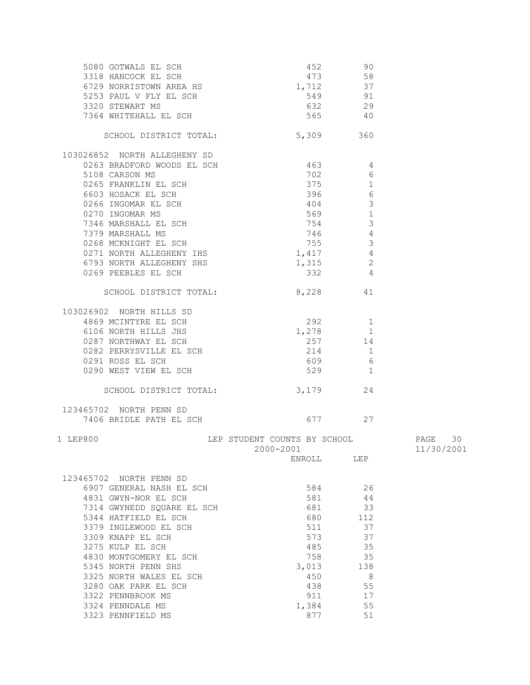|                                                                                                                                                                                         |                                           | 452 90              |                       |
|-----------------------------------------------------------------------------------------------------------------------------------------------------------------------------------------|-------------------------------------------|---------------------|-----------------------|
|                                                                                                                                                                                         |                                           | 473 58              |                       |
|                                                                                                                                                                                         | $1,712$ 37                                |                     |                       |
|                                                                                                                                                                                         | 549                                       | 91                  |                       |
|                                                                                                                                                                                         | 632                                       | 29                  |                       |
| COLORATION AND SOLUTION COLORATION AND SEARCH SCHOOL SEARCH SCHOOL STANDART MS<br>3320 STEWART MS<br>7364 WHITEHALL EL SCHOOL                                                           | 565                                       | 40                  |                       |
| SCHOOL DISTRICT TOTAL:                                                                                                                                                                  | 5,309                                     | 360                 |                       |
| 103026852 NORTH ALLEGHENY SD                                                                                                                                                            |                                           |                     |                       |
| 0263 BRADFORD WOODS EL SCH                                                                                                                                                              | 463                                       | 4                   |                       |
| 5108 CARSON MS                                                                                                                                                                          | 702                                       | 6                   |                       |
| 0265 FRANKLIN EL SCH                                                                                                                                                                    | 375                                       | $\mathbf{1}$        |                       |
|                                                                                                                                                                                         | 396                                       | $6\,$               |                       |
|                                                                                                                                                                                         | 404                                       | $\mathcal{S}$       |                       |
|                                                                                                                                                                                         | 569                                       | $\mathbf{1}$        |                       |
|                                                                                                                                                                                         | 754                                       | 3                   |                       |
|                                                                                                                                                                                         | 746                                       | 4<br>3              |                       |
|                                                                                                                                                                                         |                                           | 755                 |                       |
| 110 HOSACK EL SCH<br>0266 INGOMAR EL SCH<br>0270 INGOMAR MS<br>7346 MARSHALL EL SCH<br>7379 MARSHALL MS<br>0268 MCKNIGHT EL SCH<br>0271 NORTH ALLEGHENY IHS<br>6793 NOPTH ALLEGHENY IHS | $1,417$ 4                                 | $\overline{2}$      |                       |
| 6793 NORTH ALLEGHENY SHS<br>0269 PEEBLES EL SCH                                                                                                                                         | 1,315<br>332                              | $\overline{4}$      |                       |
|                                                                                                                                                                                         |                                           |                     |                       |
| SCHOOL DISTRICT TOTAL: 8,228 41                                                                                                                                                         |                                           |                     |                       |
| 103026902 NORTH HILLS SD                                                                                                                                                                |                                           |                     |                       |
|                                                                                                                                                                                         | 292 1                                     |                     |                       |
|                                                                                                                                                                                         | 1,278                                     | 1                   |                       |
|                                                                                                                                                                                         | 257 14                                    |                     |                       |
|                                                                                                                                                                                         | 214                                       | $\mathbf{1}$        |                       |
| 4869 MCINTYRE EL SCH<br>6106 NORTH HILLS JHS<br>0287 NORTHWAY EL SCH<br>0282 PERRYSVILLE EL SCH<br>0291 ROSS EL SCH<br>0290 WEST VIEW EL SCH                                            | 609                                       | 6<br>$\overline{1}$ |                       |
| 0290 WEST VIEW EL SCH                                                                                                                                                                   | 529                                       |                     |                       |
| SCHOOL DISTRICT TOTAL:                                                                                                                                                                  | 3,179                                     | 24                  |                       |
| 123465702 NORTH PENN SD                                                                                                                                                                 |                                           |                     |                       |
| 7406 BRIDLE PATH EL SCH                                                                                                                                                                 | 677 27                                    |                     |                       |
| 1 LEP800                                                                                                                                                                                | LEP STUDENT COUNTS BY SCHOOL<br>2000-2001 |                     | PAGE 30<br>11/30/2001 |
|                                                                                                                                                                                         | ENROLL                                    | LEP                 |                       |
| 123465702 NORTH PENN SD                                                                                                                                                                 |                                           |                     |                       |
| 6907 GENERAL NASH EL SCH                                                                                                                                                                | 584                                       | 26                  |                       |
| 4831 GWYN-NOR EL SCH                                                                                                                                                                    | 581                                       | 44                  |                       |
| 7314 GWYNEDD SQUARE EL SCH                                                                                                                                                              | 681                                       | 33                  |                       |
| 5344 HATFIELD EL SCH                                                                                                                                                                    | 680                                       | 112                 |                       |
| 3379 INGLEWOOD EL SCH                                                                                                                                                                   | 511                                       | 37                  |                       |
| 3309 KNAPP EL SCH                                                                                                                                                                       | 573                                       | 37                  |                       |
| 3275 KULP EL SCH                                                                                                                                                                        | 485                                       | 35                  |                       |
| 4830 MONTGOMERY EL SCH                                                                                                                                                                  | 758                                       | 35                  |                       |
| 5345 NORTH PENN SHS                                                                                                                                                                     | 3,013                                     | 138                 |                       |
| 3325 NORTH WALES EL SCH                                                                                                                                                                 | 450                                       | 8                   |                       |
| 3280 OAK PARK EL SCH                                                                                                                                                                    | 438                                       | 55                  |                       |
| 3322 PENNBROOK MS                                                                                                                                                                       | 911                                       | 17                  |                       |
| 3324 PENNDALE MS                                                                                                                                                                        | 1,384                                     | 55                  |                       |
| 3323 PENNFIELD MS                                                                                                                                                                       | 877                                       | 51                  |                       |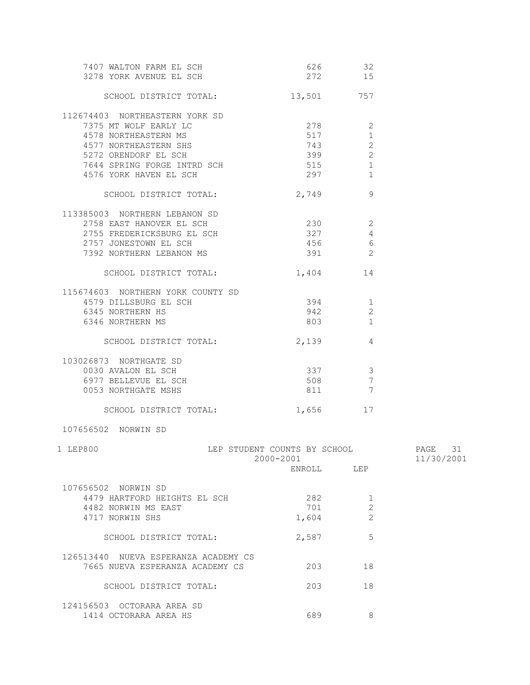| 7407 WALTON FARM EL SCH<br>3278 YORK AVENUE EL SCH                                                                                                                                        | 626<br>272                                          | 32<br>15                                            |                          |
|-------------------------------------------------------------------------------------------------------------------------------------------------------------------------------------------|-----------------------------------------------------|-----------------------------------------------------|--------------------------|
| SCHOOL DISTRICT TOTAL:                                                                                                                                                                    | 13,501 757                                          |                                                     |                          |
| 112674403 NORTHEASTERN YORK SD<br>7375 MT WOLF EARLY LC<br>4578 NORTHEASTERN MS<br>4577 NORTHEASTERN SHS<br>5272 ORENDORF EL SCH<br>7644 SPRING FORGE INTRD SCH<br>4576 YORK HAVEN EL SCH | 278<br>517<br>743<br>399<br>515<br>297 — 2012       | 2<br>$\mathbf{1}$<br>$\mathbf{2}$<br>2<br>1<br>1    |                          |
| SCHOOL DISTRICT TOTAL:                                                                                                                                                                    | 2,749                                               | 9                                                   |                          |
| 113385003 NORTHERN LEBANON SD<br>2758 EAST HANOVER EL SCH<br>2755 FREDERICKSBURG EL SCH<br>2757 JONESTOWN EL SCH<br>7392 NORTHERN LEBANON MS                                              | 230<br>327<br>456<br>391                            | $\overline{\phantom{a}}$<br>4<br>- 6<br>2           |                          |
| SCHOOL DISTRICT TOTAL:                                                                                                                                                                    | 1,404                                               | 14                                                  |                          |
| 115674603 NORTHERN YORK COUNTY SD<br>4579 DILLSBURG EL SCH<br>6345 NORTHERN HS<br>6346 NORTHERN MS                                                                                        | 394<br>942<br>803                                   | 1<br>2<br>1                                         |                          |
| SCHOOL DISTRICT TOTAL:                                                                                                                                                                    | 2,139                                               | 4                                                   |                          |
| 103026873 NORTHGATE SD<br>0030 AVALON EL SCH<br>6977 BELLEVUE EL SCH<br>0053 NORTHGATE MSHS                                                                                               | 337<br>508<br>811                                   | $\mathcal{E}$<br>$7\phantom{.0}$<br>$7\phantom{.0}$ |                          |
| SCHOOL DISTRICT TOTAL:                                                                                                                                                                    | 1,656                                               | 17                                                  |                          |
| 107656502 NORWIN SD                                                                                                                                                                       |                                                     |                                                     |                          |
| 1 LEP800                                                                                                                                                                                  | LEP STUDENT COUNTS BY SCHOOL<br>2000-2001<br>ENROLL | LEP                                                 | PAGE<br>31<br>11/30/2001 |
| 107656502 NORWIN SD<br>4479 HARTFORD HEIGHTS EL SCH<br>4482 NORWIN MS EAST<br>4717 NORWIN SHS                                                                                             | 282<br>701<br>1,604                                 | 1<br>2<br>2                                         |                          |
| SCHOOL DISTRICT TOTAL:                                                                                                                                                                    | 2,587                                               | 5                                                   |                          |
| 126513440 NUEVA ESPERANZA ACADEMY CS<br>7665 NUEVA ESPERANZA ACADEMY CS                                                                                                                   | 203                                                 | 18                                                  |                          |
| SCHOOL DISTRICT TOTAL:                                                                                                                                                                    | 203                                                 | 18                                                  |                          |
| 124156503 OCTORARA AREA SD<br>1414 OCTORARA AREA HS                                                                                                                                       | 689                                                 | 8                                                   |                          |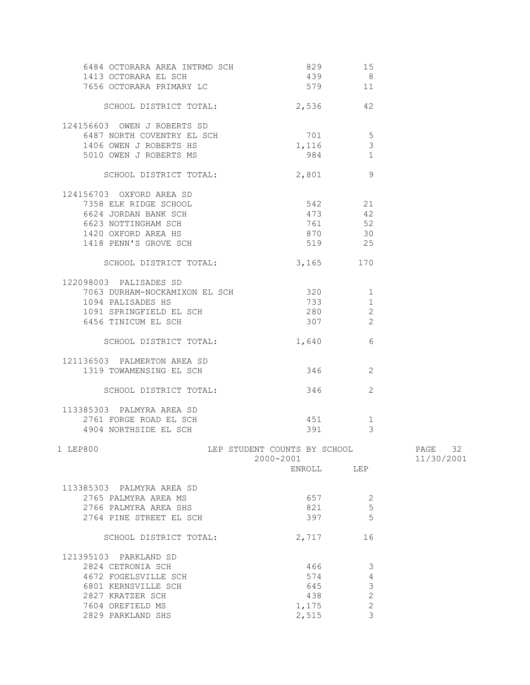| 6484 OCTORARA AREA INTRMD SCH                 | 829                                       | 15             |                          |
|-----------------------------------------------|-------------------------------------------|----------------|--------------------------|
| 1413 OCTORARA EL SCH                          | 439                                       | 8              |                          |
| 7656 OCTORARA PRIMARY LC                      | 579                                       | 11             |                          |
| SCHOOL DISTRICT TOTAL:                        | 2,536 42                                  |                |                          |
| 124156603 OWEN J ROBERTS SD                   |                                           |                |                          |
| 6487 NORTH COVENTRY EL SCH                    | 701                                       | 5              |                          |
| 1406 OWEN J ROBERTS HS                        | 1,116                                     | $\mathfrak{Z}$ |                          |
| 5010 OWEN J ROBERTS MS                        | 984                                       | $\mathbf{1}$   |                          |
| SCHOOL DISTRICT TOTAL:                        | 2,801                                     | - 9            |                          |
|                                               |                                           |                |                          |
| 124156703 OXFORD AREA SD                      |                                           |                |                          |
| 7358 ELK RIDGE SCHOOL<br>6624 JORDAN BANK SCH | 542 21<br>473 42                          |                |                          |
| 6623 NOTTINGHAM SCH                           |                                           | 761 52         |                          |
| 1420 OXFORD AREA HS                           | 870                                       | 30             |                          |
| 1418 PENN'S GROVE SCH                         |                                           | 519 25         |                          |
|                                               |                                           |                |                          |
| SCHOOL DISTRICT TOTAL:                        | 3,165 170                                 |                |                          |
| 122098003 PALISADES SD                        |                                           |                |                          |
| 7063 DURHAM-NOCKAMIXON EL SCH 320             |                                           | 1              |                          |
| 1094 PALISADES HS                             | 733 200                                   | $\mathbf{1}$   |                          |
| 1091 SPRINGFIELD EL SCH                       | 280                                       | $\mathbf{2}$   |                          |
| 6456 TINICUM EL SCH                           | 307                                       | 2              |                          |
| SCHOOL DISTRICT TOTAL:                        | 1,640                                     | - 6            |                          |
|                                               |                                           |                |                          |
| 121136503 PALMERTON AREA SD                   |                                           |                |                          |
| 1319 TOWAMENSING EL SCH                       | 346                                       | 2              |                          |
| SCHOOL DISTRICT TOTAL:                        |                                           | 2<br>346 200   |                          |
| 113385303 PALMYRA AREA SD                     |                                           |                |                          |
| 2761 FORGE ROAD EL SCH                        | 451                                       | $\mathbf{1}$   |                          |
| 4904 NORTHSIDE EL SCH                         | 391                                       | 3              |                          |
|                                               |                                           |                |                          |
| 1 LEP800                                      | LEP STUDENT COUNTS BY SCHOOL<br>2000-2001 |                | PAGE<br>32<br>11/30/2001 |
|                                               | ENROLL LEP                                |                |                          |
|                                               |                                           |                |                          |
| 113385303 PALMYRA AREA SD                     | 657                                       | -2             |                          |
| 2765 PALMYRA AREA MS<br>2766 PALMYRA AREA SHS | 821                                       | 5              |                          |
| 2764 PINE STREET EL SCH                       | 397                                       | 5              |                          |
|                                               |                                           |                |                          |
| SCHOOL DISTRICT TOTAL:                        | 2,717                                     | 16             |                          |
| 121395103 PARKLAND SD                         |                                           |                |                          |
| 2824 CETRONIA SCH                             | 466                                       | 3              |                          |
| 4672 FOGELSVILLE SCH                          | 574                                       | 4              |                          |
| 6801 KERNSVILLE SCH                           | 645                                       | $\mathfrak{Z}$ |                          |
| 2827 KRATZER SCH                              | 438                                       | $\overline{c}$ |                          |
| 7604 OREFIELD MS                              | 1,175                                     | $\mathbf{2}$   |                          |
| 2829 PARKLAND SHS                             | 2,515                                     | 3              |                          |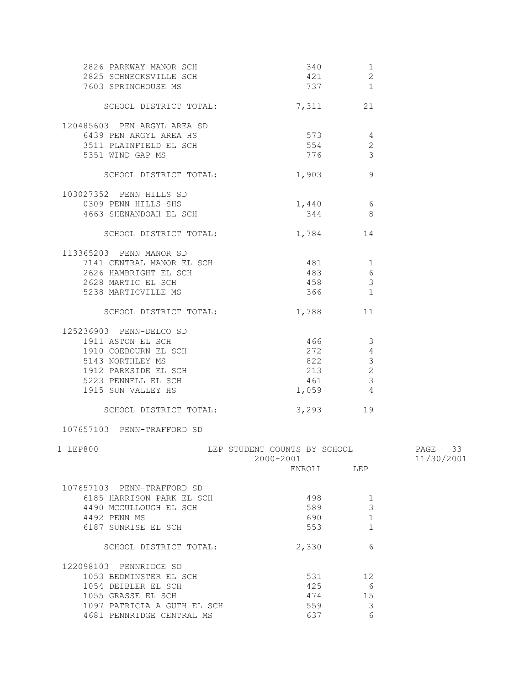| 2826 PARKWAY MANOR SCH<br>2825 SCHNECKSVILLE SCH<br>7603 SPRINGHOUSE MS                                                                                       | 421                                       | 340<br>1<br>2<br>737 1                                                      |                       |
|---------------------------------------------------------------------------------------------------------------------------------------------------------------|-------------------------------------------|-----------------------------------------------------------------------------|-----------------------|
| SCHOOL DISTRICT TOTAL:                                                                                                                                        | 7,311 21                                  |                                                                             |                       |
| 120485603 PEN ARGYL AREA SD<br>6439 PEN ARGYL AREA HS<br>3511 PLAINFIELD EL SCH<br>5351 WIND GAP MS                                                           | 573<br>554<br>776                         | 4<br>$\mathbf{2}$<br>3                                                      |                       |
| SCHOOL DISTRICT TOTAL:                                                                                                                                        | 1,903                                     | 9                                                                           |                       |
| 103027352 PENN HILLS SD<br>0309 PENN HILLS SHS<br>4663 SHENANDOAH EL SCH                                                                                      | 1,440<br>344                              | $6\overline{6}$<br>8 <sup>8</sup>                                           |                       |
| SCHOOL DISTRICT TOTAL:                                                                                                                                        | 1,784 14                                  |                                                                             |                       |
| 113365203 PENN MANOR SD<br>7141 CENTRAL MANOR EL SCH<br>2626 HAMBRIGHT EL SCH<br>2628 MARTIC EL SCH<br>5238 MARTICVILLE MS                                    | 481<br>483<br>458<br>366                  | $\overline{\phantom{a}}$<br>$\sqrt{6}$<br>$\mathcal{S}$<br>1                |                       |
| SCHOOL DISTRICT TOTAL:                                                                                                                                        | 1,788                                     | 11                                                                          |                       |
| 125236903 PENN-DELCO SD<br>1911 ASTON EL SCH<br>1910 COEBOURN EL SCH<br>5143 NORTHLEY MS<br>1912 PARKSIDE EL SCH<br>5223 PENNELL EL SCH<br>1915 SUN VALLEY HS | 466<br>272<br>822<br>213<br>461<br>1,059  | 3<br>$\overline{4}$<br>$\mathcal{S}$<br>2<br>$\mathbf{3}$<br>$\overline{4}$ |                       |
| SCHOOL DISTRICT TOTAL:                                                                                                                                        | 3,293 19                                  |                                                                             |                       |
| 107657103 PENN-TRAFFORD SD                                                                                                                                    |                                           |                                                                             |                       |
| 1 LEP800                                                                                                                                                      | LEP STUDENT COUNTS BY SCHOOL<br>2000-2001 |                                                                             | PAGE 33<br>11/30/2001 |
|                                                                                                                                                               | ENROLL LEP                                |                                                                             |                       |
| 107657103 PENN-TRAFFORD SD<br>6185 HARRISON PARK EL SCH<br>4490 MCCULLOUGH EL SCH<br>4492 PENN MS<br>6187 SUNRISE EL SCH                                      | 498<br>589<br>690<br>553                  | 1<br>3<br>$\mathbf{1}$<br>$\mathbf{1}$                                      |                       |
| SCHOOL DISTRICT TOTAL:                                                                                                                                        | 2,330                                     | 6                                                                           |                       |
| 122098103 PENNRIDGE SD<br>1053 BEDMINSTER EL SCH<br>1054 DEIBLER EL SCH<br>1055 GRASSE EL SCH<br>1097 PATRICIA A GUTH EL SCH<br>4681 PENNRIDGE CENTRAL MS     | 531<br>425<br>474<br>559<br>637           | 12<br>6<br>15<br>3<br>6                                                     |                       |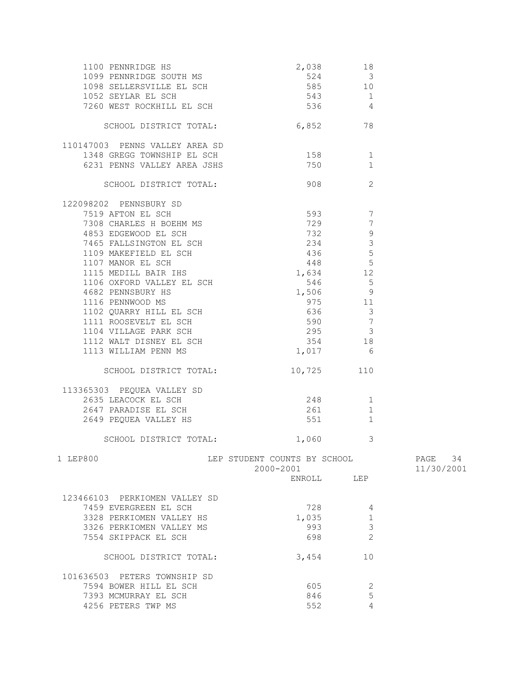| $\begin{tabular}{lllllllllllllllllllll} \end{tabular} \begin{tabular}{lllllllllll} \multicolumn{2}{c}{1100 & PENNRIDGE & HS & & & & & & 2,038 & & 18 \\ 1099 & PENNRIDGE & SOUTH & MS & & & 524 & & 3 \\ 1098 & SELERSVILLE & EL & SCH & & & 585 & & 10 \\ 1052 & SEYLAR EL & SCH & & & 543 & & 1 \\ 7260 & WEST & ROCKHILL EL & SCH & & & 536 & & 4 \\ \end{tabular}$ |                                           |                |                       |
|------------------------------------------------------------------------------------------------------------------------------------------------------------------------------------------------------------------------------------------------------------------------------------------------------------------------------------------------------------------------|-------------------------------------------|----------------|-----------------------|
| SCHOOL DISTRICT TOTAL:                                                                                                                                                                                                                                                                                                                                                 | 6,852 78                                  |                |                       |
| 110147003 PENNS VALLEY AREA SD                                                                                                                                                                                                                                                                                                                                         |                                           |                |                       |
| 1348 GREGG TOWNSHIP EL SCH                                                                                                                                                                                                                                                                                                                                             | $\frac{158}{750}$                         | 1              |                       |
| 6231 PENNS VALLEY AREA JSHS                                                                                                                                                                                                                                                                                                                                            | 750                                       | $\mathbf{1}$   |                       |
| SCHOOL DISTRICT TOTAL:                                                                                                                                                                                                                                                                                                                                                 | 908 30                                    | 2              |                       |
| 122098202 PENNSBURY SD                                                                                                                                                                                                                                                                                                                                                 |                                           |                |                       |
|                                                                                                                                                                                                                                                                                                                                                                        |                                           |                |                       |
|                                                                                                                                                                                                                                                                                                                                                                        |                                           |                |                       |
|                                                                                                                                                                                                                                                                                                                                                                        |                                           |                |                       |
|                                                                                                                                                                                                                                                                                                                                                                        |                                           |                |                       |
|                                                                                                                                                                                                                                                                                                                                                                        |                                           |                |                       |
|                                                                                                                                                                                                                                                                                                                                                                        |                                           |                |                       |
|                                                                                                                                                                                                                                                                                                                                                                        |                                           |                |                       |
|                                                                                                                                                                                                                                                                                                                                                                        |                                           |                |                       |
|                                                                                                                                                                                                                                                                                                                                                                        |                                           |                |                       |
|                                                                                                                                                                                                                                                                                                                                                                        |                                           |                |                       |
|                                                                                                                                                                                                                                                                                                                                                                        |                                           |                |                       |
|                                                                                                                                                                                                                                                                                                                                                                        |                                           |                |                       |
|                                                                                                                                                                                                                                                                                                                                                                        |                                           |                |                       |
| 1113 WILLIAM PENN MS                                                                                                                                                                                                                                                                                                                                                   | 1,017                                     | 6              |                       |
| SCHOOL DISTRICT TOTAL:                                                                                                                                                                                                                                                                                                                                                 |                                           | 10,725 110     |                       |
| 113365303 PEQUEA VALLEY SD                                                                                                                                                                                                                                                                                                                                             |                                           |                |                       |
|                                                                                                                                                                                                                                                                                                                                                                        |                                           |                |                       |
|                                                                                                                                                                                                                                                                                                                                                                        |                                           |                |                       |
|                                                                                                                                                                                                                                                                                                                                                                        |                                           |                |                       |
| SCHOOL DISTRICT TOTAL: 1,060                                                                                                                                                                                                                                                                                                                                           |                                           | 3              |                       |
| 1 LEP800                                                                                                                                                                                                                                                                                                                                                               | LEP STUDENT COUNTS BY SCHOOL<br>2000-2001 |                | PAGE 34<br>11/30/2001 |
|                                                                                                                                                                                                                                                                                                                                                                        |                                           | ENROLL LEP     |                       |
| 123466103 PERKIOMEN VALLEY SD                                                                                                                                                                                                                                                                                                                                          |                                           |                |                       |
| 7459 EVERGREEN EL SCH                                                                                                                                                                                                                                                                                                                                                  | 728                                       | 4              |                       |
| 3328 PERKIOMEN VALLEY HS                                                                                                                                                                                                                                                                                                                                               | 1,035                                     | $\mathbf{1}$   |                       |
| 3326 PERKIOMEN VALLEY MS                                                                                                                                                                                                                                                                                                                                               | 993                                       | $\mathfrak{Z}$ |                       |
| 7554 SKIPPACK EL SCH                                                                                                                                                                                                                                                                                                                                                   | 698                                       | 2              |                       |
| SCHOOL DISTRICT TOTAL:                                                                                                                                                                                                                                                                                                                                                 | 3,454                                     | 10             |                       |
| 101636503 PETERS TOWNSHIP SD                                                                                                                                                                                                                                                                                                                                           |                                           |                |                       |
| 7594 BOWER HILL EL SCH                                                                                                                                                                                                                                                                                                                                                 | 605                                       | 2              |                       |
| 7393 MCMURRAY EL SCH                                                                                                                                                                                                                                                                                                                                                   | 846                                       | 5              |                       |
| 4256 PETERS TWP MS                                                                                                                                                                                                                                                                                                                                                     | 552                                       | $\overline{4}$ |                       |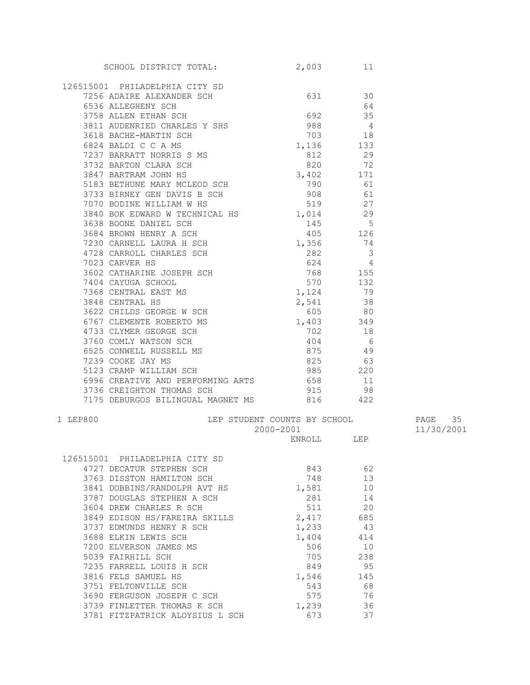|          | SCHOOL DISTRICT TOTAL:                                                                                                                                                                                                                           | 2,003      | 11   |            |
|----------|--------------------------------------------------------------------------------------------------------------------------------------------------------------------------------------------------------------------------------------------------|------------|------|------------|
|          |                                                                                                                                                                                                                                                  |            |      |            |
|          | 126515001 PHILADELPHIA CITY SD                                                                                                                                                                                                                   |            |      |            |
|          | 7256 ADAIRE ALEXANDER SCH 631 30                                                                                                                                                                                                                 |            |      |            |
|          | 6536 ALLEGHENY SCH                                                                                                                                                                                                                               |            | - 64 |            |
|          | 3758 ALLEN ETHAN SCH<br>3811 AUDENRIED CHARLES Y SHS<br>3618 BAGUE MARTIN SCH                                                                                                                                                                    |            |      |            |
|          |                                                                                                                                                                                                                                                  |            |      |            |
|          |                                                                                                                                                                                                                                                  |            |      |            |
|          | 3811 AUDENRIED CHARLES Y SHS<br>3618 BACHE-MARTIN SCH<br>6824 BALDI C C A MS<br>7237 BARRATT NORRIS S MS<br>3732 BARTON CLARA SCH<br>3847 BARTRAM JOHN HS<br>5183 BETHUNE MARY MCLEOD SCH<br>3733 BIRNEY GEN DAVIS B SCH<br>790 61<br>7070 BODIN |            |      |            |
|          |                                                                                                                                                                                                                                                  |            |      |            |
|          |                                                                                                                                                                                                                                                  |            |      |            |
|          |                                                                                                                                                                                                                                                  |            |      |            |
|          |                                                                                                                                                                                                                                                  |            |      |            |
|          |                                                                                                                                                                                                                                                  |            |      |            |
|          |                                                                                                                                                                                                                                                  |            |      |            |
|          | 3840 BOK EDWARD W TECHNICAL HS 1,014 29                                                                                                                                                                                                          |            |      |            |
|          |                                                                                                                                                                                                                                                  |            |      |            |
|          |                                                                                                                                                                                                                                                  |            |      |            |
|          |                                                                                                                                                                                                                                                  |            |      |            |
|          |                                                                                                                                                                                                                                                  |            |      |            |
|          |                                                                                                                                                                                                                                                  |            |      |            |
|          |                                                                                                                                                                                                                                                  |            |      |            |
|          |                                                                                                                                                                                                                                                  |            |      |            |
|          |                                                                                                                                                                                                                                                  |            |      |            |
|          |                                                                                                                                                                                                                                                  |            |      |            |
|          |                                                                                                                                                                                                                                                  |            |      |            |
|          |                                                                                                                                                                                                                                                  |            |      |            |
|          |                                                                                                                                                                                                                                                  |            |      |            |
|          |                                                                                                                                                                                                                                                  |            |      |            |
|          |                                                                                                                                                                                                                                                  |            |      |            |
|          |                                                                                                                                                                                                                                                  |            |      |            |
|          |                                                                                                                                                                                                                                                  |            |      |            |
|          | 6996 CREATIVE AND PERFORMING ARTS 658                                                                                                                                                                                                            |            | - 11 |            |
|          | 3736 CREIGHTON THOMAS SCH                                                                                                                                                                                                                        | 915        | 98   |            |
|          | 7175 DEBURGOS BILINGUAL MAGNET MS 816 422                                                                                                                                                                                                        |            |      |            |
| 1 LEP800 | LEP STUDENT COUNTS BY SCHOOL                                                                                                                                                                                                                     |            |      | PAGE 35    |
|          |                                                                                                                                                                                                                                                  | 2000-2001  |      | 11/30/2001 |
|          |                                                                                                                                                                                                                                                  | ENROLL LEP |      |            |
|          |                                                                                                                                                                                                                                                  |            |      |            |
|          | 126515001 PHILADELPHIA CITY SD<br>4727 DECATUR STEPHEN SCH                                                                                                                                                                                       | 843        | 62   |            |
|          | 3763 DISSTON HAMILTON SCH                                                                                                                                                                                                                        | 748        | 13   |            |
|          | 3841 DOBBINS/RANDOLPH AVT HS                                                                                                                                                                                                                     | 1,581      | 10   |            |
|          | 3787 DOUGLAS STEPHEN A SCH                                                                                                                                                                                                                       | 281        | 14   |            |
|          | 3604 DREW CHARLES R SCH                                                                                                                                                                                                                          | 511        | 20   |            |
|          | 3849 EDISON HS/FAREIRA SKILLS                                                                                                                                                                                                                    | 2,417      | 685  |            |
|          | 3737 EDMUNDS HENRY R SCH                                                                                                                                                                                                                         | 1,233      | 43   |            |
|          | 3688 ELKIN LEWIS SCH                                                                                                                                                                                                                             | 1,404      | 414  |            |
|          | 7200 ELVERSON JAMES MS                                                                                                                                                                                                                           | 506        | 10   |            |
|          | 5039 FAIRHILL SCH                                                                                                                                                                                                                                | 705        | 238  |            |
|          | 7235 FARRELL LOUIS H SCH                                                                                                                                                                                                                         | 849        | 95   |            |
|          | 3816 FELS SAMUEL HS                                                                                                                                                                                                                              | 1,546      | 145  |            |
|          | 3751 FELTONVILLE SCH                                                                                                                                                                                                                             | 543        | 68   |            |
|          | 3690 FERGUSON JOSEPH C SCH                                                                                                                                                                                                                       | 575        | 76   |            |
|          | 3739 FINLETTER THOMAS K SCH                                                                                                                                                                                                                      | 1,239      | 36   |            |
|          | 3781 FITZPATRICK ALOYSIUS L SCH                                                                                                                                                                                                                  | 673        | 37   |            |
|          |                                                                                                                                                                                                                                                  |            |      |            |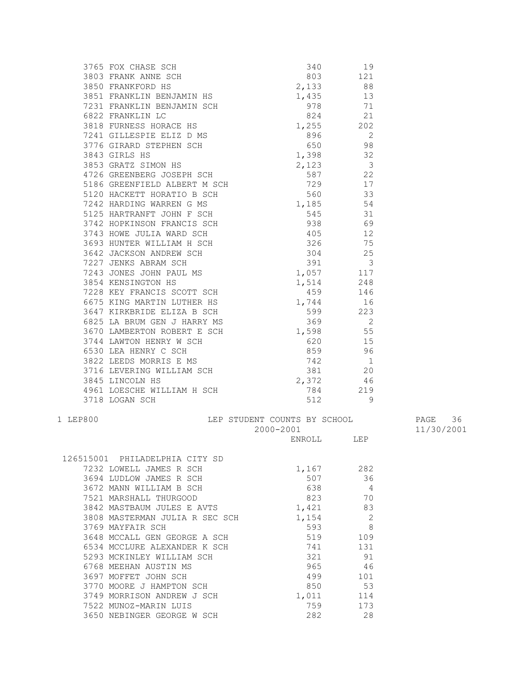|          | 3765 FOX CHASE SCH and the SMB of TANK ANNE SCH and the same and the small and the small set of the small set of the small set of the small set of the small set of the small set of the small set of the small set of the sm                    |                                         |            |            |
|----------|--------------------------------------------------------------------------------------------------------------------------------------------------------------------------------------------------------------------------------------------------|-----------------------------------------|------------|------------|
|          |                                                                                                                                                                                                                                                  |                                         |            |            |
|          |                                                                                                                                                                                                                                                  |                                         |            |            |
|          |                                                                                                                                                                                                                                                  |                                         |            |            |
|          |                                                                                                                                                                                                                                                  |                                         |            |            |
|          |                                                                                                                                                                                                                                                  |                                         |            |            |
|          |                                                                                                                                                                                                                                                  |                                         |            |            |
|          |                                                                                                                                                                                                                                                  |                                         |            |            |
|          |                                                                                                                                                                                                                                                  |                                         |            |            |
|          |                                                                                                                                                                                                                                                  |                                         |            |            |
|          |                                                                                                                                                                                                                                                  |                                         |            |            |
|          |                                                                                                                                                                                                                                                  |                                         |            |            |
|          |                                                                                                                                                                                                                                                  |                                         |            |            |
|          |                                                                                                                                                                                                                                                  |                                         |            |            |
|          |                                                                                                                                                                                                                                                  |                                         |            |            |
|          |                                                                                                                                                                                                                                                  |                                         |            |            |
|          |                                                                                                                                                                                                                                                  |                                         |            |            |
|          |                                                                                                                                                                                                                                                  |                                         |            |            |
|          |                                                                                                                                                                                                                                                  |                                         |            |            |
|          |                                                                                                                                                                                                                                                  |                                         |            |            |
|          |                                                                                                                                                                                                                                                  |                                         |            |            |
|          |                                                                                                                                                                                                                                                  |                                         |            |            |
|          |                                                                                                                                                                                                                                                  |                                         |            |            |
|          |                                                                                                                                                                                                                                                  |                                         |            |            |
|          |                                                                                                                                                                                                                                                  |                                         |            |            |
|          | 3647 KIRKBRIDE ELIZA B SCH 599 223                                                                                                                                                                                                               |                                         |            |            |
|          |                                                                                                                                                                                                                                                  |                                         |            |            |
|          | 3625 LA BRUM GEN J HARRY MS<br>3625 LA BRUM GEN J HARRY MS<br>3670 LAMBERTON ROBERT E SCH<br>3744 LAWTON HENRY W SCH<br>6530 LEA HENRY C SCH<br>3822 LEEDS MORRIS E MS<br>3716 LEVERING WILLIAM SCH<br>3845 LINCOLN HS<br>3845 LINCOLN HS<br>466 |                                         |            |            |
|          |                                                                                                                                                                                                                                                  |                                         |            |            |
|          |                                                                                                                                                                                                                                                  |                                         |            |            |
|          |                                                                                                                                                                                                                                                  |                                         |            |            |
|          |                                                                                                                                                                                                                                                  |                                         |            |            |
|          |                                                                                                                                                                                                                                                  |                                         |            |            |
|          | 4961 LOESCHE WILLIAM H SCH 784 219                                                                                                                                                                                                               |                                         |            |            |
|          | 3718 LOGAN SCH                                                                                                                                                                                                                                   |                                         | 512 9      |            |
| 1 LEP800 |                                                                                                                                                                                                                                                  | LEP STUDENT COUNTS BY SCHOOL 60 PAGE 36 |            |            |
|          |                                                                                                                                                                                                                                                  | 2000-2001                               |            | 11/30/2001 |
|          |                                                                                                                                                                                                                                                  |                                         | ENROLL LEP |            |
|          | 126515001 PHILADELPHIA CITY SD                                                                                                                                                                                                                   |                                         |            |            |
|          | 7232 LOWELL JAMES R SCH                                                                                                                                                                                                                          | 1,167                                   | 282        |            |
|          | 3694 LUDLOW JAMES R SCH                                                                                                                                                                                                                          | 507                                     | 36         |            |
|          | 3672 MANN WILLIAM B SCH                                                                                                                                                                                                                          | 638                                     | 4          |            |
|          | 7521 MARSHALL THURGOOD                                                                                                                                                                                                                           | 823                                     | 70         |            |
|          | 3842 MASTBAUM JULES E AVTS                                                                                                                                                                                                                       | 1,421                                   | 83         |            |
|          | 3808 MASTERMAN JULIA R SEC SCH                                                                                                                                                                                                                   | 1,154                                   | 2          |            |
|          | 3769 MAYFAIR SCH                                                                                                                                                                                                                                 | 593                                     | 8          |            |
|          | 3648 MCCALL GEN GEORGE A SCH                                                                                                                                                                                                                     | 519                                     | 109        |            |
|          | 6534 MCCLURE ALEXANDER K SCH                                                                                                                                                                                                                     | 741                                     | 131        |            |
|          | 5293 MCKINLEY WILLIAM SCH                                                                                                                                                                                                                        | 321                                     | 91         |            |
|          | 6768 MEEHAN AUSTIN MS                                                                                                                                                                                                                            | 965                                     | 46         |            |
|          | 3697 MOFFET JOHN SCH                                                                                                                                                                                                                             | 499                                     | 101        |            |
|          | 3770 MOORE J HAMPTON SCH                                                                                                                                                                                                                         | 850                                     | 53         |            |
|          | 3749 MORRISON ANDREW J SCH                                                                                                                                                                                                                       | 1,011                                   | 114        |            |
|          | 7522 MUNOZ-MARIN LUIS                                                                                                                                                                                                                            | 759                                     | 173        |            |
|          | 3650 NEBINGER GEORGE W SCH                                                                                                                                                                                                                       | 282                                     | 28         |            |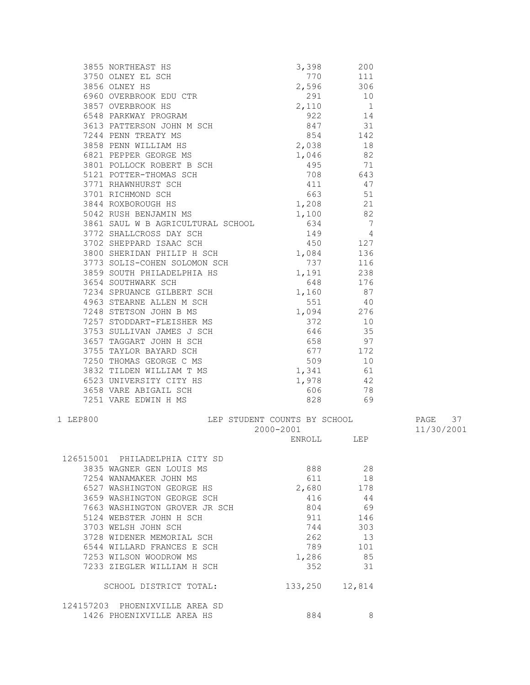|          |                                                                                                                                                                                                                                  |                              | 3,398 200  |            |
|----------|----------------------------------------------------------------------------------------------------------------------------------------------------------------------------------------------------------------------------------|------------------------------|------------|------------|
|          |                                                                                                                                                                                                                                  |                              | 770 111    |            |
|          | 3855 NORTHEAST HS<br>3750 OLNEY EL SCH<br>3856 OLNEY HS                                                                                                                                                                          |                              |            |            |
|          |                                                                                                                                                                                                                                  |                              |            |            |
|          |                                                                                                                                                                                                                                  |                              |            |            |
|          |                                                                                                                                                                                                                                  |                              |            |            |
|          |                                                                                                                                                                                                                                  |                              |            |            |
|          |                                                                                                                                                                                                                                  |                              |            |            |
|          |                                                                                                                                                                                                                                  |                              |            |            |
|          |                                                                                                                                                                                                                                  |                              |            |            |
|          |                                                                                                                                                                                                                                  |                              |            |            |
|          |                                                                                                                                                                                                                                  |                              |            |            |
|          |                                                                                                                                                                                                                                  |                              |            |            |
|          |                                                                                                                                                                                                                                  |                              |            |            |
|          |                                                                                                                                                                                                                                  |                              |            |            |
|          |                                                                                                                                                                                                                                  |                              |            |            |
|          |                                                                                                                                                                                                                                  |                              |            |            |
|          |                                                                                                                                                                                                                                  |                              |            |            |
|          |                                                                                                                                                                                                                                  |                              |            |            |
|          |                                                                                                                                                                                                                                  |                              |            |            |
|          |                                                                                                                                                                                                                                  |                              |            |            |
|          |                                                                                                                                                                                                                                  |                              |            |            |
|          |                                                                                                                                                                                                                                  |                              |            |            |
|          | 3859 SOUTH PHILADELPHIA HS 3654 SOUTH PHILADELPHIA HS 3654 SOUTHWARK SCH 38554 SOUTHWARK SCH 38554 SOUTHWARK SCH 38554 SOUTHWARK SCH 3854 SOUTHWARK SCH 3854 SOUTHWARK SCH 37234 SPRUANCE GILBERT SCH 372 38<br>4963 STEARNE ALL |                              |            |            |
|          |                                                                                                                                                                                                                                  |                              |            |            |
|          |                                                                                                                                                                                                                                  |                              |            |            |
|          |                                                                                                                                                                                                                                  |                              |            |            |
|          |                                                                                                                                                                                                                                  |                              |            |            |
|          |                                                                                                                                                                                                                                  |                              |            |            |
|          |                                                                                                                                                                                                                                  |                              |            |            |
|          |                                                                                                                                                                                                                                  |                              |            |            |
|          |                                                                                                                                                                                                                                  |                              |            |            |
|          |                                                                                                                                                                                                                                  |                              |            |            |
|          |                                                                                                                                                                                                                                  |                              |            |            |
|          |                                                                                                                                                                                                                                  |                              |            |            |
|          |                                                                                                                                                                                                                                  |                              |            |            |
| 1 LEP800 |                                                                                                                                                                                                                                  | LEP STUDENT COUNTS BY SCHOOL |            | PAGE 37    |
|          |                                                                                                                                                                                                                                  | 2000-2001                    | ENROLL LEP | 11/30/2001 |
|          |                                                                                                                                                                                                                                  |                              |            |            |
|          | 126515001 PHILADELPHIA CITY SD                                                                                                                                                                                                   |                              |            |            |
|          | 3835 WAGNER GEN LOUIS MS                                                                                                                                                                                                         | 888                          | 28         |            |
|          | 7254 WANAMAKER JOHN MS                                                                                                                                                                                                           | 611                          | 18         |            |
|          | 6527 WASHINGTON GEORGE HS                                                                                                                                                                                                        | 2,680                        | 178        |            |
|          | 3659 WASHINGTON GEORGE SCH                                                                                                                                                                                                       | 416                          | 44         |            |
|          | 7663 WASHINGTON GROVER JR SCH                                                                                                                                                                                                    | 804                          | 69         |            |
|          | 5124 WEBSTER JOHN H SCH                                                                                                                                                                                                          | 911                          | 146        |            |
|          | 3703 WELSH JOHN SCH                                                                                                                                                                                                              | 744                          | 303        |            |
|          | 3728 WIDENER MEMORIAL SCH                                                                                                                                                                                                        | 262                          | 13         |            |
|          | 6544 WILLARD FRANCES E SCH                                                                                                                                                                                                       | 789                          | 101        |            |
|          | 7253 WILSON WOODROW MS                                                                                                                                                                                                           | 1,286                        | 85         |            |
|          | 7233 ZIEGLER WILLIAM H SCH                                                                                                                                                                                                       | 352                          | 31         |            |
|          | SCHOOL DISTRICT TOTAL:                                                                                                                                                                                                           | 133,250                      | 12,814     |            |
|          | 124157203 PHOENIXVILLE AREA SD                                                                                                                                                                                                   |                              |            |            |
|          | 1426 PHOENIXVILLE AREA HS                                                                                                                                                                                                        | 884                          | 8          |            |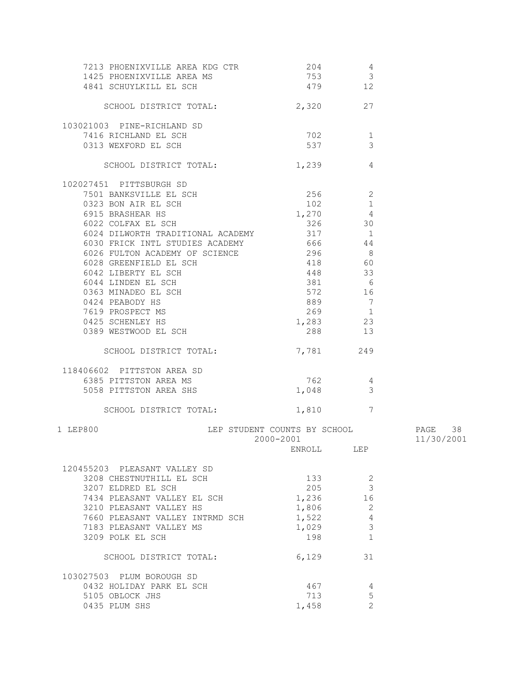| 7213 PHOENIXVILLE AREA KDG CTR                  | 204                          | -4                      |            |
|-------------------------------------------------|------------------------------|-------------------------|------------|
| 1425 PHOENIXVILLE AREA MS                       | 753                          | $\overline{\mathbf{3}}$ |            |
| 4841 SCHUYLKILL EL SCH                          | 479 12                       |                         |            |
| SCHOOL DISTRICT TOTAL: 2,320 27                 |                              |                         |            |
| 103021003 PINE-RICHLAND SD                      |                              |                         |            |
| 7416 RICHLAND EL SCH                            | 702                          | 1                       |            |
| 0313 WEXFORD EL SCH                             | 537                          | 3                       |            |
| SCHOOL DISTRICT TOTAL:                          | 1,239                        | $\overline{4}$          |            |
| 102027451 PITTSBURGH SD                         |                              |                         |            |
| 7501 BANKSVILLE EL SCH                          | $256$ 2                      |                         |            |
| 0323 BON AIR EL SCH                             | $102$ 1                      |                         |            |
| 6915 BRASHEAR HS                                | $1,270$ 4                    |                         |            |
| 6022 COLFAX EL SCH                              | 326 30                       |                         |            |
| 6024 DILWORTH TRADITIONAL ACADEMY               | 317 1                        |                         |            |
| 6030 FRICK INTL STUDIES ACADEMY                 |                              |                         |            |
|                                                 | 666 44                       |                         |            |
| 6026 FULTON ACADEMY OF SCIENCE                  | 296 8                        |                         |            |
| 6028 GREENFIELD EL SCH                          | 418                          | 60                      |            |
| 6042 LIBERTY EL SCH                             | 448                          | 33                      |            |
| 6044 LINDEN EL SCH                              | 381 6                        |                         |            |
| 0363 MINADEO EL SCH                             | 572 16                       |                         |            |
| 0424 PEABODY HS                                 | 889 7                        |                         |            |
| 7619 PROSPECT MS                                | 269 1                        |                         |            |
| 0425 SCHENLEY HS                                | 1,283 23                     |                         |            |
| 0389 WESTWOOD EL SCH                            | 288 13                       |                         |            |
| SCHOOL DISTRICT TOTAL:                          | 7,781 249                    |                         |            |
| 118406602 PITTSTON AREA SD                      |                              |                         |            |
|                                                 | $762$ 4                      |                         |            |
| 6385 PITTSTON AREA MS<br>5058 PITTSTON AREA SHS | $1,048$ 3                    |                         |            |
|                                                 |                              |                         |            |
| SCHOOL DISTRICT TOTAL:                          | 1,810 7                      |                         |            |
| 1 LEP800                                        | LEP STUDENT COUNTS BY SCHOOL |                         | PAGE 38    |
|                                                 | 2000-2001                    |                         | 11/30/2001 |
|                                                 | ENROLL LEP                   |                         |            |
| 120455203 PLEASANT VALLEY SD                    |                              |                         |            |
| 3208 CHESTNUTHILL EL SCH                        | 133                          | 2                       |            |
| 3207 ELDRED EL SCH                              | 205                          | 3                       |            |
| 7434 PLEASANT VALLEY EL SCH                     | 1,236                        | 16                      |            |
| 3210 PLEASANT VALLEY HS                         | 1,806                        | 2                       |            |
| 7660 PLEASANT VALLEY INTRMD SCH                 | 1,522                        | $\sqrt{4}$              |            |
| 7183 PLEASANT VALLEY MS                         | 1,029                        | $\mathcal{S}$           |            |
| 3209 POLK EL SCH                                | 198                          | $\mathbf{1}$            |            |
| SCHOOL DISTRICT TOTAL:                          | 6,129                        | 31                      |            |
|                                                 |                              |                         |            |
| 103027503 PLUM BOROUGH SD                       |                              |                         |            |
| 0432 HOLIDAY PARK EL SCH                        | 467                          | 4                       |            |
| 5105 OBLOCK JHS                                 | 713                          | 5                       |            |
| 0435 PLUM SHS                                   | 1,458                        | $\overline{2}$          |            |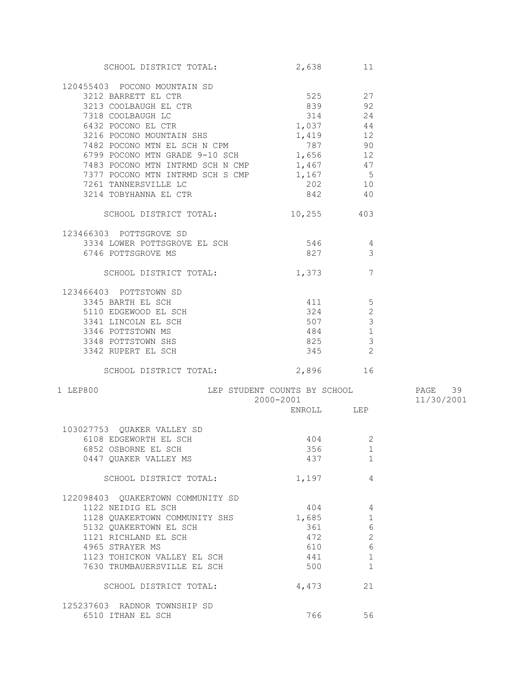| SCHOOL DISTRICT TOTAL:                                                                                                                                                                                                                                                   | 2,638                                                   | 11             |            |
|--------------------------------------------------------------------------------------------------------------------------------------------------------------------------------------------------------------------------------------------------------------------------|---------------------------------------------------------|----------------|------------|
| 120455403 POCONO MOUNTAIN SD                                                                                                                                                                                                                                             |                                                         |                |            |
| 3212 BARRETT EL CTR                                                                                                                                                                                                                                                      |                                                         |                |            |
| 3213 COOLBAUGH EL CTR                                                                                                                                                                                                                                                    | $\begin{array}{ccc}\n525 & 27 \\ \end{array}$<br>839 92 |                |            |
|                                                                                                                                                                                                                                                                          | 314 24                                                  |                |            |
| 7318 COOLBAUGH LC<br>2423 POCOMO EI CTP                                                                                                                                                                                                                                  |                                                         |                |            |
| 6432 POCONO EL CTR                                                                                                                                                                                                                                                       | $1,037$ 44                                              |                |            |
|                                                                                                                                                                                                                                                                          |                                                         |                |            |
|                                                                                                                                                                                                                                                                          |                                                         |                |            |
|                                                                                                                                                                                                                                                                          |                                                         |                |            |
|                                                                                                                                                                                                                                                                          |                                                         |                |            |
|                                                                                                                                                                                                                                                                          |                                                         |                |            |
| 6432 FOCONO MOUNTAIN SHS<br>7482 POCONO MTN EL SCH N CPM<br>6799 POCONO MTN GRADE 9-10 SCH<br>7483 POCONO MTN INTRMD SCH N CMP<br>7483 POCONO MTN INTRMD SCH N CMP<br>7483 POCONO MTN INTRMD SCH N CMP<br>7483 POCONO MTN INTRMD SCH N CM                                | $202$ 10                                                |                |            |
| 3214 TOBYHANNA EL CTR                                                                                                                                                                                                                                                    | 842 40                                                  |                |            |
|                                                                                                                                                                                                                                                                          |                                                         |                |            |
| SCHOOL DISTRICT TOTAL:                                                                                                                                                                                                                                                   | 10,255 403                                              |                |            |
| 123466303 POTTSGROVE SD                                                                                                                                                                                                                                                  |                                                         |                |            |
| 3334 LOWER POTTSGROVE EL SCH 546                                                                                                                                                                                                                                         |                                                         | $\overline{4}$ |            |
| 6746 POTTSGROVE MS                                                                                                                                                                                                                                                       | 827                                                     | 3              |            |
| SCHOOL DISTRICT TOTAL: 1,373                                                                                                                                                                                                                                             |                                                         | 7              |            |
|                                                                                                                                                                                                                                                                          |                                                         |                |            |
| 123466403 POTTSTOWN SD                                                                                                                                                                                                                                                   |                                                         |                |            |
|                                                                                                                                                                                                                                                                          |                                                         |                |            |
|                                                                                                                                                                                                                                                                          |                                                         |                |            |
|                                                                                                                                                                                                                                                                          |                                                         |                |            |
|                                                                                                                                                                                                                                                                          |                                                         |                |            |
|                                                                                                                                                                                                                                                                          |                                                         | $\frac{1}{2}$  |            |
| 3345 BARTH EL SCH<br>5110 EDGEWOOD EL SCH<br>3341 LINCOLN EL SCH<br>3346 POTTSTOWN MS<br>3348 POTTSTOWN MS<br>3348 POTTSTOWN SHS<br>3348 POTTSTOWN SHS<br>3342 RIIPERT EL SCH<br>3342 RIIPERT EL SCH<br>3342 RIIPERT EL SCH<br>3342 RIIPERT EL SCH<br>3342 RUPERT EL SCH | 345                                                     | $\overline{c}$ |            |
|                                                                                                                                                                                                                                                                          |                                                         |                |            |
| SCHOOL DISTRICT TOTAL: 2,896 16                                                                                                                                                                                                                                          |                                                         |                |            |
| LEP STUDENT COUNTS BY SCHOOL 60 PAGE 39<br>1 LEP800                                                                                                                                                                                                                      |                                                         |                |            |
|                                                                                                                                                                                                                                                                          | 2000-2001                                               |                | 11/30/2001 |
|                                                                                                                                                                                                                                                                          | ENROLL LEP                                              |                |            |
|                                                                                                                                                                                                                                                                          |                                                         |                |            |
| 103027753 QUAKER VALLEY SD                                                                                                                                                                                                                                               |                                                         |                |            |
| 6108 EDGEWORTH EL SCH                                                                                                                                                                                                                                                    | 404                                                     | 2              |            |
| 6852 OSBORNE EL SCH                                                                                                                                                                                                                                                      |                                                         | 356 1          |            |
| 0447 QUAKER VALLEY MS                                                                                                                                                                                                                                                    | 437                                                     | 1              |            |
| SCHOOL DISTRICT TOTAL:                                                                                                                                                                                                                                                   | 1,197                                                   | 4              |            |
|                                                                                                                                                                                                                                                                          |                                                         |                |            |
| 122098403 QUAKERTOWN COMMUNITY SD                                                                                                                                                                                                                                        |                                                         |                |            |
| 1122 NEIDIG EL SCH                                                                                                                                                                                                                                                       | 404                                                     | 4              |            |
| 1128 QUAKERTOWN COMMUNITY SHS                                                                                                                                                                                                                                            | 1,685                                                   | $\mathbf 1$    |            |
| 5132 QUAKERTOWN EL SCH                                                                                                                                                                                                                                                   | 361                                                     | $\epsilon$     |            |
| 1121 RICHLAND EL SCH                                                                                                                                                                                                                                                     | 472                                                     | $\mathbf{2}$   |            |
| 4965 STRAYER MS                                                                                                                                                                                                                                                          | 610                                                     | $\epsilon$     |            |
| 1123 TOHICKON VALLEY EL SCH                                                                                                                                                                                                                                              | 441                                                     | 1              |            |
| 7630 TRUMBAUERSVILLE EL SCH                                                                                                                                                                                                                                              | 500                                                     | 1              |            |
|                                                                                                                                                                                                                                                                          |                                                         |                |            |
| SCHOOL DISTRICT TOTAL:                                                                                                                                                                                                                                                   | 4,473                                                   | 21             |            |
| 125237603 RADNOR TOWNSHIP SD                                                                                                                                                                                                                                             |                                                         |                |            |
| 6510 ITHAN EL SCH                                                                                                                                                                                                                                                        | 766                                                     | 56             |            |
|                                                                                                                                                                                                                                                                          |                                                         |                |            |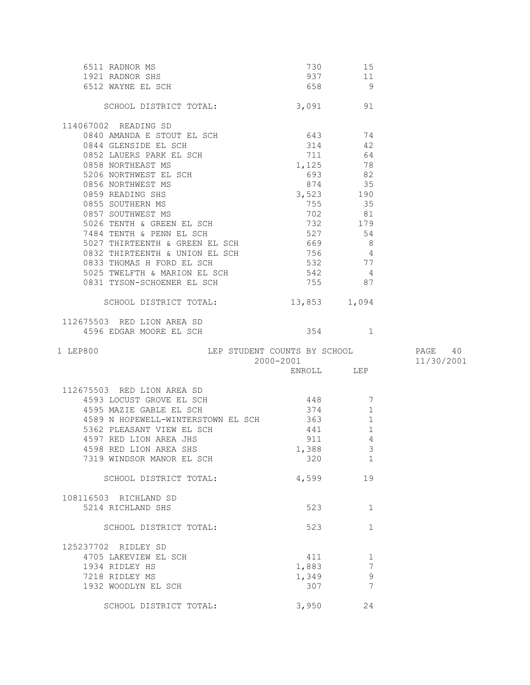| 6511 RADNOR MS<br>1921 RADNOR SHS<br>6512 WAYNE EL SCH                                                                               | 730           | 15<br>937 11            |            |
|--------------------------------------------------------------------------------------------------------------------------------------|---------------|-------------------------|------------|
|                                                                                                                                      | 658 9         |                         |            |
| SCHOOL DISTRICT TOTAL: 3,091 91                                                                                                      |               |                         |            |
| 114067002 READING SD                                                                                                                 |               |                         |            |
| 0840 AMANDA E STOUT EL SCH $643$ 74                                                                                                  |               |                         |            |
| 0844 GLENSIDE EL SCH                                                                                                                 | 314 42        |                         |            |
| 0852 LAUERS PARK EL SCH                                                                                                              | 711 64        |                         |            |
|                                                                                                                                      | $1,125$ 78    |                         |            |
|                                                                                                                                      |               |                         |            |
| 0858 NORTHEAST MS<br>5206 NORTHWEST EL SCH<br>693 82<br>693 82<br>693 82<br>693 82<br>874 35<br>6859 READING SHS<br>874 35<br>874 35 |               |                         |            |
| 0859 READING SHS<br>0855 SOUTHERN MS<br>0857 SOUTHWEST MS<br>5026 TENTH & GREEN EL SCH                                               |               | 755 35                  |            |
|                                                                                                                                      | 702 81        |                         |            |
|                                                                                                                                      | 732 179       |                         |            |
| 7484 TENTH & PENN EL SCH                                                                                                             | 527 54        |                         |            |
| 5027 THIRTEENTH & GREEN EL SCH 669 8                                                                                                 |               |                         |            |
| 0832 THIRTEENTH & UNION EL SCH 756 4<br>0832 THIRTEENTH & UNIVERSITY OF SCH<br>0833 THOMAS H FORD EL SCH                             |               |                         |            |
|                                                                                                                                      |               | 532 77<br>542 4         |            |
| 5025 TWELFTH & MARION EL SCH<br>0831 TYSON-SCHOENER EL SCH                                                                           | 542<br>755 87 |                         |            |
|                                                                                                                                      |               |                         |            |
| SCHOOL DISTRICT TOTAL: 13,853 1,094                                                                                                  |               |                         |            |
| 112675503 RED LION AREA SD                                                                                                           |               |                         |            |
| 4596 EDGAR MOORE EL SCH                                                                                                              |               | 354 1                   |            |
|                                                                                                                                      |               |                         |            |
| 1 LEP800                                                                                                                             |               |                         | PAGE 40    |
|                                                                                                                                      |               |                         | 11/30/2001 |
| LEP STUDENT COUNTS BY SCHOOL<br>2000-2001<br>ENROLL LEP                                                                              |               |                         |            |
| 112675503 RED LION AREA SD                                                                                                           |               |                         |            |
| 4593 LOCUST GROVE EL SCH                                                                                                             | $448$ 7       |                         |            |
| 4595 MAZIE GABLE EL SCH                                                                                                              | 374           | $\mathbf 1$             |            |
| 4589 N HOPEWELL-WINTERSTOWN EL SCH 363                                                                                               |               | 1                       |            |
| 5362 PLEASANT VIEW EL SCH                                                                                                            | 441           | $\mathbf{1}$            |            |
| 4597 RED LION AREA JHS                                                                                                               | 911           | $\sqrt{4}$              |            |
| 4598 RED LION AREA SHS                                                                                                               | 1,388         | $\overline{\mathbf{3}}$ |            |
| 7319 WINDSOR MANOR EL SCH                                                                                                            | 320           | 1                       |            |
| SCHOOL DISTRICT TOTAL:                                                                                                               | 4,599         | 19                      |            |
| 108116503 RICHLAND SD                                                                                                                |               |                         |            |
| 5214 RICHLAND SHS                                                                                                                    | 523           | 1                       |            |
| SCHOOL DISTRICT TOTAL:                                                                                                               | 523           | $\mathbf{1}$            |            |
| 125237702 RIDLEY SD                                                                                                                  |               |                         |            |
| 4705 LAKEVIEW EL SCH                                                                                                                 | 411           | 1                       |            |
| 1934 RIDLEY HS                                                                                                                       | 1,883         | 7                       |            |
| 7218 RIDLEY MS                                                                                                                       | 1,349         | $\mathsf 9$             |            |
| 1932 WOODLYN EL SCH                                                                                                                  | 307           | 7                       |            |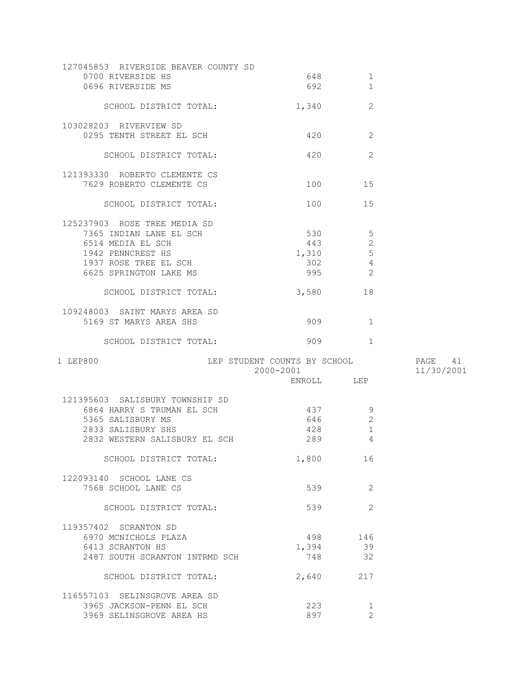| 0700 RIVERSIDE HS                                    | 648                                                                                                                                                                                                                             | 1                   |            |
|------------------------------------------------------|---------------------------------------------------------------------------------------------------------------------------------------------------------------------------------------------------------------------------------|---------------------|------------|
| 0696 RIVERSIDE MS                                    | 692                                                                                                                                                                                                                             | $\mathbf{1}$        |            |
|                                                      |                                                                                                                                                                                                                                 |                     |            |
| SCHOOL DISTRICT TOTAL:                               | 1,340                                                                                                                                                                                                                           | 2                   |            |
|                                                      |                                                                                                                                                                                                                                 |                     |            |
| 103028203 RIVERVIEW SD                               |                                                                                                                                                                                                                                 |                     |            |
| 0295 TENTH STREET EL SCH                             | 420                                                                                                                                                                                                                             | 2                   |            |
|                                                      |                                                                                                                                                                                                                                 |                     |            |
| SCHOOL DISTRICT TOTAL:                               | 420                                                                                                                                                                                                                             | 2                   |            |
|                                                      |                                                                                                                                                                                                                                 |                     |            |
|                                                      |                                                                                                                                                                                                                                 |                     |            |
| 121393330 ROBERTO CLEMENTE CS                        |                                                                                                                                                                                                                                 |                     |            |
| 7629 ROBERTO CLEMENTE CS                             | 100 000                                                                                                                                                                                                                         | 15                  |            |
|                                                      |                                                                                                                                                                                                                                 |                     |            |
| SCHOOL DISTRICT TOTAL:                               | 100 — 100 — 100 — 100 — 100 — 100 — 100 — 100 — 100 — 100 — 100 — 100 — 100 — 100 — 100 — 100 — 100 — 100 — 100 — 100 — 100 — 100 — 100 — 100 — 100 — 100 — 100 — 100 — 100 — 100 — 100 — 100 — 100 — 100 — 100 — 100 — 100 — 1 | 15                  |            |
|                                                      |                                                                                                                                                                                                                                 |                     |            |
| 125237903 ROSE TREE MEDIA SD                         |                                                                                                                                                                                                                                 |                     |            |
| 7365 INDIAN LANE EL SCH                              | 530                                                                                                                                                                                                                             | $5\phantom{.0}$     |            |
| 6514 MEDIA EL SCH                                    | 443                                                                                                                                                                                                                             | $\mathbf{2}$        |            |
| 1942 PENNCREST HS                                    | 1,310                                                                                                                                                                                                                           | 5                   |            |
| 1937 ROSE TREE EL SCH                                | 302                                                                                                                                                                                                                             | 4                   |            |
| 6625 SPRINGTON LAKE MS                               | 995                                                                                                                                                                                                                             | 2                   |            |
|                                                      |                                                                                                                                                                                                                                 |                     |            |
| SCHOOL DISTRICT TOTAL:                               | 3,580                                                                                                                                                                                                                           | 18                  |            |
|                                                      |                                                                                                                                                                                                                                 |                     |            |
| 109248003 SAINT MARYS AREA SD                        |                                                                                                                                                                                                                                 |                     |            |
| 5169 ST MARYS AREA SHS                               | 909                                                                                                                                                                                                                             | $\overline{1}$      |            |
|                                                      |                                                                                                                                                                                                                                 |                     |            |
|                                                      |                                                                                                                                                                                                                                 |                     |            |
| SCHOOL DISTRICT TOTAL:                               | 909                                                                                                                                                                                                                             | 1                   |            |
| 1 LEP800                                             |                                                                                                                                                                                                                                 |                     |            |
|                                                      |                                                                                                                                                                                                                                 |                     |            |
|                                                      | LEP STUDENT COUNTS BY SCHOOL                                                                                                                                                                                                    |                     | PAGE 41    |
|                                                      | 2000-2001                                                                                                                                                                                                                       |                     | 11/30/2001 |
|                                                      | ENROLL LEP                                                                                                                                                                                                                      |                     |            |
|                                                      |                                                                                                                                                                                                                                 |                     |            |
| 121395603 SALISBURY TOWNSHIP SD                      |                                                                                                                                                                                                                                 |                     |            |
| 6864 HARRY S TRUMAN EL SCH                           | 437                                                                                                                                                                                                                             | 9                   |            |
| 5365 SALISBURY MS                                    | 646                                                                                                                                                                                                                             | 2                   |            |
| 2833 SALISBURY SHS                                   | 428                                                                                                                                                                                                                             | 1                   |            |
| 2832 WESTERN SALISBURY EL SCH                        | 289                                                                                                                                                                                                                             | 4                   |            |
|                                                      |                                                                                                                                                                                                                                 |                     |            |
| SCHOOL DISTRICT TOTAL:                               | 1,800                                                                                                                                                                                                                           | 16                  |            |
|                                                      |                                                                                                                                                                                                                                 |                     |            |
| 122093140 SCHOOL LANE CS                             |                                                                                                                                                                                                                                 |                     |            |
| 7568 SCHOOL LANE CS                                  | 539                                                                                                                                                                                                                             | 2                   |            |
|                                                      |                                                                                                                                                                                                                                 |                     |            |
| SCHOOL DISTRICT TOTAL:                               | 539                                                                                                                                                                                                                             | 2                   |            |
|                                                      |                                                                                                                                                                                                                                 |                     |            |
| 119357402 SCRANTON SD                                |                                                                                                                                                                                                                                 |                     |            |
| 6970 MCNICHOLS PLAZA                                 | 498                                                                                                                                                                                                                             | 146                 |            |
|                                                      |                                                                                                                                                                                                                                 |                     |            |
| 6413 SCRANTON HS                                     | 1,394                                                                                                                                                                                                                           | 39                  |            |
| 2487 SOUTH SCRANTON INTRMD SCH                       | 748                                                                                                                                                                                                                             | 32                  |            |
|                                                      |                                                                                                                                                                                                                                 |                     |            |
| SCHOOL DISTRICT TOTAL:                               | 2,640                                                                                                                                                                                                                           | 217                 |            |
|                                                      |                                                                                                                                                                                                                                 |                     |            |
| 116557103 SELINSGROVE AREA SD                        |                                                                                                                                                                                                                                 |                     |            |
| 3965 JACKSON-PENN EL SCH<br>3969 SELINSGROVE AREA HS | 223<br>897                                                                                                                                                                                                                      | 1<br>$\overline{2}$ |            |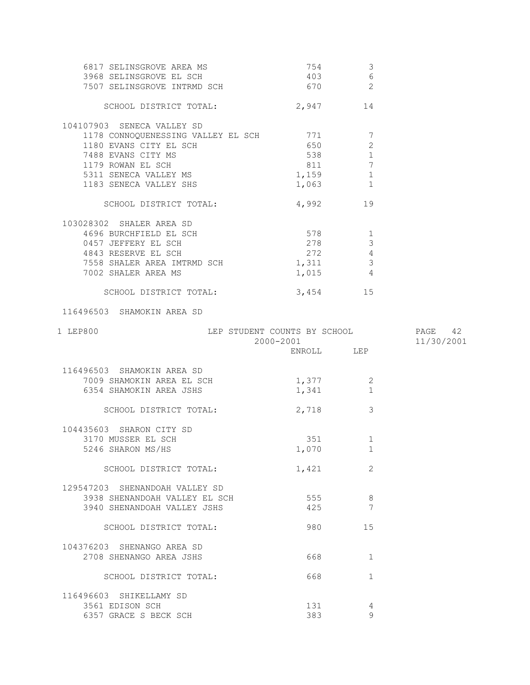| 6817 SELINSGROVE AREA MS<br>3968 SELINSGROVE EL SCH<br>7507 SELINSGROVE INTRMD SCH                                                                                                                                | 754 754<br>403 6<br>670 2            | -3                                                                          |            |
|-------------------------------------------------------------------------------------------------------------------------------------------------------------------------------------------------------------------|--------------------------------------|-----------------------------------------------------------------------------|------------|
| SCHOOL DISTRICT TOTAL: 2,947 14                                                                                                                                                                                   |                                      |                                                                             |            |
| 104107903 SENECA VALLEY SD<br>1178 CONNOQUENESSING VALLEY EL SCH 771<br>1180 EVANS CITY EL SCH<br>7488 EVANS CITY MS<br>1179 ROWAN EL SCH<br>1179 ROWAN EL SCH<br>5311 SENECA VALLEY MS<br>1183 SENECA VALLEY SHS | 650<br>538<br>811<br>1,159<br>1,063  | $\overline{7}$<br>$\mathbf{2}$<br>1<br>$7\phantom{.0}$<br>$\mathbf{1}$<br>1 |            |
| SCHOOL DISTRICT TOTAL:                                                                                                                                                                                            | 4,992 19                             |                                                                             |            |
| 103028302 SHALER AREA SD<br>4696 BURCHFIELD EL SCH<br>0457 JEFFERY EL SCH<br>4843 RESERVE EL SCH<br>7558 SHALER AREA IMTRMD SCH 1,311<br>7002 SHALER AREA MS                                                      | $578$ 1<br>278<br>$272$ 4<br>1,015 4 | $\mathcal{S}$<br>$\overline{3}$                                             |            |
| SCHOOL DISTRICT TOTAL:                                                                                                                                                                                            | 3,454 15                             |                                                                             |            |
| 116496503 SHAMOKIN AREA SD                                                                                                                                                                                        |                                      |                                                                             |            |
| 1 LEP800                                                                                                                                                                                                          |                                      |                                                                             |            |
|                                                                                                                                                                                                                   |                                      |                                                                             |            |
| LEP STUDENT COUNTS BY SCHOOL PAGE 42<br>2000-2001 11/30/2001                                                                                                                                                      | ENROLL LEP                           |                                                                             | 11/30/2001 |
| 116496503 SHAMOKIN AREA SD<br>7009 SHAMOKIN AREA EL SCH<br>6354 SHAMOKIN AREA JSHS                                                                                                                                | 1,377<br>1,341                       | 2<br>$\mathbf{1}$                                                           |            |
| SCHOOL DISTRICT TOTAL:                                                                                                                                                                                            | 2,718                                | 3                                                                           |            |
| 104435603 SHARON CITY SD<br>3170 MUSSER EL SCH<br>5246 SHARON MS/HS                                                                                                                                               | 351<br>1,070                         | $\mathbf{1}$                                                                |            |
| SCHOOL DISTRICT TOTAL:                                                                                                                                                                                            | 1,421                                | 2                                                                           |            |
| 129547203 SHENANDOAH VALLEY SD<br>3938 SHENANDOAH VALLEY EL SCH<br>3940 SHENANDOAH VALLEY JSHS                                                                                                                    | 555<br>425                           | 8<br>7                                                                      |            |
| SCHOOL DISTRICT TOTAL:                                                                                                                                                                                            | 980                                  | 15                                                                          |            |
| 104376203 SHENANGO AREA SD<br>2708 SHENANGO AREA JSHS                                                                                                                                                             | 668                                  | $\mathbf{1}$                                                                |            |
| SCHOOL DISTRICT TOTAL:                                                                                                                                                                                            | 668                                  | $\mathbf{1}$                                                                |            |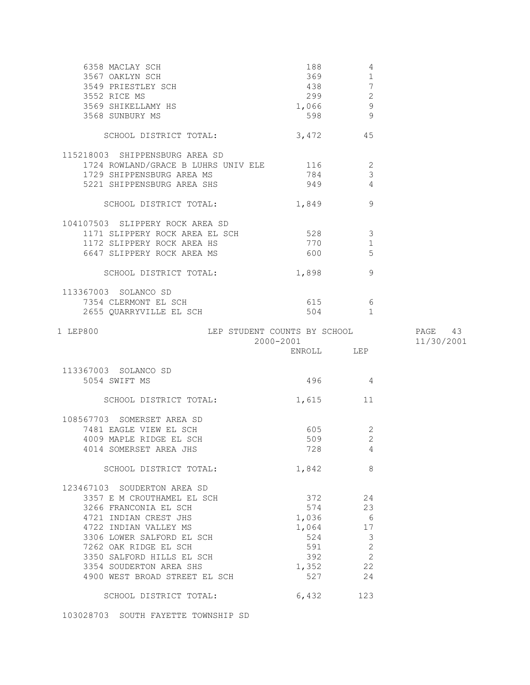| 6358 MACLAY SCH<br>3567 OAKLYN SCH<br>3549 PRIESTLEY SCH<br>3552 RICE MS<br>3569 SHIKELLAMY HS<br>3568 SUNBURY MS                                                                                                                                                                                             | 188<br>369<br>438<br>299<br>1,066<br>598                                       | 4<br>$\mathbf{1}$<br>$7\phantom{.0}$<br>$\mathbf{2}$<br>$\mathsf 9$<br>-9 |                       |
|---------------------------------------------------------------------------------------------------------------------------------------------------------------------------------------------------------------------------------------------------------------------------------------------------------------|--------------------------------------------------------------------------------|---------------------------------------------------------------------------|-----------------------|
| SCHOOL DISTRICT TOTAL:                                                                                                                                                                                                                                                                                        | $3,472$ 45                                                                     |                                                                           |                       |
| 115218003 SHIPPENSBURG AREA SD<br>1724 ROWLAND/GRACE B LUHRS UNIV ELE 116<br>1729 SHIPPENSBURG AREA MS<br>5221 SHIPPENSBURG AREA SHS                                                                                                                                                                          | 784<br>949                                                                     | 2<br>3<br>$\overline{4}$                                                  |                       |
| SCHOOL DISTRICT TOTAL:                                                                                                                                                                                                                                                                                        | 1,849                                                                          | 9                                                                         |                       |
| 104107503 SLIPPERY ROCK AREA SD<br>1171 SLIPPERY ROCK AREA EL SCH 528<br>1172 SLIPPERY ROCK AREA HS<br>6647 SLIPPERY ROCK AREA MS                                                                                                                                                                             | 770<br>600 000                                                                 | 3<br>1<br>5                                                               |                       |
| SCHOOL DISTRICT TOTAL:                                                                                                                                                                                                                                                                                        | 1,898                                                                          | 9                                                                         |                       |
| 113367003 SOLANCO SD<br>7354 CLERMONT EL SCH<br>2655 QUARRYVILLE EL SCH                                                                                                                                                                                                                                       | 615<br>504 30                                                                  | - 6<br>$\overline{1}$                                                     |                       |
| LEP STUDENT COUNTS BY SCHOOL<br>1 LEP800                                                                                                                                                                                                                                                                      | 2000-2001<br>ENROLL LEP                                                        |                                                                           | PAGE 43<br>11/30/2001 |
|                                                                                                                                                                                                                                                                                                               |                                                                                |                                                                           |                       |
| 113367003 SOLANCO SD                                                                                                                                                                                                                                                                                          |                                                                                |                                                                           |                       |
| 5054 SWIFT MS                                                                                                                                                                                                                                                                                                 | 496 4                                                                          |                                                                           |                       |
| SCHOOL DISTRICT TOTAL:                                                                                                                                                                                                                                                                                        | 1,615 11                                                                       |                                                                           |                       |
| 108567703 SOMERSET AREA SD<br>7481 EAGLE VIEW EL SCH<br>4009 MAPLE RIDGE EL SCH<br>4014 SOMERSET AREA JHS                                                                                                                                                                                                     | 605 — 100<br>509<br>728                                                        | 2<br>$\overline{2}$<br>$\overline{4}$                                     |                       |
| SCHOOL DISTRICT TOTAL:                                                                                                                                                                                                                                                                                        | 1,842                                                                          | 8                                                                         |                       |
| 123467103 SOUDERTON AREA SD<br>3357 E M CROUTHAMEL EL SCH<br>3266 FRANCONIA EL SCH<br>4721 INDIAN CREST JHS<br>4722 INDIAN VALLEY MS<br>3306 LOWER SALFORD EL SCH<br>7262 OAK RIDGE EL SCH<br>3350 SALFORD HILLS EL SCH<br>3354 SOUDERTON AREA SHS<br>4900 WEST BROAD STREET EL SCH<br>SCHOOL DISTRICT TOTAL: | 372 372<br>574<br>1,036<br>1,064<br>524<br>591<br>392<br>1,352<br>527<br>6,432 | 24<br>23<br>6<br>17<br>3<br>$\sqrt{2}$<br>$\mathbf{2}$<br>22<br>24<br>123 |                       |

103028703 SOUTH FAYETTE TOWNSHIP SD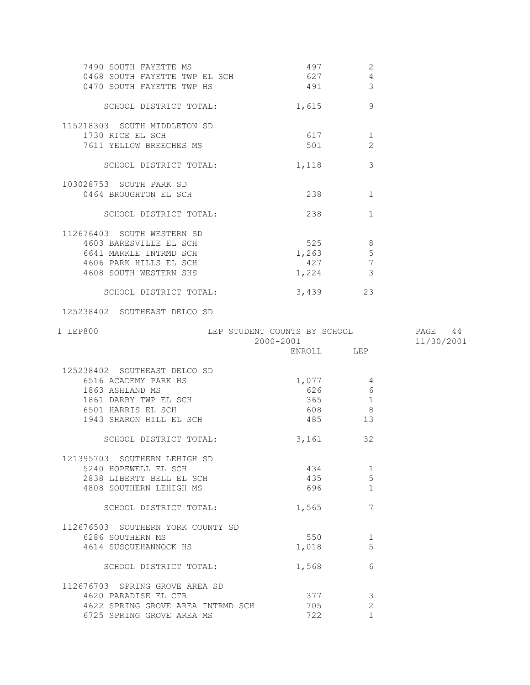| 7490 SOUTH FAYETTE MS<br>0468 SOUTH FAYETTE TWP EL SCH<br>0470 SOUTH FAYETTE TWP HS | 497<br>627 8<br>491 | 2<br>4<br>3     |            |
|-------------------------------------------------------------------------------------|---------------------|-----------------|------------|
| SCHOOL DISTRICT TOTAL:                                                              | 1,615               | 9               |            |
| 115218303 SOUTH MIDDLETON SD                                                        |                     |                 |            |
| 1730 RICE EL SCH                                                                    | 617                 | 1               |            |
| 7611 YELLOW BREECHES MS                                                             | 501                 | 2               |            |
| SCHOOL DISTRICT TOTAL:                                                              | 1,118               | 3               |            |
| 103028753 SOUTH PARK SD                                                             |                     |                 |            |
| 0464 BROUGHTON EL SCH                                                               | 238                 | $\mathbf 1$     |            |
| SCHOOL DISTRICT TOTAL:                                                              | 238                 | $\mathbf 1$     |            |
| 112676403 SOUTH WESTERN SD                                                          |                     |                 |            |
| 4603 BARESVILLE EL SCH                                                              |                     | 8               |            |
| 6641 MARKLE INTRMD SCH                                                              | 1,263               | $5\phantom{.0}$ |            |
| 4606 PARK HILLS EL SCH                                                              | 427                 | 7               |            |
| 4608 SOUTH WESTERN SHS                                                              | 1,224               | 3               |            |
| SCHOOL DISTRICT TOTAL:                                                              | 3,439               | 23              |            |
| 125238402 SOUTHEAST DELCO SD                                                        |                     |                 |            |
| 1 LEP800<br>LEP STUDENT COUNTS BY SCHOOL 5 PAGE 44                                  |                     |                 |            |
|                                                                                     |                     |                 |            |
|                                                                                     | 2000-2001           |                 | 11/30/2001 |
|                                                                                     | ENROLL LEP          |                 |            |
| 125238402 SOUTHEAST DELCO SD                                                        |                     |                 |            |
| 6516 ACADEMY PARK HS                                                                | 1,077               | $\overline{4}$  |            |
| 1863 ASHLAND MS                                                                     | 626                 | - 6             |            |
| 1861 DARBY TWP EL SCH                                                               | 365 1               |                 |            |
| 6501 HARRIS EL SCH                                                                  | 608 8               |                 |            |
| 1943 SHARON HILL EL SCH                                                             |                     | 13              |            |
| SCHOOL DISTRICT TOTAL:                                                              | 3,161 32            |                 |            |
| 121395703 SOUTHERN LEHIGH SD                                                        |                     |                 |            |
| 5240 HOPEWELL EL SCH                                                                | 434                 | 1               |            |
| 2838 LIBERTY BELL EL SCH                                                            | 435                 | 5               |            |
| 4808 SOUTHERN LEHIGH MS                                                             | 696 —               | 1               |            |
| SCHOOL DISTRICT TOTAL:                                                              | 1,565               | 7               |            |
| 112676503 SOUTHERN YORK COUNTY SD                                                   |                     |                 |            |
| 6286 SOUTHERN MS                                                                    | 550                 | 1               |            |
| 4614 SUSQUEHANNOCK HS                                                               | 1,018               | 5               |            |
| SCHOOL DISTRICT TOTAL:                                                              | 1,568               | 6               |            |
| 112676703 SPRING GROVE AREA SD                                                      |                     |                 |            |
| 4620 PARADISE EL CTR                                                                | 377                 | 3               |            |
| 4622 SPRING GROVE AREA INTRMD SCH                                                   | 705                 | $\mathbf{2}$    |            |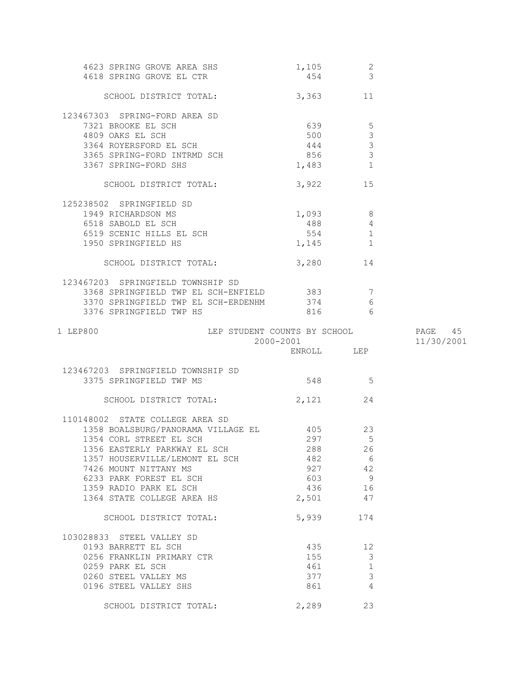| 4623 SPRING GROVE AREA SHS                 | 1,105<br>454 | $\overline{c}$<br>$\mathbf{3}$ |            |
|--------------------------------------------|--------------|--------------------------------|------------|
| 4618 SPRING GROVE EL CTR                   |              |                                |            |
| SCHOOL DISTRICT TOTAL:                     | 3,363        | 11                             |            |
| 123467303 SPRING-FORD AREA SD              |              |                                |            |
| 7321 BROOKE EL SCH                         | 639          | 5                              |            |
| 4809 OAKS EL SCH                           | 500          | $\mathfrak{Z}$                 |            |
| 3364 ROYERSFORD EL SCH                     | 444          | $\mathcal{S}$                  |            |
| 3365 SPRING-FORD INTRMD SCH                | 856          | $\mathcal{S}$                  |            |
| 3367 SPRING-FORD SHS                       | 1,483        | $\overline{1}$                 |            |
| SCHOOL DISTRICT TOTAL:                     | 3,922 15     |                                |            |
| 125238502 SPRINGFIELD SD                   |              |                                |            |
| 1949 RICHARDSON MS                         | 1,093 8      |                                |            |
| 6518 SABOLD EL SCH                         | 488          | $\overline{4}$                 |            |
| 6519 SCENIC HILLS EL SCH                   | 554          | 1                              |            |
| 1950 SPRINGFIELD HS                        | 1,145        | 1                              |            |
| SCHOOL DISTRICT TOTAL:                     | 3,280 14     |                                |            |
| 123467203 SPRINGFIELD TOWNSHIP SD          |              |                                |            |
| 3368 SPRINGFIELD TWP EL SCH-ENFIELD 383    |              | $\overline{7}$                 |            |
| 3370 SPRINGFIELD TWP EL SCH-ERDENHM 374    |              | 6                              |            |
| 3376 SPRINGFIELD TWP HS                    |              | 816 6                          |            |
| LEP STUDENT COUNTS BY SCHOOL<br>1 LEP800   |              |                                | PAGE 45    |
|                                            |              |                                |            |
|                                            | 2000-2001    |                                | 11/30/2001 |
|                                            | ENROLL LEP   |                                |            |
| 123467203 SPRINGFIELD TOWNSHIP SD          |              |                                |            |
| 3375 SPRINGFIELD TWP MS                    | 548 5        |                                |            |
| SCHOOL DISTRICT TOTAL:                     | 2, 121 24    |                                |            |
| 110148002 STATE COLLEGE AREA SD            |              |                                |            |
| 1358 BOALSBURG/PANORAMA VILLAGE EL 405 405 |              |                                |            |
| 1354 CORL STREET EL SCH                    | 297          | 5                              |            |
| 1356 EASTERLY PARKWAY EL SCH               | 288          | 26                             |            |
| 1357 HOUSERVILLE/LEMONT EL SCH             | 482          | - 6                            |            |
| 7426 MOUNT NITTANY MS                      | 927 42       |                                |            |
| 6233 PARK FOREST EL SCH                    | 603 9        |                                |            |
| 1359 RADIO PARK EL SCH                     | 436 16       |                                |            |
| 1364 STATE COLLEGE AREA HS                 | 2,501 47     |                                |            |
| SCHOOL DISTRICT TOTAL:                     | 5,939        | 174                            |            |
| 103028833 STEEL VALLEY SD                  |              |                                |            |
| 0193 BARRETT EL SCH                        |              | 435 12                         |            |
| 0256 FRANKLIN PRIMARY CTR                  | 155          | 3                              |            |
| 0259 PARK EL SCH                           | 461          | 1                              |            |
| 0260 STEEL VALLEY MS                       | 377          | $\mathfrak{Z}$                 |            |
| 0196 STEEL VALLEY SHS                      | 861          | $\overline{4}$                 |            |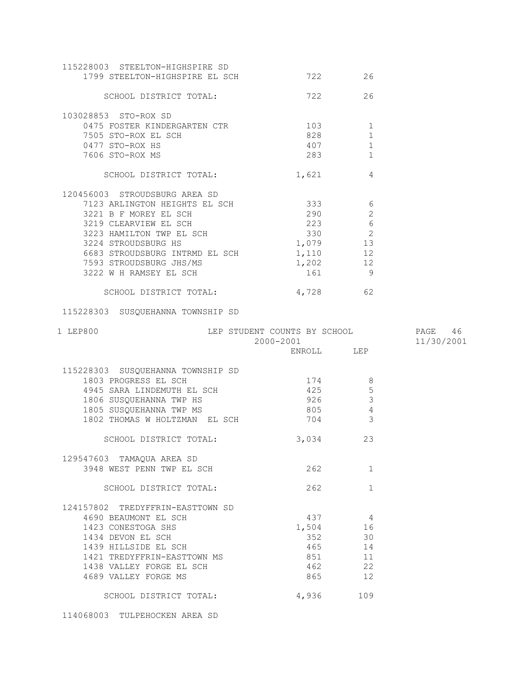| 115228003 STEELTON-HIGHSPIRE SD<br>1799 STEELTON-HIGHSPIRE EL SCH        | 722                                                          | 26              |            |
|--------------------------------------------------------------------------|--------------------------------------------------------------|-----------------|------------|
| SCHOOL DISTRICT TOTAL:                                                   | 722                                                          | 26              |            |
| 103028853 STO-ROX SD                                                     |                                                              |                 |            |
| 0475 FOSTER KINDERGARTEN CTR 103                                         |                                                              | 1               |            |
| 7505 STO-ROX EL SCH                                                      | 828                                                          | $\mathbf{1}$    |            |
| 0477 STO-ROX HS                                                          | 407                                                          | 1               |            |
| 7606 STO-ROX MS                                                          | 283                                                          | 1               |            |
| SCHOOL DISTRICT TOTAL: 1,621 4                                           |                                                              |                 |            |
| 120456003 STROUDSBURG AREA SD                                            |                                                              |                 |            |
| 7123 ARLINGTON HEIGHTS EL SCH                                            |                                                              | 333 6           |            |
| 3221 B F MOREY EL SCH                                                    | 290                                                          | 2               |            |
| 3219 CLEARVIEW EL SCH<br>3223 HAMILTON TWP EL SCH<br>2224 STROUDSBURG HS | 223                                                          | $rac{1}{6}$     |            |
|                                                                          |                                                              |                 |            |
|                                                                          | $223$<br>330<br>1.079<br>1,079 13                            |                 |            |
| 6683 STROUDSBURG INTRMD EL SCH                                           | $1,110$ 12                                                   |                 |            |
| 7593 STROUDSBURG JHS/MS<br>3222 W H RAMSEY EL SCH                        | $1,202$ 12                                                   |                 |            |
|                                                                          | 161 9                                                        |                 |            |
| SCHOOL DISTRICT TOTAL:                                                   | 4,728 62                                                     |                 |            |
| 115228303 SUSQUEHANNA TOWNSHIP SD                                        |                                                              |                 |            |
|                                                                          |                                                              |                 |            |
| 1 LEP800                                                                 |                                                              |                 |            |
|                                                                          | LEP STUDENT COUNTS BY SCHOOL PAGE 46<br>2000-2001 11/30/2001 |                 | 11/30/2001 |
|                                                                          | ENROLL LEP                                                   |                 |            |
| 115228303 SUSQUEHANNA TOWNSHIP SD                                        |                                                              |                 |            |
| 1803 PROGRESS EL SCH                                                     | 174                                                          | -8              |            |
| 4945 SARA LINDEMUTH EL SCH                                               | 425                                                          | $5\phantom{.0}$ |            |
|                                                                          | 926                                                          | $\mathbf{3}$    |            |
| 1806 SUSQUEHANNA TWP HS<br>1805 SUSQUEHANNA TWP MS                       | 805                                                          | $\overline{4}$  |            |
| 1802 THOMAS W HOLTZMAN EL SCH                                            | 704                                                          | $\mathcal{E}$   |            |
| SCHOOL DISTRICT TOTAL:                                                   | 3,034                                                        | 23              |            |
|                                                                          |                                                              |                 |            |
| 129547603 TAMAQUA AREA SD<br>3948 WEST PENN TWP EL SCH                   | 262                                                          | $\mathbf{1}$    |            |
| SCHOOL DISTRICT TOTAL:                                                   | 262                                                          | $\mathbf{1}$    |            |
|                                                                          |                                                              |                 |            |
| 124157802 TREDYFFRIN-EASTTOWN SD<br>4690 BEAUMONT EL SCH                 | 437                                                          | 4               |            |
| 1423 CONESTOGA SHS                                                       |                                                              | 16              |            |
| 1434 DEVON EL SCH                                                        | 1,504<br>352                                                 | 30              |            |
| 1439 HILLSIDE EL SCH                                                     | 465                                                          | 14              |            |
| 1421 TREDYFFRIN-EASTTOWN MS                                              | 851                                                          | 11              |            |
| 1438 VALLEY FORGE EL SCH                                                 | 462                                                          | 22              |            |
| 4689 VALLEY FORGE MS                                                     | 865                                                          | 12              |            |

114068003 TULPEHOCKEN AREA SD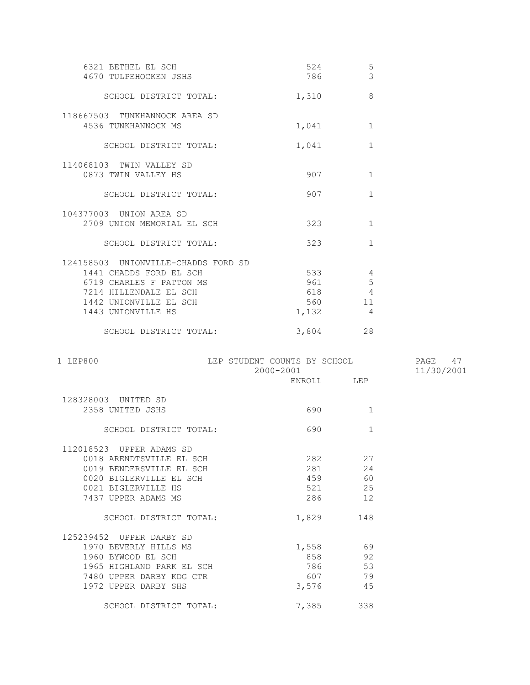| 6321 BETHEL EL SCH<br>4670 TULPEHOCKEN JSHS                                                                                                                          | 524<br>786                 | 5<br>$\overline{3}$                 |  |
|----------------------------------------------------------------------------------------------------------------------------------------------------------------------|----------------------------|-------------------------------------|--|
| SCHOOL DISTRICT TOTAL:                                                                                                                                               | 1,310                      | $\mathcal{B}$                       |  |
| 118667503 TUNKHANNOCK AREA SD<br>4536 TUNKHANNOCK MS                                                                                                                 | 1,041                      | $\mathbf{1}$                        |  |
| SCHOOL DISTRICT TOTAL:                                                                                                                                               | 1,041                      | $\mathbf{1}$                        |  |
| 114068103 TWIN VALLEY SD<br>0873 TWIN VALLEY HS                                                                                                                      | 907                        | $\mathbf{1}$                        |  |
| SCHOOL DISTRICT TOTAL:                                                                                                                                               | 907                        | $\mathbf{1}$                        |  |
| 104377003 UNION AREA SD<br>2709 UNION MEMORIAL EL SCH                                                                                                                | 323                        | $\mathbf{1}$                        |  |
| SCHOOL DISTRICT TOTAL:                                                                                                                                               | 323                        | $\mathbf{1}$                        |  |
| 124158503 UNIONVILLE-CHADDS FORD SD<br>1441 CHADDS FORD EL SCH<br>6719 CHARLES F PATTON MS<br>7214 HILLENDALE EL SCH<br>1442 UNIONVILLE EL SCH<br>1443 UNIONVILLE HS | 533<br>961<br>618<br>1,132 | 4<br>5<br>$\overline{4}$<br>11<br>4 |  |
| SCHOOL DISTRICT TOTAL:                                                                                                                                               | 3,804                      | 28                                  |  |

| 1 LEP800                  | LEP STUDENT COUNTS BY SCHOOL<br>$2000 - 2001$ |                                                                                                                                                                                                                                       | 47<br>PAGE<br>11/30/2001 |
|---------------------------|-----------------------------------------------|---------------------------------------------------------------------------------------------------------------------------------------------------------------------------------------------------------------------------------------|--------------------------|
|                           |                                               | ENROLL LEP                                                                                                                                                                                                                            |                          |
| 128328003 UNITED SD       |                                               |                                                                                                                                                                                                                                       |                          |
| 2358 UNITED JSHS          | 690                                           | $\mathbf{1}$                                                                                                                                                                                                                          |                          |
| SCHOOL DISTRICT TOTAL:    | 690                                           | $\mathbf{1}$                                                                                                                                                                                                                          |                          |
| 112018523 UPPER ADAMS SD  |                                               |                                                                                                                                                                                                                                       |                          |
| 0018 ARENDTSVILLE EL SCH  | 282                                           | 27                                                                                                                                                                                                                                    |                          |
| 0019 BENDERSVILLE EL SCH  |                                               | 24<br>281 — 281 — 281 — 281 — 282 — 282 — 282 — 282 — 282 — 282 — 282 — 282 — 282 — 282 — 282 — 282 — 282 — 282 — 282 — 282 — 282 — 282 — 282 — 282 — 282 — 282 — 282 — 282 — 282 — 282 — 282 — 282 — 282 — 282 — 282 — 282 — 282 — 2 |                          |
| 0020 BIGLERVILLE EL SCH   | 459                                           | 60                                                                                                                                                                                                                                    |                          |
| 0021 BIGLERVILLE HS       |                                               | 25<br>521 000                                                                                                                                                                                                                         |                          |
| 7437 UPPER ADAMS MS       | 286                                           | 12                                                                                                                                                                                                                                    |                          |
| SCHOOL DISTRICT TOTAL:    | 1,829                                         | 148                                                                                                                                                                                                                                   |                          |
| 125239452 UPPER DARBY SD  |                                               |                                                                                                                                                                                                                                       |                          |
| 1970 BEVERLY HILLS MS     | 1,558                                         | 69                                                                                                                                                                                                                                    |                          |
| 1960 BYWOOD EL SCH        | 858 30                                        | 92                                                                                                                                                                                                                                    |                          |
| 1965 HIGHLAND PARK EL SCH | 786                                           | 53                                                                                                                                                                                                                                    |                          |
| 7480 UPPER DARBY KDG CTR  | 607 607                                       | 79                                                                                                                                                                                                                                    |                          |
| 1972 UPPER DARBY SHS      | 3,576                                         | 45                                                                                                                                                                                                                                    |                          |
| SCHOOL DISTRICT TOTAL:    | 7,385                                         | 338                                                                                                                                                                                                                                   |                          |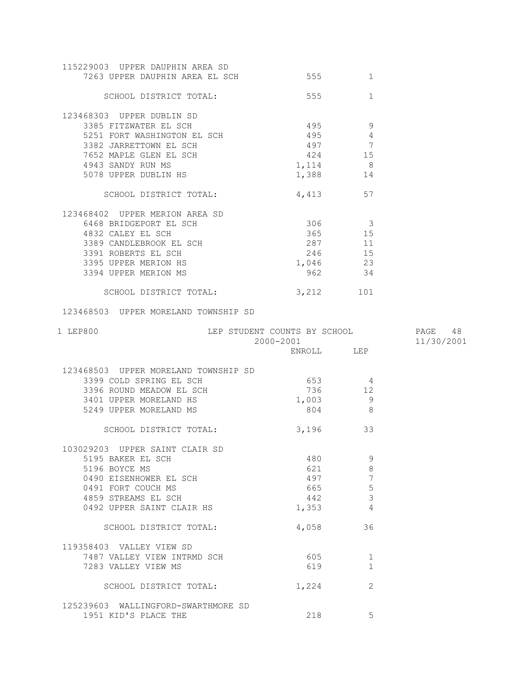| 115229003 UPPER DAUPHIN AREA SD<br>7263 UPPER DAUPHIN AREA EL SCH 555 |                         | 1            |            |
|-----------------------------------------------------------------------|-------------------------|--------------|------------|
| SCHOOL DISTRICT TOTAL:                                                | 555                     | $\mathbf{1}$ |            |
|                                                                       |                         |              |            |
| 123468303 UPPER DUBLIN SD                                             |                         |              |            |
| 3385 FITZWATER EL SCH                                                 | 495 9                   |              |            |
| 5251 FORT WASHINGTON EL SCH                                           | $495$ 4                 |              |            |
| 3382 JARRETTOWN EL SCH                                                | 497 7                   |              |            |
| 7652 MAPLE GLEN EL SCH                                                | 424 15                  |              |            |
| 4943 SANDY RUN MS                                                     | $1,114$ 8               |              |            |
| 5078 UPPER DUBLIN HS                                                  | 1,388 14                |              |            |
| SCHOOL DISTRICT TOTAL:                                                | 4,413 57                |              |            |
| 123468402 UPPER MERION AREA SD                                        |                         |              |            |
| 6468 BRIDGEPORT EL SCH                                                | 306 3                   |              |            |
| 4832 CALEY EL SCH                                                     | 365 15                  |              |            |
| 3389 CANDLEBROOK EL SCH                                               | 287 11                  |              |            |
| 3391 ROBERTS EL SCH                                                   | 246 15                  |              |            |
| 3395 UPPER MERION HS                                                  | 1,046 23                |              |            |
| 3394 UPPER MERION MS                                                  | 962 34                  |              |            |
| SCHOOL DISTRICT TOTAL:                                                | 3,212 101               |              |            |
| 123468503 UPPER MORELAND TOWNSHIP SD                                  |                         |              |            |
| LEP STUDENT COUNTS BY SCHOOL 60 PAGE 48<br>1 LEP800                   |                         |              |            |
|                                                                       |                         |              |            |
|                                                                       |                         |              | 11/30/2001 |
|                                                                       | 2000-2001<br>ENROLL LEP |              |            |
|                                                                       |                         |              |            |
| 123468503 UPPER MORELAND TOWNSHIP SD                                  |                         |              |            |
| 3399 COLD SPRING EL SCH                                               | 653 4                   |              |            |
| 3396 ROUND MEADOW EL SCH                                              | 736 12                  |              |            |
| 3401 UPPER MORELAND HS                                                | 1,003 9                 |              |            |
| 5249 UPPER MORELAND MS                                                | 804 8                   |              |            |
| SCHOOL DISTRICT TOTAL:                                                | 3,196 33                |              |            |
|                                                                       |                         |              |            |
| 103029203 UPPER SAINT CLAIR SD                                        |                         |              |            |
| 5195 BAKER EL SCH                                                     | 480                     | 9            |            |
| 5196 BOYCE MS                                                         | 621                     | 8            |            |
| 0490 EISENHOWER EL SCH                                                | 497                     | 7            |            |
| 0491 FORT COUCH MS                                                    | 665                     | 5            |            |
| 4859 STREAMS EL SCH                                                   | 442                     | 3            |            |
| 0492 UPPER SAINT CLAIR HS                                             | 1,353                   | 4            |            |
| SCHOOL DISTRICT TOTAL:                                                | 4,058                   | 36           |            |
| 119358403 VALLEY VIEW SD                                              |                         |              |            |
| 7487 VALLEY VIEW INTRMD SCH                                           | 605                     | 1            |            |
| 7283 VALLEY VIEW MS                                                   | 619                     | 1            |            |
| SCHOOL DISTRICT TOTAL:                                                | 1,224                   | 2            |            |
| 125239603 WALLINGFORD-SWARTHMORE SD                                   |                         |              |            |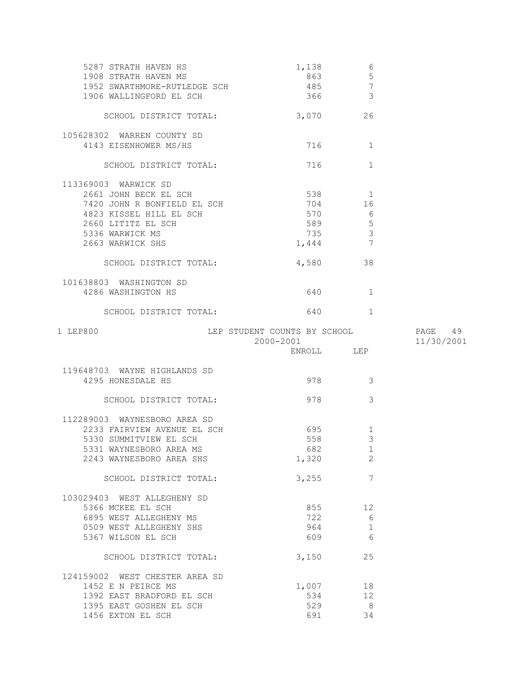| 5287 STRATH HAVEN HS<br>1908 STRATH HAVEN MS<br>1952 SWARTHMORE-RUTLEDGE SCH<br>1906 WALLINGFORD EL SCH | 1,138<br>863<br>485<br>366   | 6<br>5<br>7<br>3        |            |
|---------------------------------------------------------------------------------------------------------|------------------------------|-------------------------|------------|
| SCHOOL DISTRICT TOTAL:                                                                                  | 3,070 26                     |                         |            |
| 105628302 WARREN COUNTY SD                                                                              |                              |                         |            |
| 4143 EISENHOWER MS/HS                                                                                   | 716 — 10                     | 1                       |            |
| SCHOOL DISTRICT TOTAL:                                                                                  | 716                          | 1                       |            |
| 113369003 WARWICK SD                                                                                    |                              |                         |            |
| 2661 JOHN BECK EL SCH                                                                                   | 538 1                        |                         |            |
| 7420 JOHN R BONFIELD EL SCH                                                                             | 704                          | 16                      |            |
| 4823 KISSEL HILL EL SCH                                                                                 | 570                          | $6\overline{6}$         |            |
| 2660 LITITZ EL SCH                                                                                      | 589 5                        |                         |            |
| 5336 WARWICK MS                                                                                         | 735                          | $\mathcal{S}$           |            |
| 2663 WARWICK SHS                                                                                        | 1,444                        | $\overline{7}$          |            |
|                                                                                                         |                              |                         |            |
| SCHOOL DISTRICT TOTAL:                                                                                  | 4,580 38                     |                         |            |
| 101638803 WASHINGTON SD                                                                                 |                              |                         |            |
| 4286 WASHINGTON HS                                                                                      | 640                          | 1                       |            |
| SCHOOL DISTRICT TOTAL:                                                                                  | 640                          | 1                       |            |
| 1 LEP800                                                                                                | LEP STUDENT COUNTS BY SCHOOL |                         | PAGE 49    |
|                                                                                                         | 2000-2001                    |                         | 11/30/2001 |
|                                                                                                         |                              |                         |            |
|                                                                                                         | ENROLL LEP                   |                         |            |
|                                                                                                         |                              |                         |            |
| 119648703 WAYNE HIGHLANDS SD                                                                            |                              |                         |            |
| 4295 HONESDALE HS                                                                                       | 978                          | $\overline{\mathbf{3}}$ |            |
|                                                                                                         |                              |                         |            |
| SCHOOL DISTRICT TOTAL:                                                                                  | 978                          | 3                       |            |
| 112289003 WAYNESBORO AREA SD                                                                            |                              |                         |            |
| 2233 FAIRVIEW AVENUE EL SCH                                                                             | 695                          | $\mathbf{1}$            |            |
| 5330 SUMMITVIEW EL SCH                                                                                  | 558                          | $\mathfrak{Z}$          |            |
| 5331 WAYNESBORO AREA MS                                                                                 | 682                          | $\overline{1}$          |            |
| 2243 WAYNESBORO AREA SHS                                                                                | 1,320                        | 2                       |            |
|                                                                                                         |                              | 7                       |            |
| SCHOOL DISTRICT TOTAL:                                                                                  | 3,255                        |                         |            |
| 103029403 WEST ALLEGHENY SD                                                                             |                              |                         |            |
| 5366 MCKEE EL SCH                                                                                       | 855                          | 12                      |            |
| 6895 WEST ALLEGHENY MS                                                                                  | 722                          | 6                       |            |
| 0509 WEST ALLEGHENY SHS                                                                                 | 964                          | $\mathbf{1}$            |            |
| 5367 WILSON EL SCH                                                                                      | 609                          | 6                       |            |
| SCHOOL DISTRICT TOTAL:                                                                                  | 3,150                        | 25                      |            |
|                                                                                                         |                              |                         |            |
| 124159002 WEST CHESTER AREA SD                                                                          |                              |                         |            |
| 1452 E N PEIRCE MS                                                                                      | 1,007                        | 18                      |            |
| 1392 EAST BRADFORD EL SCH                                                                               | 534                          | 12                      |            |
| 1395 EAST GOSHEN EL SCH<br>1456 EXTON EL SCH                                                            | 529<br>691                   | 8 <sup>8</sup><br>34    |            |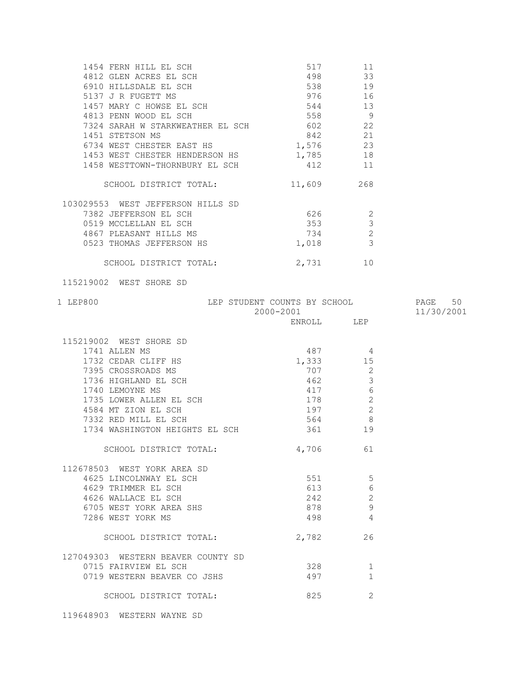| 1454 FERN HILL EL SCH             | 517    | 11             |
|-----------------------------------|--------|----------------|
| 4812 GLEN ACRES EL SCH            | 498    | 33             |
| 6910 HILLSDALE EL SCH             | 538    | 19             |
| 5137 J R FUGETT MS                | 976    | 16             |
| 1457<br>MARY C HOWSE EL SCH       | 544    | 13             |
| 4813 PENN WOOD EL SCH             | 558    | 9              |
| 7324 SARAH W STARKWEATHER EL SCH  | 602    | 22             |
| 1451 STETSON MS                   | 842    | 21             |
| 6734 WEST CHESTER EAST HS         | 1,576  | 23             |
| 1453 WEST CHESTER HENDERSON HS    | 1,785  | 18             |
| 1458 WESTTOWN-THORNBURY EL SCH    | 412    | 11             |
| SCHOOL DISTRICT TOTAL:            | 11,609 | 268            |
| 103029553 WEST JEFFERSON HILLS SD |        |                |
| 7382 JEFFERSON EL SCH             | 626    | $\overline{2}$ |
| 0519 MCCLELLAN EL SCH             | 353    | 3              |
| 4867 PLEASANT HILLS MS            | 734    | $\overline{c}$ |
| 0523 THOMAS JEFFERSON HS          | 1,018  | 3              |
| SCHOOL DISTRICT TOTAL:            | 2,731  | 1 O            |
|                                   |        |                |

115219002 WEST SHORE SD

| 1 LEP800                           | LEP STUDENT COUNTS BY SCHOOL<br>2000-2001 |                | PAGE 50<br>11/30/2001 |
|------------------------------------|-------------------------------------------|----------------|-----------------------|
|                                    |                                           | ENROLL LEP     |                       |
| 115219002 WEST SHORE SD            |                                           |                |                       |
| 1741 ALLEN MS                      | 487                                       | $\overline{4}$ |                       |
| 1732 CEDAR CLIFF HS                |                                           | 1,333 15       |                       |
| 7395 CROSSROADS MS                 | 707                                       | 2              |                       |
| 1736 HIGHLAND EL SCH               | 462                                       | $\mathfrak{Z}$ |                       |
| 1740 LEMOYNE MS                    | 417                                       | $\epsilon$     |                       |
| 1735 LOWER ALLEN EL SCH            | 178                                       | $\overline{2}$ |                       |
| 4584 MT ZION EL SCH                | 197                                       | $\overline{c}$ |                       |
| 7332 RED MILL EL SCH               | 564                                       | 8              |                       |
|                                    |                                           | 19             |                       |
| SCHOOL DISTRICT TOTAL:             | 4,706                                     | 61             |                       |
| 112678503 WEST YORK AREA SD        |                                           |                |                       |
| 4625 LINCOLNWAY EL SCH             | 551                                       | $5^{\circ}$    |                       |
| 4629 TRIMMER EL SCH                | 613                                       | $\epsilon$     |                       |
| 4626 WALLACE EL SCH                | 242                                       | $\sqrt{2}$     |                       |
| 6705 WEST YORK AREA SHS            | 878                                       | $\overline{9}$ |                       |
| 7286 WEST YORK MS                  | 498                                       | $\overline{4}$ |                       |
| SCHOOL DISTRICT TOTAL:             | 2,782                                     | 26             |                       |
| 127049303 WESTERN BEAVER COUNTY SD |                                           |                |                       |
| 0715 FAIRVIEW EL SCH               | 328                                       | 1              |                       |
| 0719 WESTERN BEAVER CO JSHS        | 497                                       | $\mathbf{1}$   |                       |
| SCHOOL DISTRICT TOTAL:             | 825                                       | $\overline{2}$ |                       |
|                                    |                                           |                |                       |

119648903 WESTERN WAYNE SD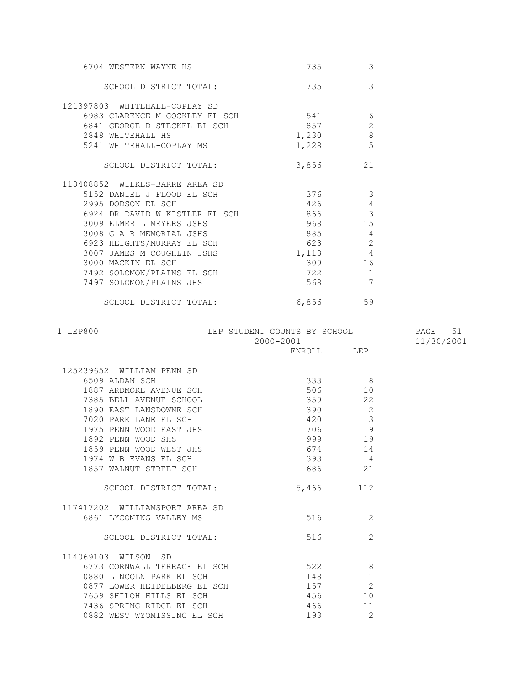| 6704 WESTERN WAYNE HS          | 735       | 3              |  |
|--------------------------------|-----------|----------------|--|
| SCHOOL DISTRICT TOTAL:         | 735       | 3              |  |
| 121397803 WHITEHALL-COPLAY SD  |           |                |  |
| 6983 CLARENCE M GOCKLEY EL SCH | 541       | 6              |  |
| 6841 GEORGE D STECKEL EL SCH   | 857       | $\overline{2}$ |  |
| 2848 WHITEHALL HS              | 1,230     | $8\,$          |  |
| 5241 WHITEHALL-COPLAY MS       | 1,228     | 5              |  |
| SCHOOL DISTRICT TOTAL:         | 3,856     | 21             |  |
| 118408852 WILKES-BARRE AREA SD |           |                |  |
| 5152 DANIEL J FLOOD EL SCH     | 376       | 3              |  |
| 2995 DODSON EL SCH             | 426       | $\sqrt{4}$     |  |
| 6924 DR DAVID W KISTLER EL SCH | 866       | $\mathcal{S}$  |  |
| 3009 ELMER L MEYERS JSHS       | 968 — 100 | 15             |  |
| 3008 G A R MEMORIAL JSHS       | 885       | $\overline{4}$ |  |
| 6923 HEIGHTS/MURRAY EL SCH     | 623       | $\overline{2}$ |  |
| 3007 JAMES M COUGHLIN JSHS     | 1,113     | $\overline{4}$ |  |
| 3000 MACKIN EL SCH             | 309       | 16             |  |
| 7492 SOLOMON/PLAINS EL SCH     | 722       | $\mathbf{1}$   |  |
| 7497 SOLOMON/PLAINS JHS        | 568       | 7              |  |
| SCHOOL DISTRICT TOTAL:         | 6,856     | 59             |  |

| 1 LEP800                  | LEP STUDENT COUNTS BY SCHOOL<br>$2000 - 2001$ |     | 51<br>PAGE<br>11/30/2001 |
|---------------------------|-----------------------------------------------|-----|--------------------------|
|                           | ENROLL                                        | LEP |                          |
| 125239652 WILLIAM PENN SD |                                               |     |                          |
| 6509 ALDAN SCH            | 333                                           | 8   |                          |
| 1887 ARDMORE AVENUE SCH   | 506                                           | 10  |                          |
| 7385 BELL AVENUE SCHOOL   | 359                                           | 22  |                          |
| 1890 EAST LANSDOWNE SCH   | 390                                           | 2   |                          |
| 7020 PARK LANE EL SCH     | 420                                           | 3   |                          |
| 1975 PENN WOOD EAST JHS   | 706                                           | 9   |                          |
| 1892 PENN WOOD SHS        | 999                                           | 19  |                          |
| 1859 PENN WOOD WEST JHS   | 674                                           | 14  |                          |
| 1974 W B EVANS EL SCH     | 393                                           | 4   |                          |
| 1857 WALNUT STREET SCH    | 686                                           | 21  |                          |
| SCHOOL DISTRICT TOTAL:    | 5,466                                         | 112 |                          |

516 2

| 117417202 WILLIAMSPORT AREA SD |  |
|--------------------------------|--|
| 6861 LYCOMING VALLEY MS        |  |
|                                |  |

SCHOOL DISTRICT TOTAL: 516 516

| 114069103 WILSON SD          |     |     |
|------------------------------|-----|-----|
| 6773 CORNWALL TERRACE EL SCH | 522 |     |
| 0880 LINCOLN PARK EL SCH     | 148 |     |
| 0877 LOWER HEIDELBERG EL SCH | 157 |     |
| 7659 SHILOH HILLS EL SCH     | 456 | 1 N |
| 7436 SPRING RIDGE EL SCH     | 466 | 11  |
| 0882 WEST WYOMISSING EL SCH  | 193 |     |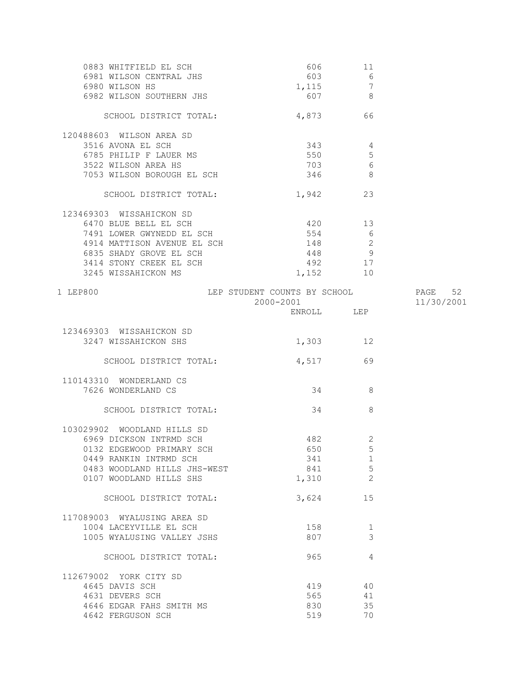| 0883 WHITFIELD EL SCH<br>6981 WILSON CENTRAL JHS | 606<br>603   | 11<br>$\begin{array}{c} 6 \\ 7 \end{array}$ |            |
|--------------------------------------------------|--------------|---------------------------------------------|------------|
| 6980 WILSON HS<br>6982 WILSON SOUTHERN JHS       | 1,115<br>607 | 8 <sup>8</sup>                              |            |
| SCHOOL DISTRICT TOTAL:                           | 4,873 66     |                                             |            |
| 120488603 WILSON AREA SD                         |              |                                             |            |
| 3516 AVONA EL SCH                                | 343          | 4                                           |            |
| 6785 PHILIP F LAUER MS                           | 550          | 5                                           |            |
| 3522 WILSON AREA HS                              | 703          | 6                                           |            |
| 7053 WILSON BOROUGH EL SCH                       | 346          | - 8                                         |            |
| SCHOOL DISTRICT TOTAL:                           | 1,942 23     |                                             |            |
| 123469303 WISSAHICKON SD                         |              |                                             |            |
| 6470 BLUE BELL EL SCH                            | 420 13       |                                             |            |
| 7491 LOWER GWYNEDD EL SCH                        | 554          | $6\overline{6}$                             |            |
| 4914 MATTISON AVENUE EL SCH                      | 148          | $\overline{\phantom{a}}$                    |            |
| 6835 SHADY GROVE EL SCH                          | 448          | 9                                           |            |
| 3414 STONY CREEK EL SCH                          | 492          | 17                                          |            |
| 3245 WISSAHICKON MS                              | 1,152        | 10                                          |            |
| LEP STUDENT COUNTS BY SCHOOL 52<br>1 LEP800      |              |                                             |            |
|                                                  | 2000-2001    |                                             | 11/30/2001 |
|                                                  | ENROLL LEP   |                                             |            |
| 123469303 WISSAHICKON SD                         |              |                                             |            |
| 3247 WISSAHICKON SHS                             | 1,303        | 12                                          |            |
| SCHOOL DISTRICT TOTAL:                           | 4,517        | 69                                          |            |
| 110143310 WONDERLAND CS                          |              |                                             |            |
| 7626 WONDERLAND CS                               |              | 34 8                                        |            |
| SCHOOL DISTRICT TOTAL:                           | 34           | 8                                           |            |
| 103029902 WOODLAND HILLS SD                      |              |                                             |            |
| 6969 DICKSON INTRMD SCH                          | 482          | $\mathbf{2}$                                |            |
| 0132 EDGEWOOD PRIMARY SCH                        | 650          | 5 <sup>5</sup>                              |            |
| 0449 RANKIN INTRMD SCH                           | 341          | 1                                           |            |
| 0483 WOODLAND HILLS JHS-WEST                     | 841          | $\overline{5}$                              |            |
| 0107 WOODLAND HILLS SHS                          | 1,310        | $\overline{2}$                              |            |
|                                                  |              |                                             |            |
| SCHOOL DISTRICT TOTAL:                           | 3,624        | 15                                          |            |
| 117089003 WYALUSING AREA SD                      |              |                                             |            |
| 1004 LACEYVILLE EL SCH                           | 158          | $\mathbf{1}$                                |            |
| 1005 WYALUSING VALLEY JSHS                       | 807          | 3                                           |            |
| SCHOOL DISTRICT TOTAL:                           | 965          | 4                                           |            |
| 112679002 YORK CITY SD                           |              |                                             |            |
| 4645 DAVIS SCH                                   | 419          | 40                                          |            |
| 4631 DEVERS SCH                                  | 565          | 41                                          |            |
| 4646 EDGAR FAHS SMITH MS                         | 830          | 35                                          |            |
| 4642 FERGUSON SCH                                | 519          | 70                                          |            |